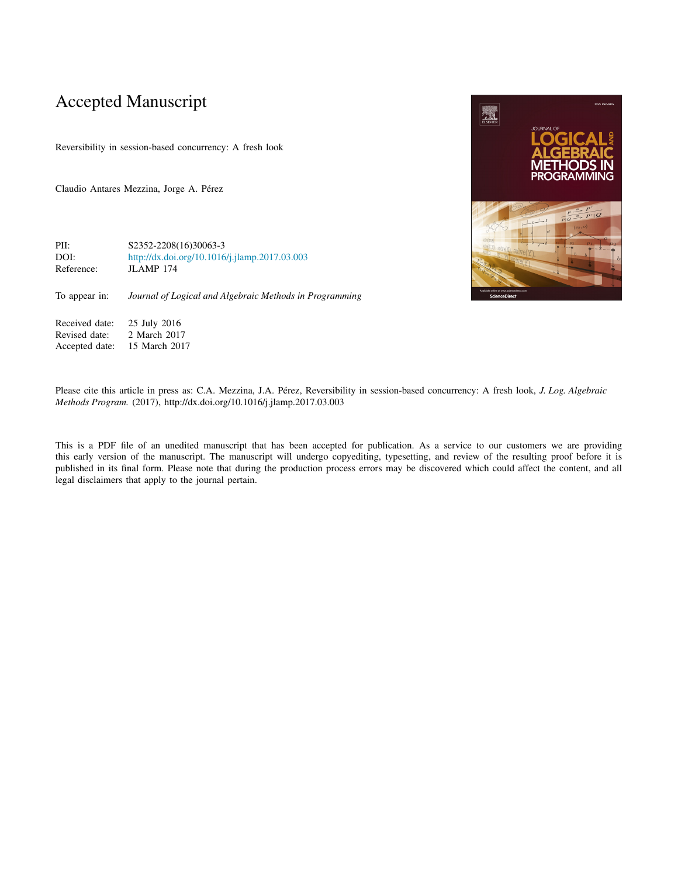# Accepted Manuscript

Reversibility in session-based concurrency: A fresh look

Claudio Antares Mezzina, Jorge A. Pérez

PII: S2352-2208(16)30063-3<br>DOI: http://dx.doi.org/10.1016 <http://dx.doi.org/10.1016/j.jlamp.2017.03.003> Reference: JLAMP 174

To appear in: *Journal of Logical and Algebraic Methods in Programming*

Received date: 25 July 2016<br>Revised date: 2 March 2017 Revised date: 2 March 2017<br>Accepted date: 15 March 201 15 March 2017

Please cite this article in press as: C.A. Mezzina, J.A. Pérez, Reversibility in session-based concurrency: A fresh look, *J. Log. Algebraic Methods Program.* (2017), http://dx.doi.org/10.1016/j.jlamp.2017.03.003

This is a PDF file of an unedited manuscript that has been accepted for publication. As a service to our customers we are providing this early version of the manuscript. The manuscript will undergo copyediting, typesetting, and review of the resulting proof before it is published in its final form. Please note that during the production process errors may be discovered which could affect the content, and all legal disclaimers that apply to the journal pertain.

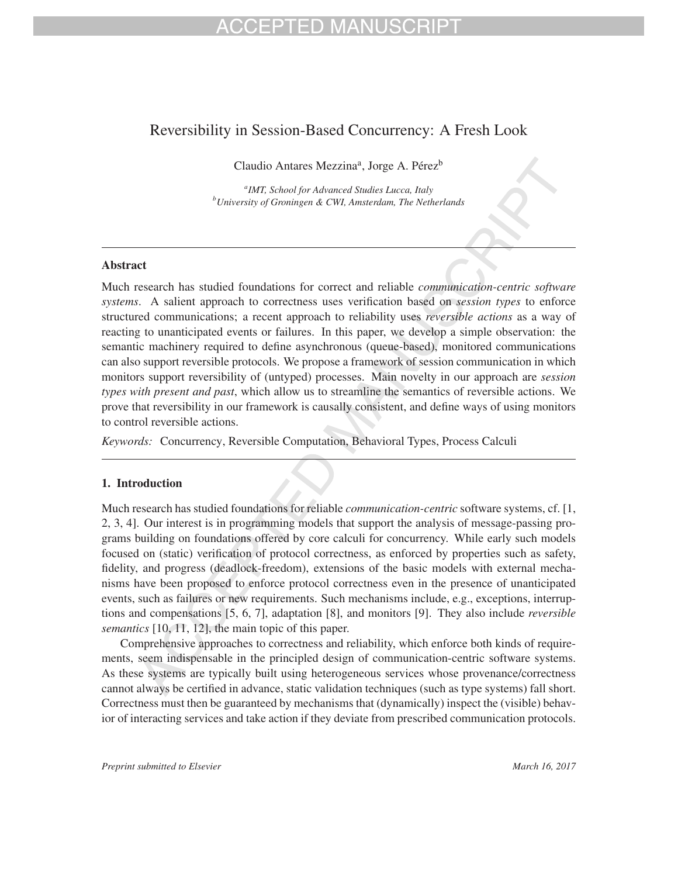## CEPTED MANU

## Reversibility in Session-Based Concurrency: A Fresh Look

Claudio Antares Mezzina<sup>a</sup>, Jorge A. Pérez<sup>b</sup>

*a IMT, School for Advanced Studies Lucca, Italy b University of Groningen & CWI, Amsterdam, The Netherlands*

### Abstract

Much research has studied foundations for correct and reliable *communication-centric software systems*. A salient approach to correctness uses verification based on *session types* to enforce structured communications; a recent approach to reliability uses *reversible actions* as a way of reacting to unanticipated events or failures. In this paper, we develop a simple observation: the semantic machinery required to define asynchronous (queue-based), monitored communications can also support reversible protocols. We propose a framework of session communication in which monitors support reversibility of (untyped) processes. Main novelty in our approach are *session types with present and past*, which allow us to streamline the semantics of reversible actions. We prove that reversibility in our framework is causally consistent, and define ways of using monitors to control reversible actions.

*Keywords:* Concurrency, Reversible Computation, Behavioral Types, Process Calculi

### 1. Introduction

Much research has studied foundations for reliable *communication-centric* software systems, cf. [1, 2, 3, 4]. Our interest is in programming models that support the analysis of message-passing programs building on foundations offered by core calculi for concurrency. While early such models focused on (static) verification of protocol correctness, as enforced by properties such as safety, fidelity, and progress (deadlock-freedom), extensions of the basic models with external mechanisms have been proposed to enforce protocol correctness even in the presence of unanticipated events, such as failures or new requirements. Such mechanisms include, e.g., exceptions, interruptions and compensations [5, 6, 7], adaptation [8], and monitors [9]. They also include *reversible semantics* [10, 11, 12], the main topic of this paper.

Comprehensive approaches to correctness and reliability, which enforce both kinds of requirements, seem indispensable in the principled design of communication-centric software systems. As these systems are typically built using heterogeneous services whose provenance/correctness cannot always be certified in advance, static validation techniques (such as type systems) fall short. Correctness must then be guaranteed by mechanisms that (dynamically) inspect the (visible) behavior of interacting services and take action if they deviate from prescribed communication protocols.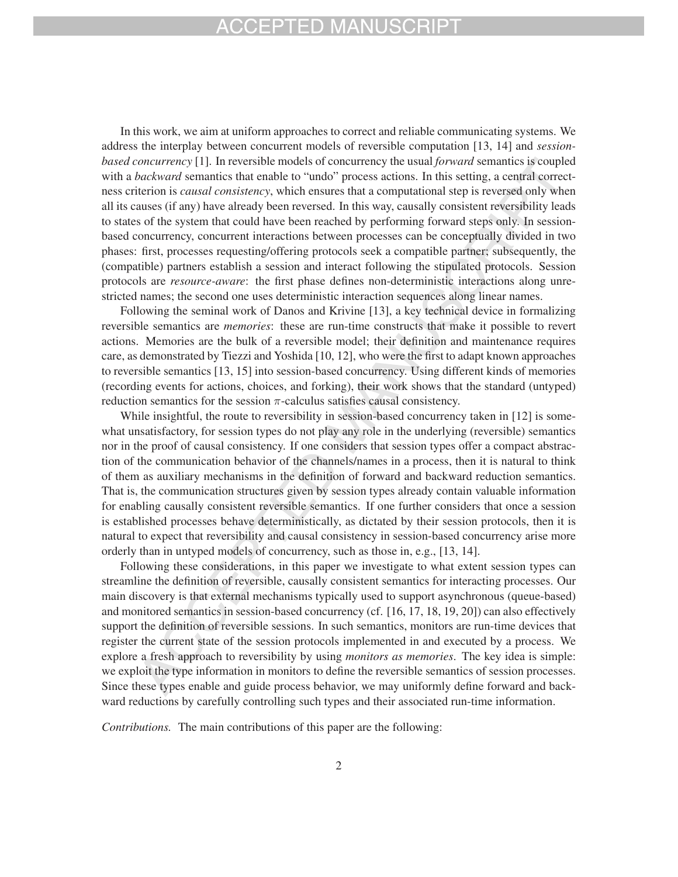In this work, we aim at uniform approaches to correct and reliable communicating systems. We address the interplay between concurrent models of reversible computation [13, 14] and *sessionbased concurrency* [1]. In reversible models of concurrency the usual *forward* semantics is coupled with a *backward* semantics that enable to "undo" process actions. In this setting, a central correctness criterion is *causal consistency*, which ensures that a computational step is reversed only when all its causes (if any) have already been reversed. In this way, causally consistent reversibility leads to states of the system that could have been reached by performing forward steps only. In sessionbased concurrency, concurrent interactions between processes can be conceptually divided in two phases: first, processes requesting/offering protocols seek a compatible partner; subsequently, the (compatible) partners establish a session and interact following the stipulated protocols. Session protocols are *resource-aware*: the first phase defines non-deterministic interactions along unrestricted names; the second one uses deterministic interaction sequences along linear names.

Following the seminal work of Danos and Krivine [13], a key technical device in formalizing reversible semantics are *memories*: these are run-time constructs that make it possible to revert actions. Memories are the bulk of a reversible model; their definition and maintenance requires care, as demonstrated by Tiezzi and Yoshida [10, 12], who were the first to adapt known approaches to reversible semantics [13, 15] into session-based concurrency. Using different kinds of memories (recording events for actions, choices, and forking), their work shows that the standard (untyped) reduction semantics for the session  $\pi$ -calculus satisfies causal consistency.

While insightful, the route to reversibility in session-based concurrency taken in [12] is somewhat unsatisfactory, for session types do not play any role in the underlying (reversible) semantics nor in the proof of causal consistency. If one considers that session types offer a compact abstraction of the communication behavior of the channels/names in a process, then it is natural to think of them as auxiliary mechanisms in the definition of forward and backward reduction semantics. That is, the communication structures given by session types already contain valuable information for enabling causally consistent reversible semantics. If one further considers that once a session is established processes behave deterministically, as dictated by their session protocols, then it is natural to expect that reversibility and causal consistency in session-based concurrency arise more orderly than in untyped models of concurrency, such as those in, e.g., [13, 14].

Following these considerations, in this paper we investigate to what extent session types can streamline the definition of reversible, causally consistent semantics for interacting processes. Our main discovery is that external mechanisms typically used to support asynchronous (queue-based) and monitored semantics in session-based concurrency (cf. [16, 17, 18, 19, 20]) can also effectively support the definition of reversible sessions. In such semantics, monitors are run-time devices that register the current state of the session protocols implemented in and executed by a process. We explore a fresh approach to reversibility by using *monitors as memories*. The key idea is simple: we exploit the type information in monitors to define the reversible semantics of session processes. Since these types enable and guide process behavior, we may uniformly define forward and backward reductions by carefully controlling such types and their associated run-time information.

*Contributions.* The main contributions of this paper are the following: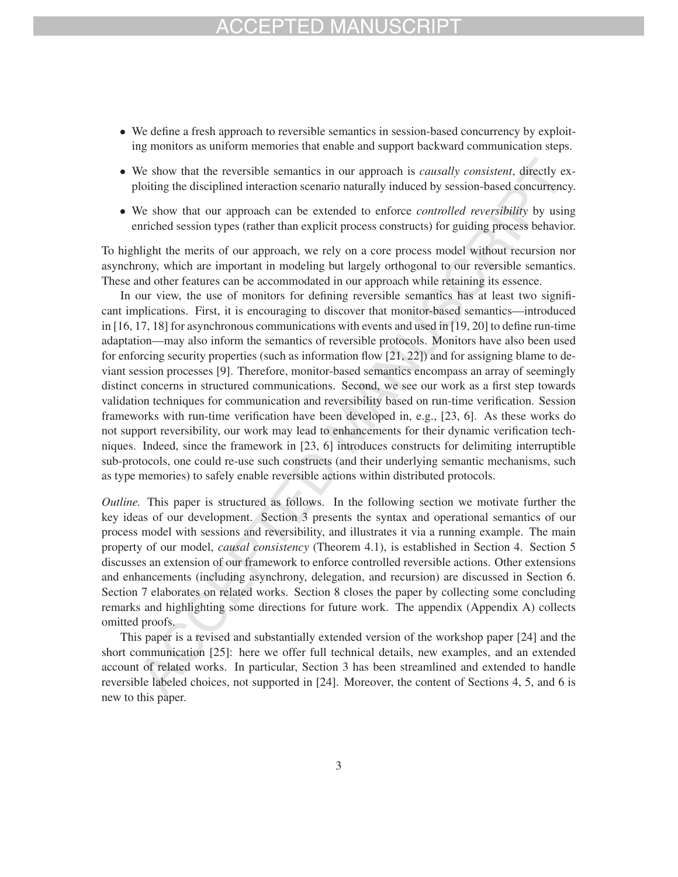- We define a fresh approach to reversible semantics in session-based concurrency by exploiting monitors as uniform memories that enable and support backward communication steps.
- We show that the reversible semantics in our approach is *causally consistent*, directly exploiting the disciplined interaction scenario naturally induced by session-based concurrency.
- We show that our approach can be extended to enforce *controlled reversibility* by using enriched session types (rather than explicit process constructs) for guiding process behavior.

To highlight the merits of our approach, we rely on a core process model without recursion nor asynchrony, which are important in modeling but largely orthogonal to our reversible semantics. These and other features can be accommodated in our approach while retaining its essence.

In our view, the use of monitors for defining reversible semantics has at least two significant implications. First, it is encouraging to discover that monitor-based semantics—introduced in [16, 17, 18] for asynchronous communications with events and used in [19, 20] to define run-time adaptation—may also inform the semantics of reversible protocols. Monitors have also been used for enforcing security properties (such as information flow [21, 22]) and for assigning blame to deviant session processes [9]. Therefore, monitor-based semantics encompass an array of seemingly distinct concerns in structured communications. Second, we see our work as a first step towards validation techniques for communication and reversibility based on run-time verification. Session frameworks with run-time verification have been developed in, e.g., [23, 6]. As these works do not support reversibility, our work may lead to enhancements for their dynamic verification techniques. Indeed, since the framework in [23, 6] introduces constructs for delimiting interruptible sub-protocols, one could re-use such constructs (and their underlying semantic mechanisms, such as type memories) to safely enable reversible actions within distributed protocols.

*Outline.* This paper is structured as follows. In the following section we motivate further the key ideas of our development. Section 3 presents the syntax and operational semantics of our process model with sessions and reversibility, and illustrates it via a running example. The main property of our model, *causal consistency* (Theorem 4.1), is established in Section 4. Section 5 discusses an extension of our framework to enforce controlled reversible actions. Other extensions and enhancements (including asynchrony, delegation, and recursion) are discussed in Section 6. Section 7 elaborates on related works. Section 8 closes the paper by collecting some concluding remarks and highlighting some directions for future work. The appendix (Appendix A) collects omitted proofs.

This paper is a revised and substantially extended version of the workshop paper [24] and the short communication [25]: here we offer full technical details, new examples, and an extended account of related works. In particular, Section 3 has been streamlined and extended to handle reversible labeled choices, not supported in [24]. Moreover, the content of Sections 4, 5, and 6 is new to this paper.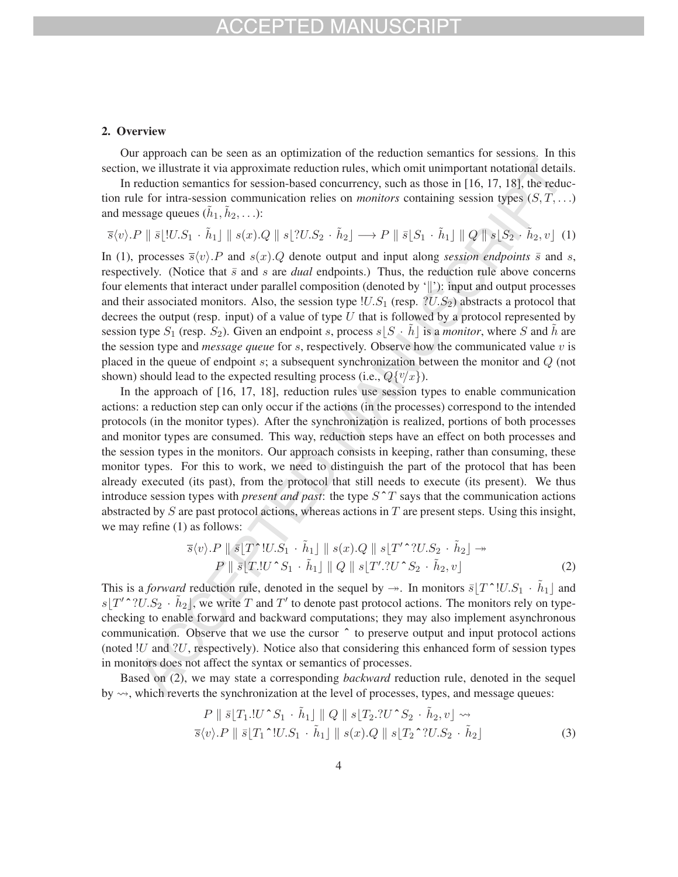## FPTED MAN

#### 2. Overview

Our approach can be seen as an optimization of the reduction semantics for sessions. In this section, we illustrate it via approximate reduction rules, which omit unimportant notational details.

In reduction semantics for session-based concurrency, such as those in [16, 17, 18], the reduction rule for intra-session communication relies on *monitors* containing session types  $(S, T, \ldots)$ and message queues  $(h_1, h_2, \ldots)$ :

$$
\overline{s}\langle v \rangle.P \parallel \overline{s}\lfloor !U.S_1 \cdot \tilde{h}_1 \rfloor \parallel s(x).Q \parallel s\lfloor ?U.S_2 \cdot \tilde{h}_2 \rfloor \longrightarrow P \parallel \overline{s}\lfloor S_1 \cdot \tilde{h}_1 \rfloor \parallel Q \parallel s\lfloor S_2 \cdot \tilde{h}_2, v \rfloor \tag{1}
$$

In (1), processes  $\overline{s}\langle v \rangle$ . P and  $s(x)$ . Q denote output and input along *session endpoints*  $\overline{s}$  and  $s$ , respectively. (Notice that  $\bar{s}$  and s are *dual* endpoints.) Thus, the reduction rule above concerns four elements that interact under parallel composition (denoted by '||'): input and output processes and their associated monitors. Also, the session type  $|U.S_1|$  (resp.  $|U.S_2|$ ) abstracts a protocol that decrees the output (resp. input) of a value of type  $U$  that is followed by a protocol represented by session type  $S_1$  (resp.  $S_2$ ). Given an endpoint s, process  $s|S \cdot h|$  is a *monitor*, where S and h are the session type and *message queue* for s, respectively. Observe how the communicated value v is placed in the queue of endpoint s; a subsequent synchronization between the monitor and Q (not shown) should lead to the expected resulting process (i.e.,  $Q\{v/x\}$ ).

In the approach of [16, 17, 18], reduction rules use session types to enable communication actions: a reduction step can only occur if the actions (in the processes) correspond to the intended protocols (in the monitor types). After the synchronization is realized, portions of both processes and monitor types are consumed. This way, reduction steps have an effect on both processes and the session types in the monitors. Our approach consists in keeping, rather than consuming, these monitor types. For this to work, we need to distinguish the part of the protocol that has been already executed (its past), from the protocol that still needs to execute (its present). We thus introduce session types with *present and past*: the type  $S^T T$  says that the communication actions abstracted by  $S$  are past protocol actions, whereas actions in  $T$  are present steps. Using this insight, we may refine (1) as follows:

$$
\overline{s}\langle v\rangle.P \parallel \overline{s} \parallel T^{\uparrow}U.S_1 \cdot \tilde{h}_1 \parallel s(x).Q \parallel s \parallel T^{\prime \uparrow}U.S_2 \cdot \tilde{h}_2 \parallel \rightarrow
$$
  
\n
$$
P \parallel \overline{s} \parallel T.!U^{\uparrow}S_1 \cdot \tilde{h}_1 \parallel Q \parallel s \parallel T^{\prime}.!U^{\uparrow}S_2 \cdot \tilde{h}_2, v \parallel
$$
 (2)

This is a *forward* reduction rule, denoted in the sequel by  $\rightarrow$ . In monitors  $\bar{s}[T^*!U.S_1 \cdot \tilde{h}_1]$  and  $s[T' \sim \sim 2 \cdot \tilde{h}_2]$ , we write T and T' to denote past protocol actions. The monitors rely on typechecking to enable forward and backward computations; they may also implement asynchronous communication. Observe that we use the cursor  $\hat{ }$  to preserve output and input protocol actions (noted  $!U$  and  $?U$ , respectively). Notice also that considering this enhanced form of session types in monitors does not affect the syntax or semantics of processes.

Based on (2), we may state a corresponding *backward* reduction rule, denoted in the sequel by  $\rightsquigarrow$ , which reverts the synchronization at the level of processes, types, and message queues:

$$
P \parallel \bar{s} \mid T_1 \cdot U \cdot S_1 \cdot \tilde{h}_1 \parallel Q \parallel s \mid T_2 \cdot U \cdot S_2 \cdot \tilde{h}_2, v \mid \rightsquigarrow
$$
  

$$
\bar{s} \langle v \rangle. P \parallel \bar{s} \mid T_1 \cdot U \cdot S_1 \cdot \tilde{h}_1 \parallel s(x). Q \parallel s \mid T_2 \cdot \tilde{U} \cdot S_2 \cdot \tilde{h}_2 \mid
$$
 (3)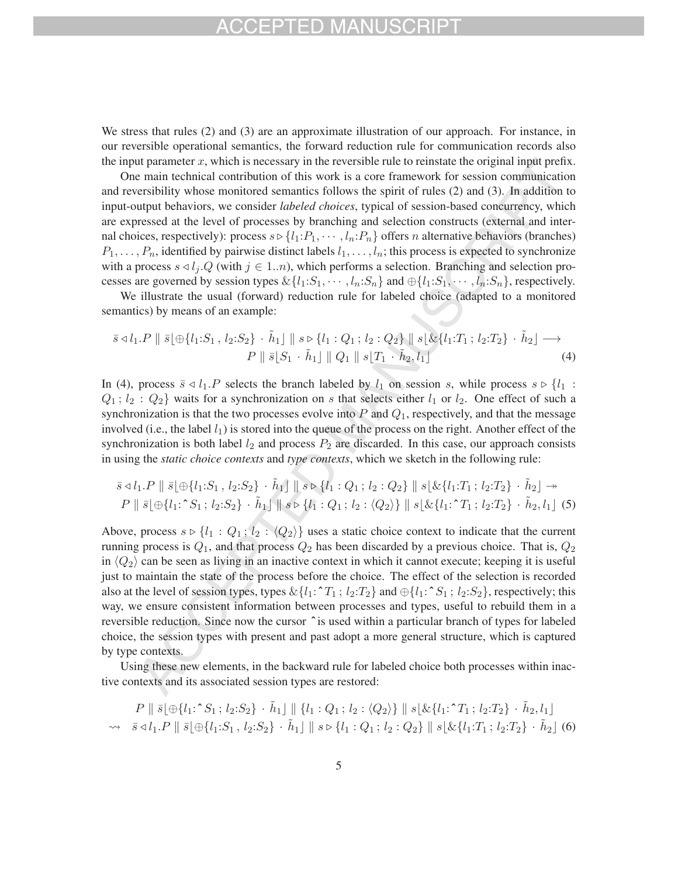## HD MAN

We stress that rules (2) and (3) are an approximate illustration of our approach. For instance, in our reversible operational semantics, the forward reduction rule for communication records also the input parameter  $x$ , which is necessary in the reversible rule to reinstate the original input prefix.

One main technical contribution of this work is a core framework for session communication and reversibility whose monitored semantics follows the spirit of rules (2) and (3). In addition to input-output behaviors, we consider *labeled choices*, typical of session-based concurrency, which are expressed at the level of processes by branching and selection constructs (external and internal choices, respectively): process  $s \triangleright \{l_1: P_1, \cdots, l_n: P_n\}$  offers *n* alternative behaviors (branches)  $P_1, \ldots, P_n$ , identified by pairwise distinct labels  $l_1, \ldots, l_n$ ; this process is expected to synchronize with a process  $s \triangleleft l_i$ . Q (with  $j \in 1..n$ ), which performs a selection. Branching and selection processes are governed by session types  $\&\{l_1: S_1, \cdots, l_n: S_n\}$  and  $\bigoplus\{l_1: S_1, \cdots, l_n: S_n\}$ , respectively.

We illustrate the usual (forward) reduction rule for labeled choice (adapted to a monitored semantics) by means of an example:

$$
\bar{s} \triangleleft l_1.P \parallel \bar{s} \parallel \oplus \{l_1: S_1, l_2: S_2\} \cdot \tilde{h}_1 \parallel s \triangleright \{l_1: Q_1; l_2: Q_2\} \parallel s \downarrow \& \{l_1: T_1; l_2: T_2\} \cdot \tilde{h}_2 \parallel \longrightarrow P \parallel \bar{s} \parallel S_1 \cdot \tilde{h}_1 \parallel Q_1 \parallel s \downarrow T_1 \cdot \tilde{h}_2, l_1 \}
$$
\n(4)

In (4), process  $\bar{s} \triangleleft l_1 \cdot P$  selects the branch labeled by  $l_1$  on session s, while process  $s \triangleright \{l_1 :$  $Q_1$ ;  $l_2$ :  $Q_2$ } waits for a synchronization on s that selects either  $l_1$  or  $l_2$ . One effect of such a synchronization is that the two processes evolve into  $P$  and  $Q_1$ , respectively, and that the message involved (i.e., the label  $l_1$ ) is stored into the queue of the process on the right. Another effect of the synchronization is both label  $l_2$  and process  $P_2$  are discarded. In this case, our approach consists in using the *static choice contexts* and *type contexts*, which we sketch in the following rule:

$$
\bar{s} \triangleleft l_1.P \parallel \bar{s} \parallel \oplus \{l_1: S_1, l_2: S_2\} \cdot \tilde{h}_1 \parallel s \triangleright \{l_1: Q_1; l_2: Q_2\} \parallel s \parallel \& \{l_1: T_1; l_2: T_2\} \cdot \tilde{h}_2 \parallel \rightarrow
$$
\n
$$
P \parallel \bar{s} \parallel \oplus \{l_1: S_1; l_2: S_2\} \cdot \tilde{h}_1 \parallel s \triangleright \{l_1: Q_1; l_2: \langle Q_2 \rangle\} \parallel s \parallel \& \{l_1: T_1; l_2: T_2\} \cdot \tilde{h}_2, l_1 \parallel (5)
$$

Above, process  $s \triangleright \{l_1 : Q_1; l_2 : \langle Q_2 \rangle\}$  uses a static choice context to indicate that the current running process is  $Q_1$ , and that process  $Q_2$  has been discarded by a previous choice. That is,  $Q_2$ in  $\langle Q_2 \rangle$  can be seen as living in an inactive context in which it cannot execute; keeping it is useful just to maintain the state of the process before the choice. The effect of the selection is recorded also at the level of session types, types  $\&\{l_1: \hat{T}_1; l_2: T_2\}$  and  $\oplus\{l_1: \hat{S}_1; l_2: S_2\}$ , respectively; this way, we ensure consistent information between processes and types, useful to rebuild them in a reversible reduction. Since now the cursor ˆ is used within a particular branch of types for labeled choice, the session types with present and past adopt a more general structure, which is captured by type contexts.

Using these new elements, in the backward rule for labeled choice both processes within inactive contexts and its associated session types are restored:

$$
P \parallel \bar{s} \parallel \oplus \{l_1: \hat{S}_1; l_2: S_2\} \cdot \tilde{h}_1 \parallel \{l_1: Q_1; l_2: \langle Q_2 \rangle\} \parallel s \parallel \& \{l_1: \hat{T}_1; l_2: T_2\} \cdot \tilde{h}_2, l_1 \}
$$
  
\n
$$
\rightsquigarrow \bar{s} \triangleleft l_1. P \parallel \bar{s} \parallel \oplus \{l_1: S_1, l_2: S_2\} \cdot \tilde{h}_1 \parallel s \triangleright \{l_1: Q_1; l_2: Q_2\} \parallel s \parallel \& \{l_1: T_1; l_2: T_2\} \cdot \tilde{h}_2 \parallel (6)
$$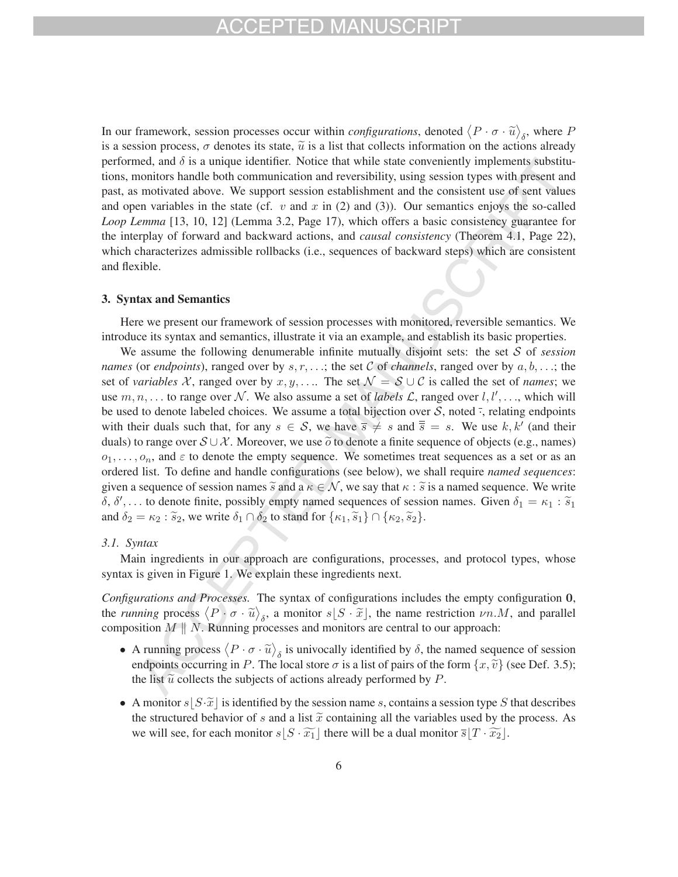In our framework, session processes occur within *configurations*, denoted  $\langle P \cdot \sigma \cdot \tilde{u} \rangle_{\delta}$ , where P is a session process,  $\sigma$  denotes its state,  $\tilde{u}$  is a list that collects information on the actions already performed, and  $\delta$  is a unique identifier. Notice that while state conveniently implements substitutions, monitors handle both communication and reversibility, using session types with present and past, as motivated above. We support session establishment and the consistent use of sent values and open variables in the state (cf.  $v$  and  $x$  in (2) and (3)). Our semantics enjoys the so-called *Loop Lemma* [13, 10, 12] (Lemma 3.2, Page 17), which offers a basic consistency guarantee for the interplay of forward and backward actions, and *causal consistency* (Theorem 4.1, Page 22), which characterizes admissible rollbacks (i.e., sequences of backward steps) which are consistent and flexible.

### 3. Syntax and Semantics

Here we present our framework of session processes with monitored, reversible semantics. We introduce its syntax and semantics, illustrate it via an example, and establish its basic properties.

We assume the following denumerable infinite mutually disjoint sets: the set S of *session names* (or *endpoints*), ranged over by s, r, ...; the set C of *channels*, ranged over by  $a, b, \ldots$ ; the set of *variables* X, ranged over by x, y, .... The set  $\mathcal{N} = \mathcal{S} \cup \mathcal{C}$  is called the set of *names*; we use  $m, n, \ldots$  to range over  $N$ . We also assume a set of *labels*  $\mathcal{L}$ , ranged over  $l, l', \ldots$ , which will be used to denote labeled choices. We assume a total bijection over  $S$ , noted  $\overline{\cdot}$ , relating endpoints with their duals such that, for any  $s \in S$ , we have  $\overline{s} \neq s$  and  $\overline{s} = s$ . We use  $k, k'$  (and their duals) to range over  $S \cup \mathcal{X}$ . Moreover, we use  $\tilde{o}$  to denote a finite sequence of objects (e.g., names)  $o_1, \ldots, o_n$ , and  $\varepsilon$  to denote the empty sequence. We sometimes treat sequences as a set or as an ordered list. To define and handle configurations (see below), we shall require *named sequences*: given a sequence of session names  $\tilde{s}$  and a  $\kappa \in \mathcal{N}$ , we say that  $\kappa : \tilde{s}$  is a named sequence. We write  $\delta$ ,  $\delta'$ ,... to denote finite, possibly empty named sequences of session names. Given  $\delta_1 = \kappa_1 : \tilde{s}_1$ and  $\delta_2 = \kappa_2 : \tilde{s}_2$ , we write  $\delta_1 \cap \delta_2$  to stand for  $\{\kappa_1, \tilde{s}_1\} \cap \{\kappa_2, \tilde{s}_2\}.$ 

### *3.1. Syntax*

Main ingredients in our approach are configurations, processes, and protocol types, whose syntax is given in Figure 1. We explain these ingredients next.

*Configurations and Processes.* The syntax of configurations includes the empty configuration **0**, the *running* process  $\langle P \cdot \sigma \cdot \tilde{u} \rangle_{\delta}$ , a monitor  $s[S \cdot \tilde{x}]$ , the name restriction  $\nu n.M$ , and parallel composition  $M \parallel N$ . Running processes and monitors are central to our approach:

- A running process  $\langle P \cdot \sigma \cdot \tilde{u} \rangle_{\delta}$  is univocally identified by  $\delta$ , the named sequence of session endpoints occurring in P. The local store  $\sigma$  is a list of pairs of the form  $\{x, \tilde{v}\}$  (see Def. 3.5); the list  $\tilde{u}$  collects the subjects of actions already performed by P.
- A monitor  $s|S\cdot\widetilde{x}|$  is identified by the session name s, contains a session type S that describes the structured behavior of s and a list  $\tilde{x}$  containing all the variables used by the process. As we will see, for each monitor  $s|S \cdot \widetilde{x_1}|$  there will be a dual monitor  $\overline{s}|T \cdot \widetilde{x_2}|$ .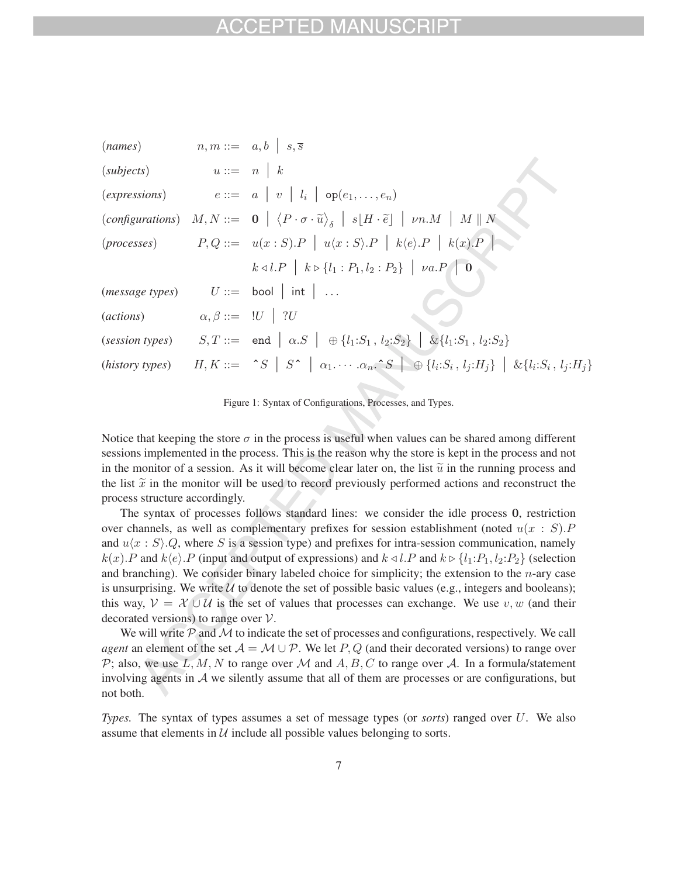| (names)                    |                               | $n,m ::= a,b \mid s,\overline{s}$                                                                                                                                |
|----------------------------|-------------------------------|------------------------------------------------------------------------------------------------------------------------------------------------------------------|
| $(subjects)$ $u ::= n   k$ |                               |                                                                                                                                                                  |
|                            |                               | (expressions) $e ::= a \mid v \mid l_i \mid \text{op}(e_1, \ldots, e_n)$                                                                                         |
|                            |                               | (configurations) $M, N ::= \mathbf{0} \mid \langle P \cdot \sigma \cdot \widetilde{u} \rangle_{\delta} \mid s[H \cdot \widetilde{e}] \mid \nu n.M \mid M \mid N$ |
|                            |                               | $(processes)$ $P,Q ::= u(x:S).P \mid u(x:S).P \mid k\langle e \rangle.P \mid k(x).P \mid k(x).P$                                                                 |
|                            |                               | $k \triangleleft l.P$ $k \triangleright \{l_1 : P_1, l_2 : P_2\}$ $u.a.P$ 0                                                                                      |
|                            |                               | ( <i>message types</i> ) $U ::= \text{bool}   \text{int}   $                                                                                                     |
| (actions)                  | $\alpha, \beta ::= U \mid ?U$ |                                                                                                                                                                  |
|                            |                               | (session types) $S, T ::=$ and $\alpha.S \mid \oplus \{l_1: S_1, l_2: S_2\} \mid \& \{l_1: S_1, l_2: S_2\}$                                                      |
|                            |                               | (history types) $H, K ::= \circ S \mid S \circ \mid \alpha_1 \cdots \alpha_n \circ S \mid \oplus \{l_i : S_i, l_j : H_j\} \mid \& \{l_i : S_i, l_j : H_j\}$      |
|                            |                               |                                                                                                                                                                  |

Figure 1: Syntax of Configurations, Processes, and Types.

Notice that keeping the store  $\sigma$  in the process is useful when values can be shared among different sessions implemented in the process. This is the reason why the store is kept in the process and not in the monitor of a session. As it will become clear later on, the list  $\tilde{u}$  in the running process and the list  $\tilde{x}$  in the monitor will be used to record previously performed actions and reconstruct the process structure accordingly.

The syntax of processes follows standard lines: we consider the idle process **0**, restriction over channels, as well as complementary prefixes for session establishment (noted  $u(x : S)$ . and  $u\langle x : S \rangle$  Q, where S is a session type) and prefixes for intra-session communication, namely  $k(x)$ . P and  $k\langle e \rangle$ . P (input and output of expressions) and  $k \triangleleft l$ . P and  $k \triangleright \{l_1: P_1, l_2: P_2\}$  (selection and branching). We consider binary labeled choice for simplicity; the extension to the  $n$ -ary case is unsurprising. We write  $U$  to denote the set of possible basic values (e.g., integers and booleans); this way,  $V = X \cup U$  is the set of values that processes can exchange. We use v, w (and their decorated versions) to range over V.

We will write  $P$  and  $M$  to indicate the set of processes and configurations, respectively. We call *agent* an element of the set  $A = M \cup P$ . We let P, Q (and their decorated versions) to range over P; also, we use L, M, N to range over M and A, B, C to range over A. In a formula/statement involving agents in  $A$  we silently assume that all of them are processes or are configurations, but not both.

*Types.* The syntax of types assumes a set of message types (or *sorts*) ranged over U. We also assume that elements in  $U$  include all possible values belonging to sorts.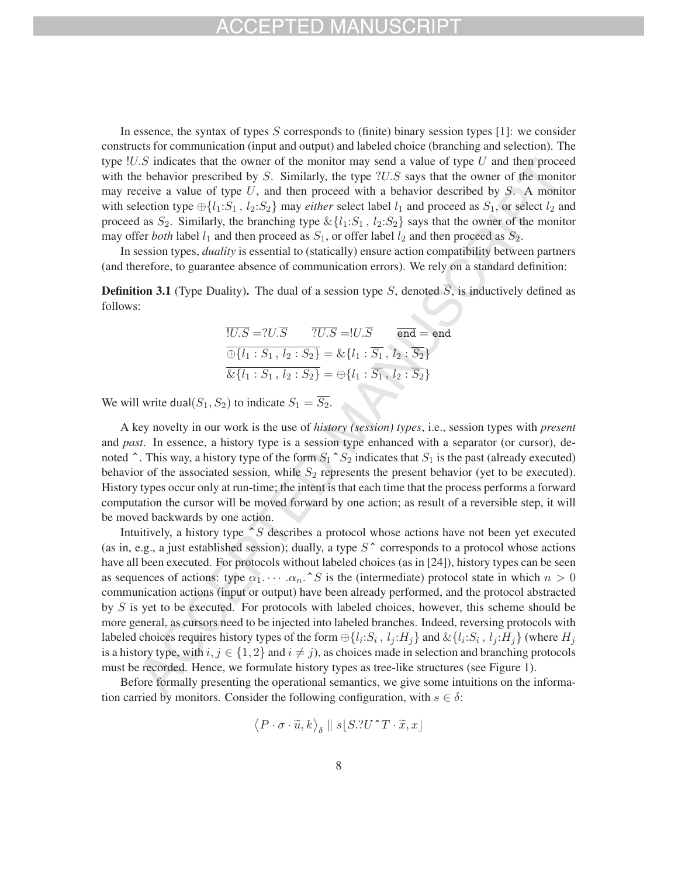## FPTED MAI

In essence, the syntax of types  $S$  corresponds to (finite) binary session types [1]: we consider constructs for communication (input and output) and labeled choice (branching and selection). The type  $!U.S$  indicates that the owner of the monitor may send a value of type U and then proceed with the behavior prescribed by  $S$ . Similarly, the type  $?U.S$  says that the owner of the monitor may receive a value of type  $U$ , and then proceed with a behavior described by  $S$ . A monitor with selection type  $\oplus \{l_1: S_1, l_2: S_2\}$  may *either* select label  $l_1$  and proceed as  $S_1$ , or select  $l_2$  and proceed as  $S_2$ . Similarly, the branching type  $\&\{l_1:S_1, l_2:S_2\}$  says that the owner of the monitor may offer *both* label  $l_1$  and then proceed as  $S_1$ , or offer label  $l_2$  and then proceed as  $S_2$ .

In session types, *duality* is essential to (statically) ensure action compatibility between partners (and therefore, to guarantee absence of communication errors). We rely on a standard definition:

**Definition 3.1** (Type Duality). The dual of a session type S, denoted  $\overline{S}$ , is inductively defined as follows:

$$
\overline{!U.S} = ?U.\overline{S} \qquad \overline{?U.S} = !U.\overline{S} \qquad \overline{end} = end
$$
  

$$
\overline{\bigoplus \{l_1 : S_1, l_2 : S_2\}} = \& \{l_1 : \overline{S_1}, l_2 : \overline{S_2}\}
$$
  

$$
\overline{\& \{l_1 : S_1, l_2 : S_2\}} = \bigoplus \{l_1 : \overline{S_1}, l_2 : \overline{S_2}\}
$$

We will write dual( $S_1, S_2$ ) to indicate  $S_1 = \overline{S_2}$ .

A key novelty in our work is the use of *history (session) types*, i.e., session types with *present* and *past*. In essence, a history type is a session type enhanced with a separator (or cursor), denoted  $\hat{ }$ . This way, a history type of the form  $S_1 \hat{ } S_2$  indicates that  $S_1$  is the past (already executed) behavior of the associated session, while  $S_2$  represents the present behavior (yet to be executed). History types occur only at run-time; the intent is that each time that the process performs a forward computation the cursor will be moved forward by one action; as result of a reversible step, it will be moved backwards by one action.

Intuitively, a history type  $\hat{\ }S$  describes a protocol whose actions have not been yet executed (as in, e.g., a just established session); dually, a type  $S^{\sim}$  corresponds to a protocol whose actions have all been executed. For protocols without labeled choices (as in [24]), history types can be seen as sequences of actions: type  $\alpha_1 \cdots \alpha_n$ . <sup>^</sup> S is the (intermediate) protocol state in which  $n > 0$ communication actions (input or output) have been already performed, and the protocol abstracted by S is yet to be executed. For protocols with labeled choices, however, this scheme should be more general, as cursors need to be injected into labeled branches. Indeed, reversing protocols with labeled choices requires history types of the form  $\bigoplus \{l_i : S_i, l_j : H_j\}$  and  $\&\{l_i : S_i, l_j : H_j\}$  (where  $H_j$ is a history type, with  $i, j \in \{1, 2\}$  and  $i \neq j$ , as choices made in selection and branching protocols must be recorded. Hence, we formulate history types as tree-like structures (see Figure 1).

Before formally presenting the operational semantics, we give some intuitions on the information carried by monitors. Consider the following configuration, with  $s \in \delta$ :

$$
\langle P \cdot \sigma \cdot \widetilde{u}, k \rangle_{\delta} \parallel s \lfloor S . ? U \, \hat{\,} T \cdot \widetilde{x}, x \rfloor
$$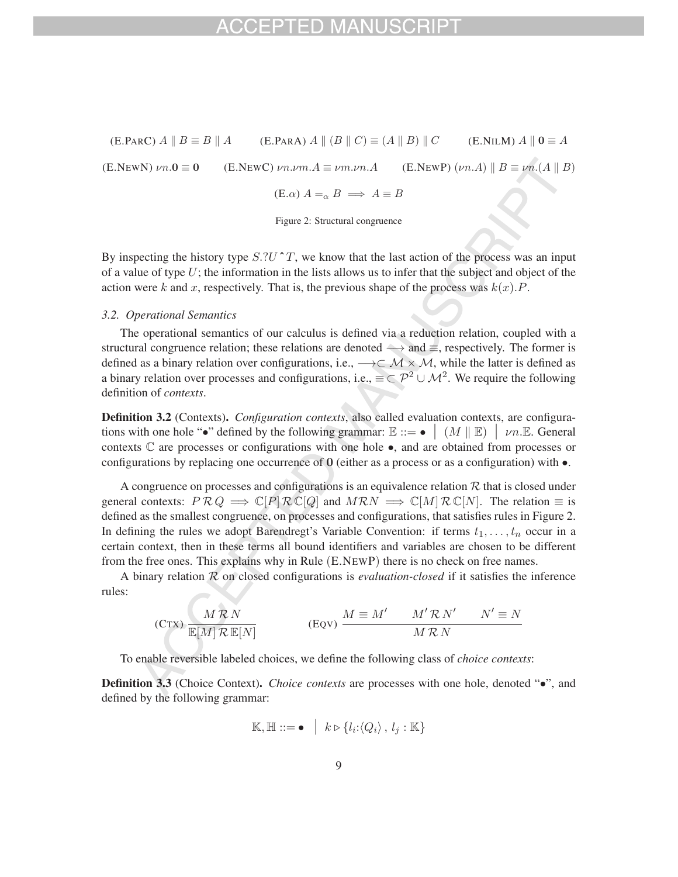$(E.PARC)$   $A \parallel B \equiv B \parallel A$  (E.PARA)  $A \parallel (B \parallel C) \equiv (A \parallel B) \parallel C$  (E.NILM)  $A \parallel 0 \equiv A$ (E.NEWN)  $\nu n \cdot \mathbf{0} \equiv \mathbf{0}$  (E.NEWC)  $\nu n \cdot \nu m \cdot A \equiv \nu m \cdot \nu n \cdot A$  (E.NEWP)  $(\nu n \cdot A) \parallel B \equiv \nu n \cdot (A \parallel B)$  $(E.\alpha)$   $A =_{\alpha} B \implies A \equiv B$ 

Figure 2: Structural congruence

By inspecting the history type  $S.2U^{\dagger}T$ , we know that the last action of the process was an input of a value of type  $U$ ; the information in the lists allows us to infer that the subject and object of the action were k and x, respectively. That is, the previous shape of the process was  $k(x)$ . P.

#### *3.2. Operational Semantics*

The operational semantics of our calculus is defined via a reduction relation, coupled with a structural congruence relation; these relations are denoted  $\rightarrow$  and  $\equiv$ , respectively. The former is defined as a binary relation over configurations, i.e., −→⊂ M × M, while the latter is defined as a binary relation over processes and configurations, i.e.,  $\equiv \subset \mathcal{P}^2 \cup \mathcal{M}^2$ . We require the following definition of *contexts*.

Definition 3.2 (Contexts). *Configuration contexts*, also called evaluation contexts, are configurations with one hole "•" defined by the following grammar:  $\mathbb{E} ::= \bullet \mid (M \parallel \mathbb{E}) \mid \nu n \mathbb{E}$ . General contexts  $\mathbb C$  are processes or configurations with one hole  $\bullet$ , and are obtained from processes or configurations by replacing one occurrence of **0** (either as a process or as a configuration) with  $\bullet$ .

A congruence on processes and configurations is an equivalence relation  $R$  that is closed under general contexts:  $P \mathcal{R} Q \implies \mathbb{C}[P] \mathcal{R} \mathbb{C}[Q]$  and  $M \mathcal{R} N \implies \mathbb{C}[M] \mathcal{R} \mathbb{C}[N]$ . The relation  $\equiv$  is defined as the smallest congruence, on processes and configurations, that satisfies rules in Figure 2. In defining the rules we adopt Barendregt's Variable Convention: if terms  $t_1, \ldots, t_n$  occur in a certain context, then in these terms all bound identifiers and variables are chosen to be different from the free ones. This explains why in Rule (E.NEWP) there is no check on free names.

A binary relation R on closed configurations is *evaluation-closed* if it satisfies the inference rules:

$$
(C\tau x) \frac{M \mathcal{R} N}{\mathbb{E}[M] \mathcal{R} \mathbb{E}[N]}
$$
\n
$$
(EQV) \frac{M \equiv M' \quad M' \mathcal{R} N' \quad N' \equiv N}{M \mathcal{R} N}
$$

To enable reversible labeled choices, we define the following class of *choice contexts*:

**Definition 3.3** (Choice Context). *Choice contexts* are processes with one hole, denoted "•", and defined by the following grammar:

$$
\mathbb{K}, \mathbb{H} ::= \bullet \mid k \triangleright \{l_i:\langle Q_i \rangle, l_j : \mathbb{K}\}\
$$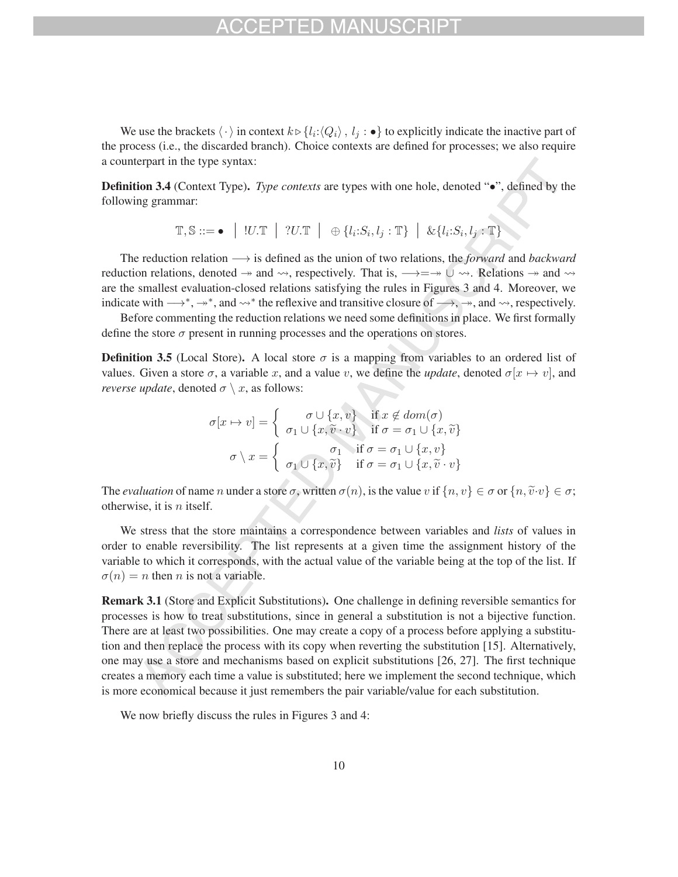## FPTED MA

We use the brackets  $\langle \cdot \rangle$  in context  $k \triangleright \{l_i:\langle Q_i \rangle, l_j : \bullet \}$  to explicitly indicate the inactive part of the process (i.e., the discarded branch). Choice contexts are defined for processes; we also require a counterpart in the type syntax:

**Definition 3.4** (Context Type). *Type contexts* are types with one hole, denoted "•", defined by the following grammar:

$$
\mathbb{T}, \mathbb{S} ::= \bullet \quad | \quad !U.\mathbb{T} \quad | \quad ?U.\mathbb{T} \quad | \quad \oplus \{l_i.S_i, l_j : \mathbb{T}\} \quad | \quad \& \{l_i.S_i, l_j : \mathbb{T}\}
$$

The reduction relation −→ is defined as the union of two relations, the *forward* and *backward* reduction relations, denoted  $\rightarrow$  and  $\rightsquigarrow$ , respectively. That is,  $\rightarrow = \rightarrow \cup \rightsquigarrow$ . Relations  $\rightarrow$  and  $\rightsquigarrow$ are the smallest evaluation-closed relations satisfying the rules in Figures 3 and 4. Moreover, we indicate with  $\longrightarrow^*, \to^*,$  and  $\leadsto^*$  the reflexive and transitive closure of  $\longrightarrow, \to,$  and  $\leadsto$ , respectively.

Before commenting the reduction relations we need some definitions in place. We first formally define the store  $\sigma$  present in running processes and the operations on stores.

**Definition 3.5** (Local Store). A local store  $\sigma$  is a mapping from variables to an ordered list of values. Given a store  $\sigma$ , a variable x, and a value v, we define the *update*, denoted  $\sigma[x \mapsto v]$ , and *reverse update*, denoted  $\sigma \setminus x$ , as follows:

$$
\sigma[x \mapsto v] = \begin{cases}\n\sigma \cup \{x, v\} & \text{if } x \notin dom(\sigma) \\
\sigma_1 \cup \{x, \tilde{v} \cdot v\} & \text{if } \sigma = \sigma_1 \cup \{x, \tilde{v}\} \\
\sigma \setminus x = \begin{cases}\n\sigma_1 & \text{if } \sigma = \sigma_1 \cup \{x, v\} \\
\sigma_1 \cup \{x, \tilde{v}\} & \text{if } \sigma = \sigma_1 \cup \{x, \tilde{v} \cdot v\}\n\end{cases}\n\end{cases}
$$

The *evaluation* of name n under a store  $\sigma$ , written  $\sigma(n)$ , is the value v if  $\{n, v\} \in \sigma$  or  $\{n, \tilde{v} \cdot v\} \in \sigma$ ; otherwise, it is  $n$  itself.

We stress that the store maintains a correspondence between variables and *lists* of values in order to enable reversibility. The list represents at a given time the assignment history of the variable to which it corresponds, with the actual value of the variable being at the top of the list. If  $\sigma(n) = n$  then *n* is not a variable.

Remark 3.1 (Store and Explicit Substitutions). One challenge in defining reversible semantics for processes is how to treat substitutions, since in general a substitution is not a bijective function. There are at least two possibilities. One may create a copy of a process before applying a substitution and then replace the process with its copy when reverting the substitution [15]. Alternatively, one may use a store and mechanisms based on explicit substitutions [26, 27]. The first technique creates a memory each time a value is substituted; here we implement the second technique, which is more economical because it just remembers the pair variable/value for each substitution.

We now briefly discuss the rules in Figures 3 and 4: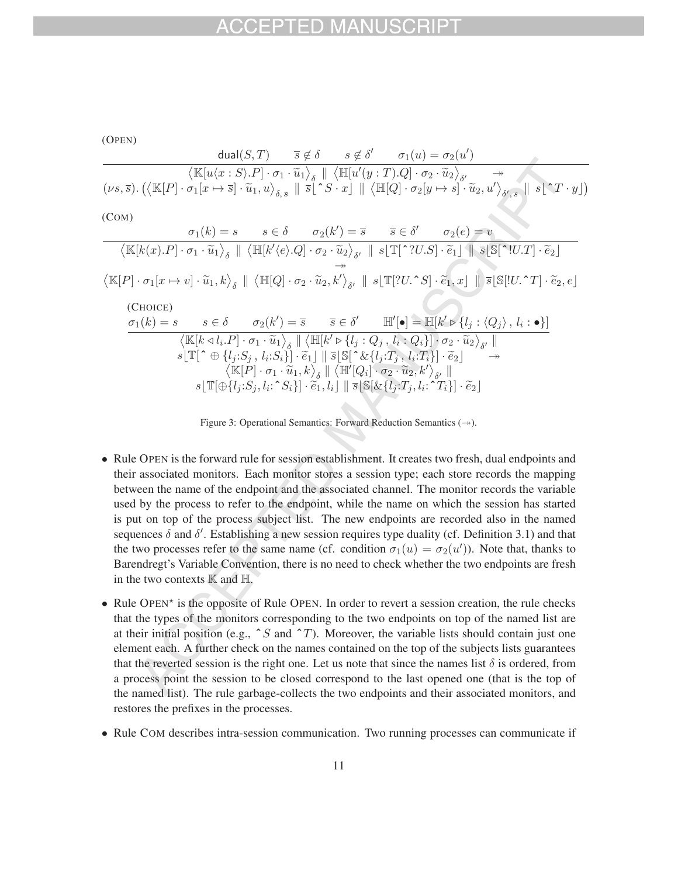## $-1$ )

| (OPEN)                                                                                                                                                                                                                                                                                                                                            |                                                                                                                                                                                                                                              |                                                                                                                                                                                                        |  |  |                                                                                                                                                                                                                                                                                                                        |  |
|---------------------------------------------------------------------------------------------------------------------------------------------------------------------------------------------------------------------------------------------------------------------------------------------------------------------------------------------------|----------------------------------------------------------------------------------------------------------------------------------------------------------------------------------------------------------------------------------------------|--------------------------------------------------------------------------------------------------------------------------------------------------------------------------------------------------------|--|--|------------------------------------------------------------------------------------------------------------------------------------------------------------------------------------------------------------------------------------------------------------------------------------------------------------------------|--|
|                                                                                                                                                                                                                                                                                                                                                   |                                                                                                                                                                                                                                              | dual(S,T) $\overline{s} \notin \delta$ $s \notin \delta'$ $\sigma_1(u) = \sigma_2(u')$                                                                                                                 |  |  |                                                                                                                                                                                                                                                                                                                        |  |
|                                                                                                                                                                                                                                                                                                                                                   |                                                                                                                                                                                                                                              | $\langle \mathbb{K}[u\langle x:S\rangle.P]\cdot\sigma_1\cdot\widetilde{u}_1\rangle_{\delta} \parallel \langle \mathbb{H}[u'(y:T).Q]\cdot\sigma_2\cdot\widetilde{u}_2\rangle_{\delta'} \longrightarrow$ |  |  |                                                                                                                                                                                                                                                                                                                        |  |
| $(\nu s, \overline{s})$ . $(\langle \mathbb{K}[P] \cdot \sigma_1[x \mapsto \overline{s}] \cdot \widetilde{u}_1, u \rangle_{\delta, \overline{s}}    \overline{s}[\uparrow S \cdot x]    \langle \mathbb{H}[Q] \cdot \sigma_2[y \mapsto s] \cdot \widetilde{u}_2, u' \rangle_{\delta', s}    s[\uparrow T \cdot y])$                               |                                                                                                                                                                                                                                              |                                                                                                                                                                                                        |  |  |                                                                                                                                                                                                                                                                                                                        |  |
| (COM)                                                                                                                                                                                                                                                                                                                                             |                                                                                                                                                                                                                                              |                                                                                                                                                                                                        |  |  |                                                                                                                                                                                                                                                                                                                        |  |
|                                                                                                                                                                                                                                                                                                                                                   |                                                                                                                                                                                                                                              | $\sigma_1(k) = s$ $s \in \delta$ $\sigma_2(k') = \overline{s}$ $\overline{s} \in \delta'$ $\sigma_2(e) = v$                                                                                            |  |  |                                                                                                                                                                                                                                                                                                                        |  |
|                                                                                                                                                                                                                                                                                                                                                   |                                                                                                                                                                                                                                              |                                                                                                                                                                                                        |  |  | $\langle \mathbb{K}[k(x).P] \cdot \sigma_1 \cdot \widetilde{u}_1 \rangle_{\delta} \parallel \langle \mathbb{H}[k'(e).Q] \cdot \sigma_2 \cdot \widetilde{u}_2 \rangle_{\delta'} \parallel s[\mathbb{T}[\uparrow ? U.S] \cdot \widetilde{e}_1] \parallel \overline{s}[\mathbb{S}[\uparrow ! U.T] \cdot \widetilde{e}_2]$ |  |
| $\langle \mathbb{K}[P] \cdot \sigma_1[x \mapsto v] \cdot \widetilde{u}_1, k \rangle_{\delta} \parallel \langle \mathbb{H}[Q] \cdot \sigma_2 \cdot \widetilde{u}_2, k' \rangle_{\delta'} \parallel s[\mathbb{T}[?U \cdot \mathcal{S}] \cdot \widetilde{e}_1, x] \parallel \overline{s}[\mathbb{S}[[U \cdot \mathcal{X}] \cdot \widetilde{e}_2, e]$ |                                                                                                                                                                                                                                              |                                                                                                                                                                                                        |  |  |                                                                                                                                                                                                                                                                                                                        |  |
| (CHOICE)                                                                                                                                                                                                                                                                                                                                          |                                                                                                                                                                                                                                              |                                                                                                                                                                                                        |  |  |                                                                                                                                                                                                                                                                                                                        |  |
|                                                                                                                                                                                                                                                                                                                                                   | $\sigma_1(k) = s$ $s \in \delta$ $\sigma_2(k') = \overline{s}$ $\overline{s} \in \delta'$ $\mathbb{H}'[\bullet] = \mathbb{H}[k' \triangleright \{l_i : \langle Q_i \rangle, l_i : \bullet \}]$                                               |                                                                                                                                                                                                        |  |  |                                                                                                                                                                                                                                                                                                                        |  |
|                                                                                                                                                                                                                                                                                                                                                   | $\langle \mathbb{K}[k \triangleleft l_i.P] \cdot \sigma_1 \cdot \widetilde{u}_1 \rangle_{\delta} \parallel \langle \mathbb{H}[k' \triangleright \{l_j:Q_j, l_i:Q_i\}] \cdot \sigma_2 \cdot \widetilde{u}_2 \rangle_{\mathcal{S}'} \parallel$ |                                                                                                                                                                                                        |  |  |                                                                                                                                                                                                                                                                                                                        |  |
|                                                                                                                                                                                                                                                                                                                                                   | $s \mathbb{T}  \uparrow \oplus \{l_i: S_j, l_i: S_i\} \cdot \widetilde{e}_1   \ \overline{s}[\mathbb{S}[\uparrow \& \{l_j: T_j, l_i: T_i\}] \cdot \widetilde{e}_2]$                                                                          |                                                                                                                                                                                                        |  |  |                                                                                                                                                                                                                                                                                                                        |  |
|                                                                                                                                                                                                                                                                                                                                                   |                                                                                                                                                                                                                                              | $\big\langle \mathbb{K}[P] \cdot \sigma_1 \cdot \widetilde{u}_1,k \big\rangle_{\delta} \parallel \big\langle \mathbb{H}'[Q_i] \cdot \sigma_2 \cdot \widetilde{u}_2,k' \big\rangle_{\delta'} \parallel$ |  |  |                                                                                                                                                                                                                                                                                                                        |  |
|                                                                                                                                                                                                                                                                                                                                                   |                                                                                                                                                                                                                                              | $s[\mathbb{T}[\oplus\{l_j: S_j, l_i: \hat{S}_i\}]\cdot \tilde{e}_1, l_i] \parallel \overline{s}[\mathbb{S}[\&\{l_j: T_j, l_i: \hat{C}_i\}]\cdot \tilde{e}_2]$                                          |  |  |                                                                                                                                                                                                                                                                                                                        |  |
|                                                                                                                                                                                                                                                                                                                                                   |                                                                                                                                                                                                                                              |                                                                                                                                                                                                        |  |  |                                                                                                                                                                                                                                                                                                                        |  |

Figure 3: Operational Semantics: Forward Reduction Semantics  $(\rightarrow)$ .

- Rule OPEN is the forward rule for session establishment. It creates two fresh, dual endpoints and their associated monitors. Each monitor stores a session type; each store records the mapping between the name of the endpoint and the associated channel. The monitor records the variable used by the process to refer to the endpoint, while the name on which the session has started is put on top of the process subject list. The new endpoints are recorded also in the named sequences  $\delta$  and  $\delta'$ . Establishing a new session requires type duality (cf. Definition 3.1) and that the two processes refer to the same name (cf. condition  $\sigma_1(u) = \sigma_2(u')$ ). Note that, thanks to Barendregt's Variable Convention, there is no need to check whether the two endpoints are fresh in the two contexts  $\mathbb K$  and  $\mathbb H$ .
- Rule OPEN<sup> $\star$ </sup> is the opposite of Rule OPEN. In order to revert a session creation, the rule checks that the types of the monitors corresponding to the two endpoints on top of the named list are at their initial position (e.g.,  $\hat{S}$  and  $\hat{T}$ ). Moreover, the variable lists should contain just one element each. A further check on the names contained on the top of the subjects lists guarantees that the reverted session is the right one. Let us note that since the names list  $\delta$  is ordered, from a process point the session to be closed correspond to the last opened one (that is the top of the named list). The rule garbage-collects the two endpoints and their associated monitors, and restores the prefixes in the processes.
- Rule COM describes intra-session communication. Two running processes can communicate if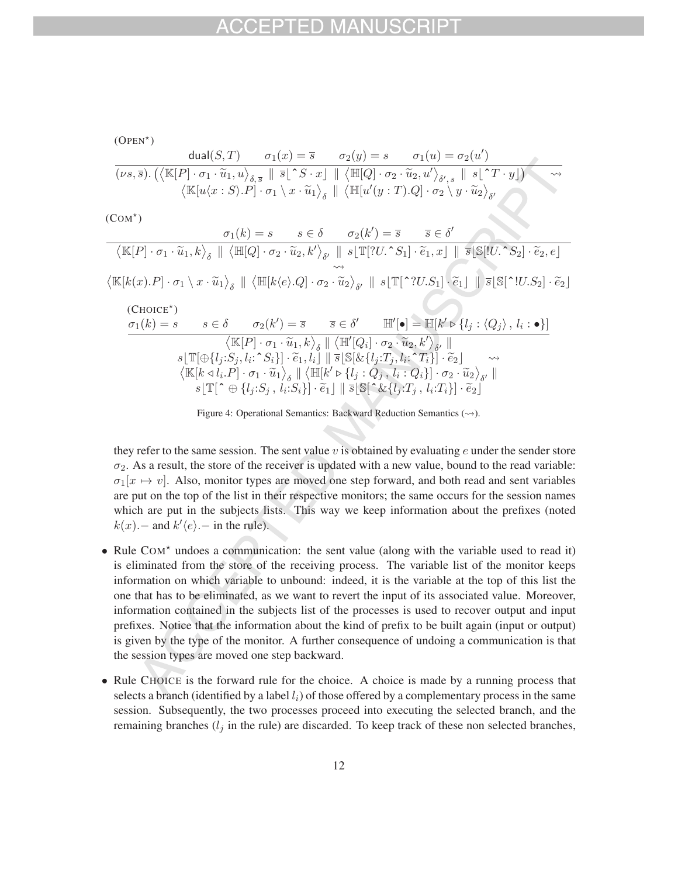$$
\text{(OPEN*)}\n\frac{\text{dual}(S,T)}{(\nu s,\overline{s})\cdot\left(\left\langle \mathbb{K}[P]\cdot\sigma_1\cdot\widetilde{u}_1,u\right\rangle_{\delta,\overline{s}} \parallel \overline{s}\right\vert\hat{S}\cdot S\cdot x]} \frac{\sigma_2(y) = s \qquad \sigma_1(u) = \sigma_2(u')\n\qquad \qquad (\nu s,\overline{s})\cdot\left(\left\langle \mathbb{K}[P]\cdot\sigma_1\cdot\widetilde{u}_1,u\right\rangle_{\delta,\overline{s}} \parallel \overline{s}\right\vert\hat{S}\cdot x] \parallel \left\langle \mathbb{H}[Q]\cdot\sigma_2\cdot\widetilde{u}_2,u'\right\rangle_{\delta',s} \parallel s\mid\hat{S}\cdot T\cdot y]\right)\n\qquad \qquad \wedge \beta \parallel \langle \mathbb{H}[u'(y:T).Q]\cdot\sigma_2\setminus y\cdot\widetilde{u}_2\rangle_{\delta'}
$$

 $(COM^*)$ 

$$
\frac{\sigma_1(k) = s \quad s \in \delta \quad \sigma_2(k') = \overline{s} \quad \overline{s} \in \delta'}{\langle \mathbb{K}[P] \cdot \sigma_1 \cdot \widetilde{u}_1, k \rangle_{\delta} \parallel \langle \mathbb{H}[Q] \cdot \sigma_2 \cdot \widetilde{u}_2, k' \rangle_{\delta'} \parallel s[\mathbb{T}[?U \cdot S_1] \cdot \widetilde{e}_1, x] \parallel \overline{s}[\mathbb{S}[U \cdot S_2] \cdot \widetilde{e}_2, e]}
$$
  

$$
\langle \mathbb{K}[k(x).P] \cdot \sigma_1 \setminus x \cdot \widetilde{u}_1 \rangle_{\delta} \parallel \langle \mathbb{H}[k(e).Q] \cdot \sigma_2 \cdot \widetilde{u}_2 \rangle_{\delta'} \parallel s[\mathbb{T}[^{\hat{\gamma}}[U.S_1] \cdot \widetilde{e}_1] \parallel \overline{s}[\mathbb{S}[\hat{\gamma}[U.S_2] \cdot \widetilde{e}_2]
$$
  
(CholCE\*)  

$$
\frac{\sigma_1(k) = s \quad s \in \delta \quad \sigma_2(k') = \overline{s} \quad \overline{s} \in \delta' \quad \mathbb{H}'[\bullet] = \mathbb{H}[k' \triangleright \{l_j : \langle Q_j \rangle, l_i : \bullet\}]}{\langle \mathbb{K}[P] \cdot \sigma_1 \cdot \widetilde{u}_1, k \rangle_{\delta} \parallel \langle \mathbb{H}'[Q_i] \cdot \sigma_2 \cdot \widetilde{u}_2, k' \rangle_{\delta'} \|}
$$
  

$$
\langle \mathbb{K}[k \triangleleft l_i : S_j, l_i : S_i] \cdot \widetilde{e}_1, l_i \mid \mathbb{S}[\mathbb{S}[k_1(l_j : T_j, l_i : T_i]] \cdot \widetilde{e}_2] \quad \leadsto
$$
  

$$
\langle \mathbb{K}[k \triangleleft l_i P] \cdot \sigma_1 \cdot \widetilde{u}_1 \rangle_{\delta} \parallel \langle \mathbb{H}[k' \triangleright \{l_j : Q_j, l_i : Q_i\}] \cdot \sigma_2 \cdot \widetilde{u}_2 \rangle_{\delta'} \|
$$
  

$$
s[\mathbb{T}[\hat{\gamma} \oplus \{l_j : S_j, l_i : S_i\}] \cdot \widetilde{e}_1] \parallel \overline{s}[\mathbb{S}[\hat{\z
$$

Figure 4: Operational Semantics: Backward Reduction Semantics  $(\leadsto)$ .

they refer to the same session. The sent value  $v$  is obtained by evaluating  $e$  under the sender store  $\sigma_2$ . As a result, the store of the receiver is updated with a new value, bound to the read variable:  $\sigma_1[x \mapsto v]$ . Also, monitor types are moved one step forward, and both read and sent variables are put on the top of the list in their respective monitors; the same occurs for the session names which are put in the subjects lists. This way we keep information about the prefixes (noted  $k(x)$ . − and  $k'(e)$ . − in the rule).

- Rule COM<sup>\*</sup> undoes a communication: the sent value (along with the variable used to read it) is eliminated from the store of the receiving process. The variable list of the monitor keeps information on which variable to unbound: indeed, it is the variable at the top of this list the one that has to be eliminated, as we want to revert the input of its associated value. Moreover, information contained in the subjects list of the processes is used to recover output and input prefixes. Notice that the information about the kind of prefix to be built again (input or output) is given by the type of the monitor. A further consequence of undoing a communication is that the session types are moved one step backward.
- Rule CHOICE is the forward rule for the choice. A choice is made by a running process that selects a branch (identified by a label  $l_i$ ) of those offered by a complementary process in the same session. Subsequently, the two processes proceed into executing the selected branch, and the remaining branches  $(l_j$  in the rule) are discarded. To keep track of these non selected branches,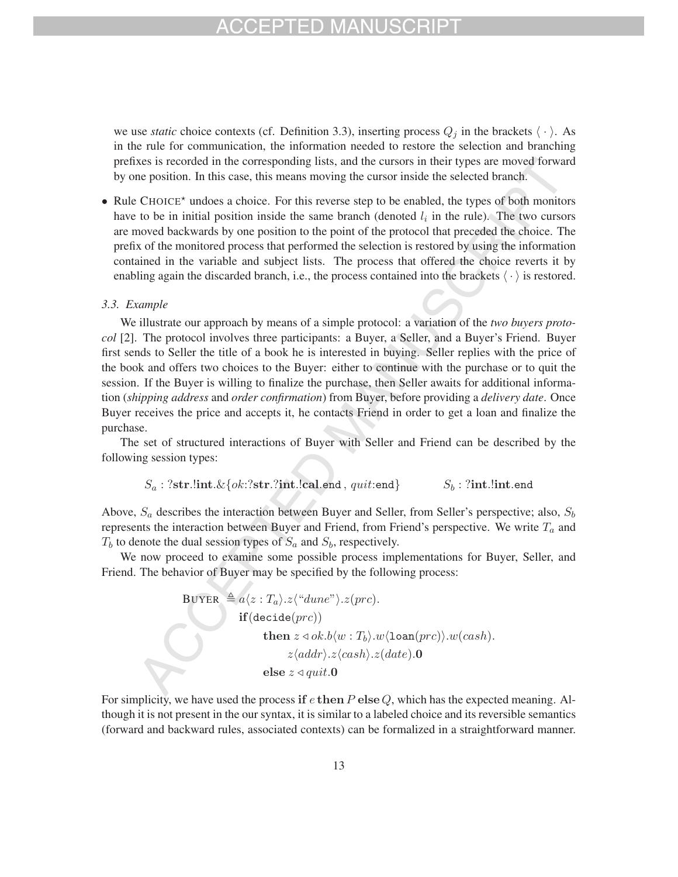we use *static* choice contexts (cf. Definition 3.3), inserting process  $Q_j$  in the brackets  $\langle \cdot \rangle$ . As in the rule for communication, the information needed to restore the selection and branching prefixes is recorded in the corresponding lists, and the cursors in their types are moved forward by one position. In this case, this means moving the cursor inside the selected branch.

• Rule CHOICE<sup>\*</sup> undoes a choice. For this reverse step to be enabled, the types of both monitors have to be in initial position inside the same branch (denoted  $l_i$  in the rule). The two cursors are moved backwards by one position to the point of the protocol that preceded the choice. The prefix of the monitored process that performed the selection is restored by using the information contained in the variable and subject lists. The process that offered the choice reverts it by enabling again the discarded branch, i.e., the process contained into the brackets  $\langle \cdot \rangle$  is restored.

### *3.3. Example*

We illustrate our approach by means of a simple protocol: a variation of the *two buyers protocol* [2]. The protocol involves three participants: a Buyer, a Seller, and a Buyer's Friend. Buyer first sends to Seller the title of a book he is interested in buying. Seller replies with the price of the book and offers two choices to the Buyer: either to continue with the purchase or to quit the session. If the Buyer is willing to finalize the purchase, then Seller awaits for additional information (*shipping address* and *order confirmation*) from Buyer, before providing a *delivery date*. Once Buyer receives the price and accepts it, he contacts Friend in order to get a loan and finalize the purchase.

The set of structured interactions of Buyer with Seller and Friend can be described by the following session types:

$$
S_a: ?str. \textbf{lint}.\& \{ok: ?str. ?\textbf{int}. \textbf{lead}, \textit{quit:end}\} \qquad S_b: ?\textbf{int}. \textbf{lint}. \textbf{end}
$$

Above,  $S_a$  describes the interaction between Buyer and Seller, from Seller's perspective; also,  $S_b$ represents the interaction between Buyer and Friend, from Friend's perspective. We write  $T_a$  and  $T_b$  to denote the dual session types of  $S_a$  and  $S_b$ , respectively.

We now proceed to examine some possible process implementations for Buyer, Seller, and Friend. The behavior of Buyer may be specified by the following process:

BUYER

\n
$$
\triangleq a \langle z : T_a \rangle \cdot z \langle \text{``dune''} \rangle \cdot z (prc).
$$
\nif (decide(prc))

\nthen  $z \triangleleft ok.b \langle w : T_b \rangle \cdot w \langle \text{loan(prc)} \rangle \cdot w (cash).$ 

\n
$$
z \langle addr \rangle \cdot z \langle cash \rangle \cdot z (date).0
$$
\nelse  $z \triangleleft quit.0$ 

For simplicity, we have used the process **if** e **then** P **else** Q, which has the expected meaning. Although it is not present in the our syntax, it is similar to a labeled choice and its reversible semantics (forward and backward rules, associated contexts) can be formalized in a straightforward manner.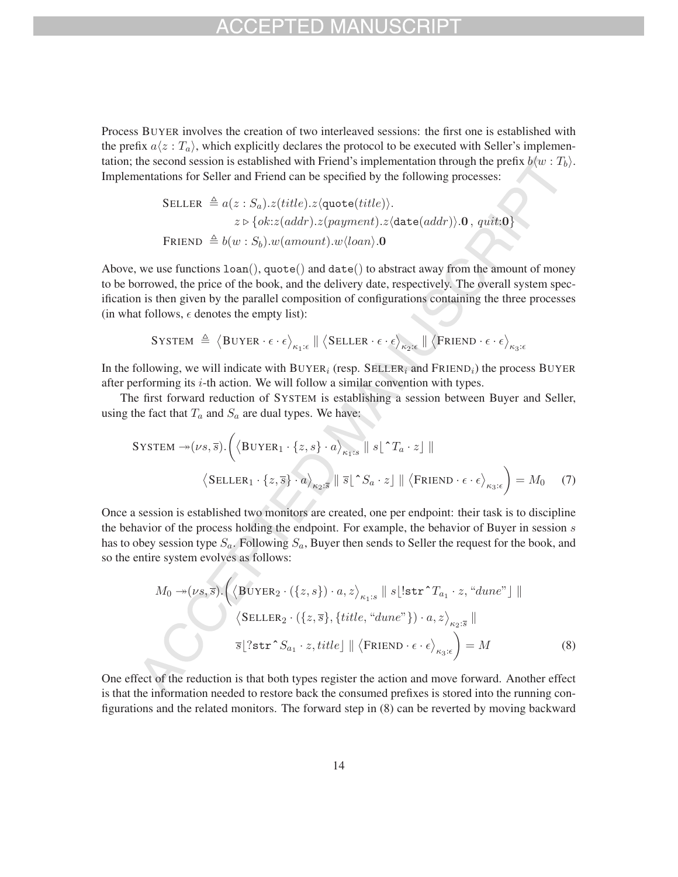## $-1$

Process BUYER involves the creation of two interleaved sessions: the first one is established with the prefix  $a\langle z : T_a \rangle$ , which explicitly declares the protocol to be executed with Seller's implementation; the second session is established with Friend's implementation through the prefix  $b\langle w : T_b \rangle$ . Implementations for Seller and Friend can be specified by the following processes:

$$
\begin{aligned} \texttt{SELECT} \triangleq a(z: S_a).z (title).z \langle \texttt{quote}(title) \rangle. \\ z \triangleright \{ok:z (addr).z (payment).z \langle \texttt{date}(addr) \rangle. \mathbf{0}, \, quit: \mathbf{0} \} \\ \texttt{FRIEND} \triangleq b(w: S_b).w(amount).w\langle loan \rangle. \mathbf{0} \end{aligned}
$$

Above, we use functions  $l$  oan(), quote() and  $data()$  to abstract away from the amount of money to be borrowed, the price of the book, and the delivery date, respectively. The overall system specification is then given by the parallel composition of configurations containing the three processes (in what follows,  $\epsilon$  denotes the empty list):

$$
\texttt{System} \triangleq \big \langle \texttt{Buyer} \cdot \epsilon \cdot \epsilon \big \rangle_{\kappa_1:\epsilon} \; \| \; \big \langle \texttt{SELECT} \cdot \epsilon \cdot \epsilon \big \rangle_{\kappa_2:\epsilon} \; \| \; \big \langle \texttt{Friend} \cdot \epsilon \cdot \epsilon \big \rangle_{\kappa_3:\epsilon}
$$

In the following, we will indicate with BUYER<sub>i</sub> (resp. SELLER<sub>i</sub> and FRIEND<sub>i</sub>) the process BUYER after performing its  $i$ -th action. We will follow a similar convention with types.

The first forward reduction of SYSTEM is establishing a session between Buyer and Seller, using the fact that  $T_a$  and  $S_a$  are dual types. We have:

$$
\text{System} \rightarrow (\nu s, \overline{s}) \cdot \left( \left\langle \text{BuyER}_{1} \cdot \{z, s\} \cdot a \right\rangle_{\kappa_{1} : s} \parallel s \lfloor \hat{z} T_{a} \cdot z \rfloor \parallel \right)
$$
\n
$$
\left\langle \text{SELLER}_{1} \cdot \{z, \overline{s}\} \cdot a \right\rangle_{\kappa_{2} : \overline{s}} \parallel \overline{s} \lfloor \hat{z} S_{a} \cdot z \rfloor \parallel \left\langle \text{FRIEND} \cdot \epsilon \cdot \epsilon \right\rangle_{\kappa_{3} : \epsilon} = M_{0} \quad (7)
$$

Once a session is established two monitors are created, one per endpoint: their task is to discipline the behavior of the process holding the endpoint. For example, the behavior of Buyer in session  $s$ has to obey session type  $S_a$ . Following  $S_a$ , Buyer then sends to Seller the request for the book, and so the entire system evolves as follows:

$$
M_0 \rightarrow (\nu s, \bar{s}). \left( \langle \text{BUYER}_2 \cdot (\{z, s\}) \cdot a, z \rangle_{\kappa_1:s} \parallel s \lfloor \text{str}^{\star} T_{a_1} \cdot z, \text{``dune''} \rfloor \parallel \right)
$$
  

$$
\langle \text{SELER}_2 \cdot (\{z, \bar{s}\}, \{title, \text{``dune''}\}) \cdot a, z \rangle_{\kappa_2:\bar{s}} \parallel
$$
  

$$
\bar{s} \lfloor ? \text{str}^{\star} S_{a_1} \cdot z, title \rfloor \parallel \langle \text{FRIEND} \cdot \epsilon \cdot \epsilon \rangle_{\kappa_3:\epsilon} \right) = M
$$
 (8)

One effect of the reduction is that both types register the action and move forward. Another effect is that the information needed to restore back the consumed prefixes is stored into the running configurations and the related monitors. The forward step in (8) can be reverted by moving backward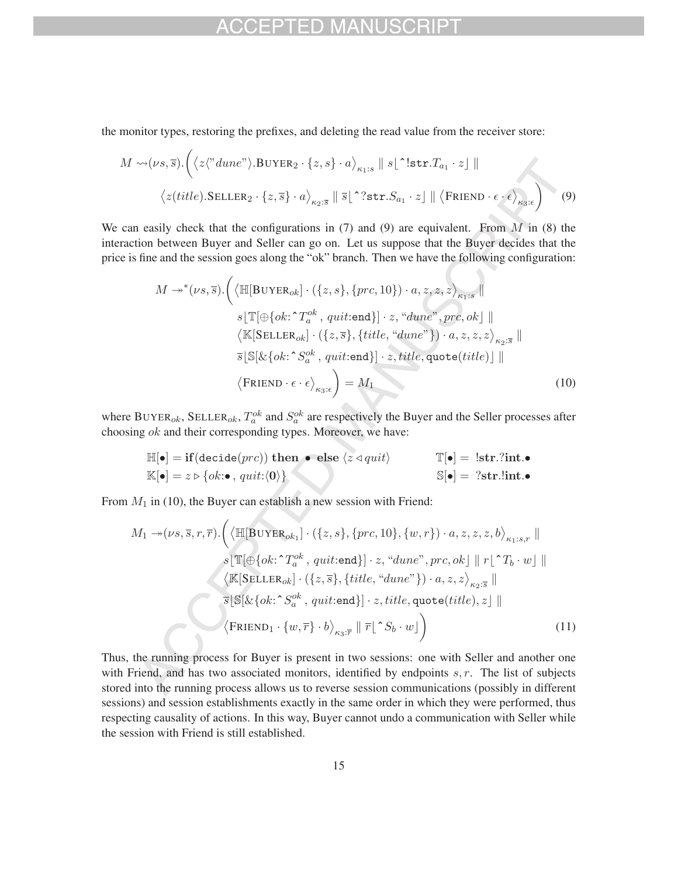the monitor types, restoring the prefixes, and deleting the read value from the receiver store:

$$
M \rightsquigarrow (\nu s, \overline{s}). \left( \langle z \langle \text{"dune"} \rangle . \text{BUYER}_2 \cdot \{z, s\} \cdot a \rangle_{\kappa_1:s} \parallel s \lfloor \text{"str.}T_{a_1} \cdot z \rfloor \parallel
$$
  

$$
\langle z (title). \text{SELECT}_2 \cdot \{z, \overline{s}\} \cdot a \rangle_{\kappa_2:s} \parallel \overline{s} \lfloor \text{"str.}S_{a_1} \cdot z \rfloor \parallel \langle \text{FRIEND} \cdot \epsilon \cdot \epsilon \rangle_{\kappa_3:s} \right)
$$
 (9)

We can easily check that the configurations in  $(7)$  and  $(9)$  are equivalent. From M in  $(8)$  the interaction between Buyer and Seller can go on. Let us suppose that the Buyer decides that the price is fine and the session goes along the "ok" branch. Then we have the following configuration:

$$
M \rightarrow^{*} (\nu s, \overline{s}) \cdot \left( \left\langle \mathbb{H}[\text{BUYER}_{ok}] \cdot (\{z, s\}, \{prc, 10\}) \cdot a, z, z, z \right\rangle_{\kappa_{1} : s} \right)
$$
  
\n
$$
s \left[ \mathbb{T}[\oplus \{ok : \Upsilon_{a}^{ok}, quit : \text{end}\}] \cdot z, \text{``dune''}, pre, ok] \right)
$$
  
\n
$$
\left\langle \mathbb{K}[\text{SELLER}_{ok}] \cdot (\{z, \overline{s}\}, \{title, \text{``dune''}\}) \cdot a, z, z, z \right\rangle_{\kappa_{2} : \overline{s}} \right)
$$
  
\n
$$
\overline{s}[\mathbb{S}[\& \{ok : \Upsilon_{a}^{ok}, quit : \text{end}\}] \cdot z, title, quote (title)] \parallel
$$
  
\n
$$
\left\langle \text{FRIEND} \cdot \epsilon \cdot \epsilon \right\rangle_{\kappa_{3} : \epsilon} = M_{1}
$$
\n(10)

where BUYER<sub>ok</sub>, SELLER<sub>ok</sub>,  $T_a^{ok}$  and  $S_a^{ok}$  are respectively the Buyer and the Seller processes after choosing  $ok$  and their corresponding types. Moreover, we have:

$$
\mathbb{H}[\bullet] = \textbf{if}(\text{decide}(prc)) \textbf{ then } \bullet \textbf{ else } \langle z \triangleleft quit \rangle \qquad \mathbb{T}[\bullet] = !\textbf{str}.?\textbf{int.} \bullet \n\mathbb{K}[\bullet] = z \triangleright \{ok : \bullet, quit : \langle 0 \rangle\} \qquad \qquad \mathbb{S}[\bullet] = ?\textbf{str}.!\textbf{int.} \bullet
$$

From  $M_1$  in (10), the Buyer can establish a new session with Friend:

$$
M_1 \rightarrow (\nu s, \overline{s}, r, \overline{r}). \Big( \langle \mathbb{H}[\text{BUYER}_{ok_1}] \cdot (\{z, s\}, \{prc, 10\}, \{w, r\}) \cdot a, z, z, z, b \rangle_{\kappa_1:s, r} \parallel
$$
  
\n
$$
s \lfloor \mathbb{T}[\oplus \{ok : \Upsilon_a^{ok}, quit:\text{end}\}] \cdot z, \text{``due''}, prc, ok] \parallel r \lfloor \Upsilon_b \cdot w \rfloor \parallel
$$
  
\n
$$
\langle \mathbb{K}[\text{SELLER}_{ok}] \cdot (\{z, \overline{s}\}, \{title, \text{``dune''}\}) \cdot a, z, z \rangle_{\kappa_2:s} \parallel
$$
  
\n
$$
\overline{s} \lfloor \mathbb{S}[\& \{ok : \Upsilon_a^{ok}, quit:\text{end}\}] \cdot z, title, quote(title), z] \parallel
$$
  
\n
$$
\langle \text{FRIEND}_1 \cdot \{w, \overline{r}\} \cdot b \rangle_{\kappa_3:s} \parallel \overline{r} \lfloor \Upsilon S_b \cdot w \rfloor
$$
\n(11)

Thus, the running process for Buyer is present in two sessions: one with Seller and another one with Friend, and has two associated monitors, identified by endpoints  $s, r$ . The list of subjects stored into the running process allows us to reverse session communications (possibly in different sessions) and session establishments exactly in the same order in which they were performed, thus respecting causality of actions. In this way, Buyer cannot undo a communication with Seller while the session with Friend is still established.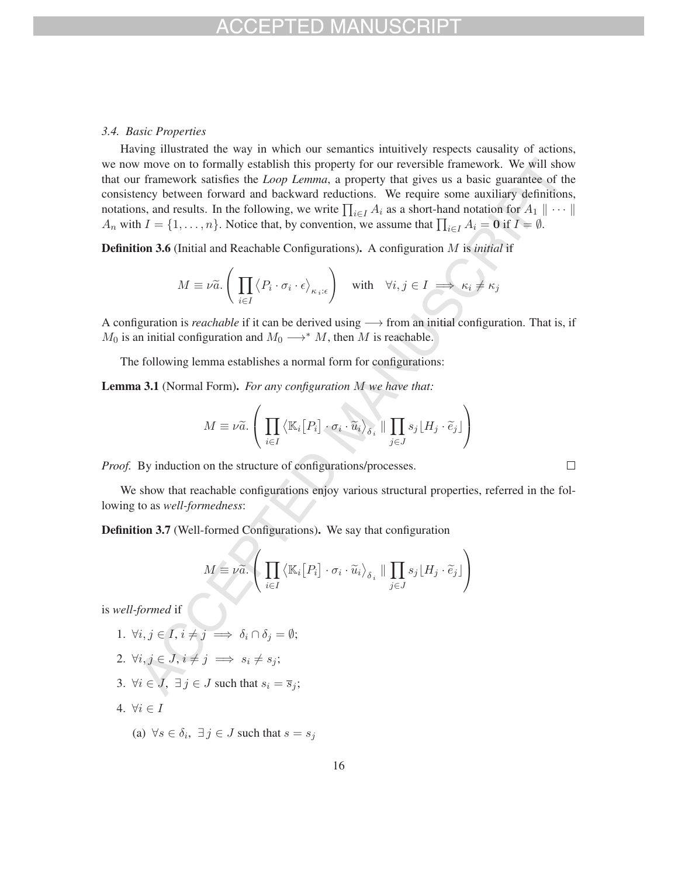### *3.4. Basic Properties*

Having illustrated the way in which our semantics intuitively respects causality of actions, we now move on to formally establish this property for our reversible framework. We will show that our framework satisfies the *Loop Lemma*, a property that gives us a basic guarantee of the consistency between forward and backward reductions. We require some auxiliary definitions, notations, and results. In the following, we write  $\prod_{i\in I} A_i$  as a short-hand notation for  $A_1 \parallel \cdots \parallel$ A<sub>n</sub> with  $I = \{1, ..., n\}$ . Notice that, by convention, we assume that  $\prod_{i \in I} A_i = \mathbf{0}$  if  $I = \emptyset$ .

Definition 3.6 (Initial and Reachable Configurations). A configuration M is *initial* if

$$
M \equiv \nu \widetilde{a}.\left(\prod_{i \in I} \left\langle P_i \cdot \sigma_i \cdot \epsilon \right\rangle_{\kappa_i:\epsilon}\right) \quad \text{with} \quad \forall i, j \in I \implies \kappa_i \neq \kappa_j
$$

A configuration is *reachable* if it can be derived using → from an initial configuration. That is, if  $M_0$  is an initial configuration and  $M_0 \longrightarrow^* M$ , then M is reachable.

The following lemma establishes a normal form for configurations:

Lemma 3.1 (Normal Form). *For any configuration* M *we have that:*

$$
M \equiv \nu \widetilde{a}.\left(\prod_{i\in I} \left\langle \mathbb{K}_i[P_i] \cdot \sigma_i \cdot \widetilde{u}_i \right\rangle_{\delta_i} \parallel \prod_{j\in J} s_j \lfloor H_j \cdot \widetilde{e}_j \rfloor \right)
$$

*Proof.* By induction on the structure of configurations/processes.

We show that reachable configurations enjoy various structural properties, referred in the following to as *well-formedness*:

Definition 3.7 (Well-formed Configurations). We say that configuration

$$
M \equiv \nu \widetilde{a}.\left(\prod_{i \in I} \left\langle \mathbb{K}_i[P_i] \cdot \sigma_i \cdot \widetilde{u}_i \right\rangle_{\delta_i} \parallel \prod_{j \in J} s_j \lfloor H_j \cdot \widetilde{e}_j \rfloor \right)
$$

is *well-formed* if

- 1.  $\forall i, j \in I, i \neq j \implies \delta_i \cap \delta_j = \emptyset;$
- 2.  $\forall i, j \in J, i \neq j \implies s_i \neq s_j;$
- 3.  $\forall i \in J$ ,  $\exists j \in J$  such that  $s_i = \overline{s}_j$ ;
- 4.  $\forall i \in I$ 
	- (a)  $\forall s \in \delta_i, \exists j \in J$  such that  $s = s_j$

 $\Box$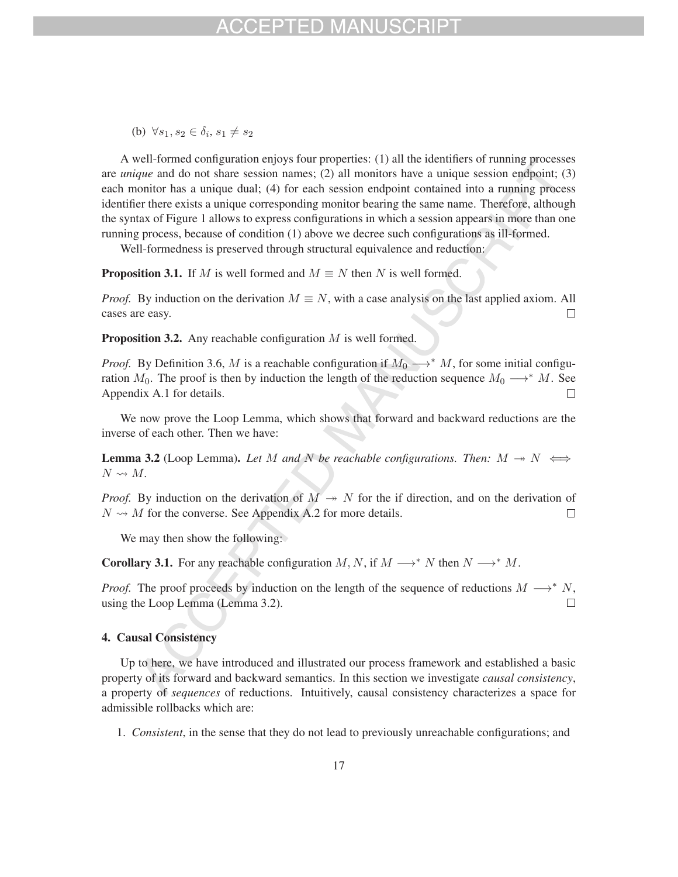## FPTED MAN

(b)  $\forall s_1, s_2 \in \delta_i, s_1 \neq s_2$ 

A well-formed configuration enjoys four properties: (1) all the identifiers of running processes are *unique* and do not share session names; (2) all monitors have a unique session endpoint; (3) each monitor has a unique dual; (4) for each session endpoint contained into a running process identifier there exists a unique corresponding monitor bearing the same name. Therefore, although the syntax of Figure 1 allows to express configurations in which a session appears in more than one running process, because of condition (1) above we decree such configurations as ill-formed.

Well-formedness is preserved through structural equivalence and reduction:

**Proposition 3.1.** If M is well formed and  $M \equiv N$  then N is well formed.

*Proof.* By induction on the derivation  $M \equiv N$ , with a case analysis on the last applied axiom. All cases are easy. cases are easy.

**Proposition 3.2.** Any reachable configuration  $M$  is well formed.

*Proof.* By Definition 3.6, M is a reachable configuration if  $M_0 \rightarrow^* M$ , for some initial configuration  $M_0$ . The proof is then by induction the length of the reduction sequence  $M_0 \longrightarrow^* M$ . See Appendix A.1 for details. Appendix A.1 for details.

We now prove the Loop Lemma, which shows that forward and backward reductions are the inverse of each other. Then we have:

**Lemma 3.2** (Loop Lemma). Let M and N be reachable configurations. Then:  $M \rightarrow N \iff$  $N \rightsquigarrow M$ .

*Proof.* By induction on the derivation of  $M \rightarrow N$  for the if direction, and on the derivation of  $N \rightsquigarrow M$  for the converse. See Appendix A.2 for more details.  $\Box$ 

We may then show the following:

**Corollary 3.1.** For any reachable configuration  $M, N$ , if  $M \rightarrow N^* N$  then  $N \rightarrow N^* M$ .

*Proof.* The proof proceeds by induction on the length of the sequence of reductions  $M \longrightarrow^* N$ , using the Loop Lemma (Lemma 3.2). using the Loop Lemma (Lemma 3.2).

### 4. Causal Consistency

Up to here, we have introduced and illustrated our process framework and established a basic property of its forward and backward semantics. In this section we investigate *causal consistency*, a property of *sequences* of reductions. Intuitively, causal consistency characterizes a space for admissible rollbacks which are:

1. *Consistent*, in the sense that they do not lead to previously unreachable configurations; and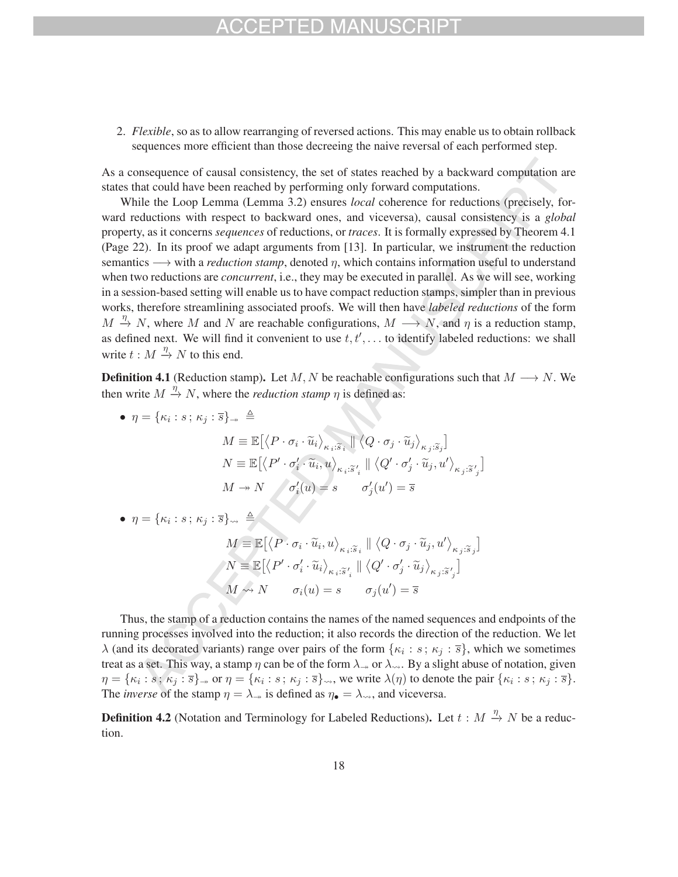## H) MA

2. *Flexible*, so as to allow rearranging of reversed actions. This may enable us to obtain rollback sequences more efficient than those decreeing the naive reversal of each performed step.

As a consequence of causal consistency, the set of states reached by a backward computation are states that could have been reached by performing only forward computations.

While the Loop Lemma (Lemma 3.2) ensures *local* coherence for reductions (precisely, forward reductions with respect to backward ones, and viceversa), causal consistency is a *global* property, as it concerns *sequences* of reductions, or *traces*. It is formally expressed by Theorem 4.1 (Page 22). In its proof we adapt arguments from [13]. In particular, we instrument the reduction semantics −→ with a *reduction stamp*, denoted <sup>η</sup>, which contains information useful to understand when two reductions are *concurrent*, i.e., they may be executed in parallel. As we will see, working in a session-based setting will enable us to have compact reduction stamps, simpler than in previous works, therefore streamlining associated proofs. We will then have *labeled reductions* of the form  $M \xrightarrow{\eta} N$ , where M and N are reachable configurations,  $M \longrightarrow N$ , and  $\eta$  is a reduction stamp, as defined next. We will find it convenient to use  $t, t', \ldots$  to identify labeled reductions: we shall write  $t : M \stackrel{\eta}{\rightarrow} N$  to this end.

**Definition 4.1** (Reduction stamp). Let M, N be reachable configurations such that  $M \rightarrow N$ . We then write  $M \stackrel{\eta}{\rightarrow} N$ , where the *reduction stamp*  $\eta$  is defined as:

•  $\eta = {\kappa_i : s \,;\, \kappa_j : \overline{s}}_{\rightarrow} \triangleq$  $\begin{split} \mathbb{E}[\mathbb{E}[\langle P \cdot \sigma_i \cdot \widetilde{u}_i \rangle_{\kappa_i: \widetilde{s}_i} \mid \langle Q \cdot \sigma_j \cdot \widetilde{u}_j \rangle_{\kappa_j: \widetilde{s}_j}] \end{split}$  $\begin{split} M & \equiv \mathbb{E}\big[\big\langle P \cdot \sigma_i \cdot \widetilde{u}_i \big\rangle_{\kappa_i:\widetilde{s}_i} \parallel \big\langle Q \cdot \sigma_j \cdot \widetilde{u}_j \big\rangle_{\kappa_j:\widetilde{s}_j} \big] \ N & \equiv \mathbb{E}\big[\big\langle P' \cdot \sigma'_i \cdot \widetilde{u}_i, u \big\rangle_{\kappa_i:\widetilde{s}'_i} \parallel \big\langle Q' \cdot \sigma'_j \cdot \widetilde{u}_j, u' \big\rangle_{\kappa_j:\widetilde{s}'_j} \big] \end{split}$  $\widetilde{s}_i$  ||<br> $\kappa_i:\widetilde{s}$  $\overline{\phantom{a}}$  $M \twoheadrightarrow N$   $\sigma'_i(u) = s$   $\sigma'_j(u') = \overline{s}$ 

• 
$$
\eta = \{\kappa_i : s \, ; \, \kappa_j : \overline{s}\}_{\leadsto} \stackrel{\Delta}{=}
$$

$$
\begin{aligned}\n\overline{s} &\}_{\leadsto} \triangleq \\
M &\equiv \mathbb{E}\big[\big\langle P \cdot \sigma_i \cdot \widetilde{u}_i, u \big\rangle_{\kappa_i : \widetilde{s}_i} \parallel \big\langle Q \cdot \sigma_j \cdot \widetilde{u}_j, u' \big\rangle_{\kappa_j : \widetilde{s}_j} \big] \\
N &\equiv \mathbb{E}\big[\big\langle P' \cdot \sigma'_i \cdot \widetilde{u}_i \big\rangle_{\kappa_i : \widetilde{s}'_i} \parallel \big\langle Q' \cdot \sigma'_j \cdot \widetilde{u}_j \big\rangle_{\kappa_j : \widetilde{s}'_j} \big] \\
M &\leadsto N \qquad \sigma_i(u) = s \qquad \sigma_j(u') = \overline{s}\n\end{aligned}
$$

Thus, the stamp of a reduction contains the names of the named sequences and endpoints of the running processes involved into the reduction; it also records the direction of the reduction. We let  $\lambda$  (and its decorated variants) range over pairs of the form  $\{\kappa_i : s : \kappa_j : \bar{s}\}$ , which we sometimes treat as a set. This way, a stamp  $\eta$  can be of the form  $\lambda_{\to}$  or  $\lambda_{\to}$ . By a slight abuse of notation, given  $\eta = {\kappa_i : s; \kappa_j : \overline{s}}$  or  $\eta = {\kappa_i : s; \kappa_j : \overline{s}}$  we write  $\lambda(\eta)$  to denote the pair  ${\kappa_i : s; \kappa_j : \overline{s}}$ . The *inverse* of the stamp  $\eta = \lambda_{\rightarrow}$  is defined as  $\eta_{\bullet} = \lambda_{\rightarrow}$ , and viceversa.

**Definition 4.2** (Notation and Terminology for Labeled Reductions). Let  $t : M \stackrel{\eta}{\to} N$  be a reduction.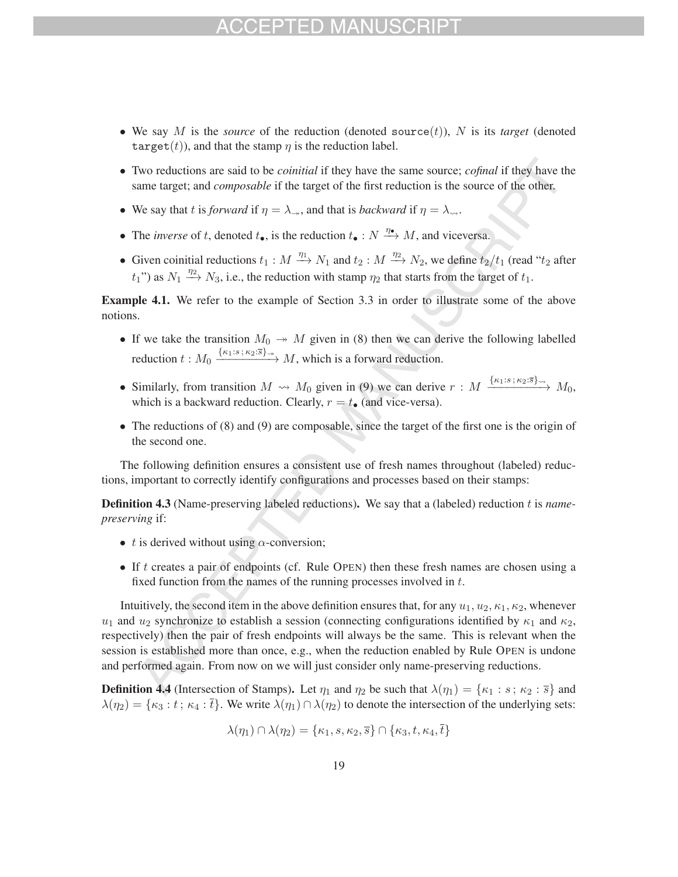## $-1$ )

- We say M is the *source* of the reduction (denoted source $(t)$ ), N is its *target* (denoted target(t)), and that the stamp  $\eta$  is the reduction label.
- Two reductions are said to be *coinitial* if they have the same source; *cofinal* if they have the same target; and *composable* if the target of the first reduction is the source of the other.
- We say that t is *forward* if  $\eta = \lambda_{\rightarrow}$ , and that is *backward* if  $\eta = \lambda_{\rightarrow}$ .
- The *inverse* of t, denoted  $t_{\bullet}$ , is the reduction  $t_{\bullet}: N \xrightarrow{\eta_{\bullet}} M$ , and viceversa.
- Given coinitial reductions  $t_1 : M \xrightarrow{\eta_1} N_1$  and  $t_2 : M \xrightarrow{\eta_2} N_2$ , we define  $t_2/t_1$  (read " $t_2$  after  $t_1$ ") as  $N_1 \stackrel{\eta_2}{\longrightarrow} N_3$ , i.e., the reduction with stamp  $\eta_2$  that starts from the target of  $t_1$ .

Example 4.1. We refer to the example of Section 3.3 in order to illustrate some of the above notions.

- If we take the transition  $M_0 \rightarrow M$  given in (8) then we can derive the following labelled reduction  $t: M_0 \xrightarrow{\{\kappa_1:s; \kappa_2:s\}} M$ , which is a forward reduction.
- Similarly, from transition  $M \rightsquigarrow M_0$  given in (9) we can derive  $r : M \xrightarrow{\{\kappa_1:s ; \kappa_2:s\}} M_0$ , which is a backward reduction. Clearly,  $r = t_{\bullet}$  (and vice-versa).
- The reductions of (8) and (9) are composable, since the target of the first one is the origin of the second one.

The following definition ensures a consistent use of fresh names throughout (labeled) reductions, important to correctly identify configurations and processes based on their stamps:

Definition 4.3 (Name-preserving labeled reductions). We say that a (labeled) reduction t is *namepreserving* if:

- t is derived without using  $\alpha$ -conversion;
- If  $t$  creates a pair of endpoints (cf. Rule OPEN) then these fresh names are chosen using a fixed function from the names of the running processes involved in t.

Intuitively, the second item in the above definition ensures that, for any  $u_1, u_2, \kappa_1, \kappa_2$ , whenever  $u_1$  and  $u_2$  synchronize to establish a session (connecting configurations identified by  $\kappa_1$  and  $\kappa_2$ , respectively) then the pair of fresh endpoints will always be the same. This is relevant when the session is established more than once, e.g., when the reduction enabled by Rule OPEN is undone and performed again. From now on we will just consider only name-preserving reductions.

**Definition 4.4** (Intersection of Stamps). Let  $\eta_1$  and  $\eta_2$  be such that  $\lambda(\eta_1) = {\kappa_1 : s : \kappa_2 : \bar{s}}$  and  $\lambda(\eta_2) = {\kappa_3 : t; \kappa_4 : \bar{t}}$ . We write  $\lambda(\eta_1) \cap \lambda(\eta_2)$  to denote the intersection of the underlying sets:

$$
\lambda(\eta_1) \cap \lambda(\eta_2) = \{\kappa_1, s, \kappa_2, \overline{s}\} \cap \{\kappa_3, t, \kappa_4, \overline{t}\}\
$$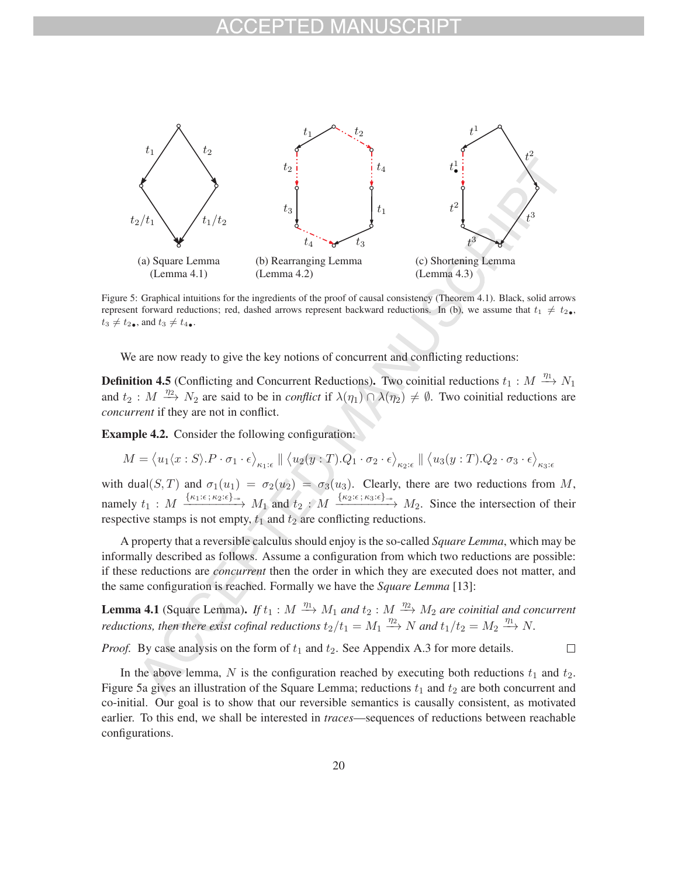

Figure 5: Graphical intuitions for the ingredients of the proof of causal consistency (Theorem 4.1). Black, solid arrows represent forward reductions; red, dashed arrows represent backward reductions. In (b), we assume that  $t_1 \neq t_2$ ,  $t_3 \neq t_2$ , and  $t_3 \neq t_4$ .

We are now ready to give the key notions of concurrent and conflicting reductions:

**Definition 4.5** (Conflicting and Concurrent Reductions). Two coinitial reductions  $t_1 : M \longrightarrow N_1$ and  $t_2 : M \stackrel{\eta_2}{\longrightarrow} N_2$  are said to be in *conflict* if  $\lambda(\eta_1) \cap \lambda(\eta_2) \neq \emptyset$ . Two coinitial reductions are *concurrent* if they are not in conflict.

Example 4.2. Consider the following configuration:

$$
M = \langle u_1 \langle x : S \rangle \cdot P \cdot \sigma_1 \cdot \epsilon \rangle_{\kappa_1 : \epsilon} \parallel \langle u_2 \langle y : T \rangle \cdot Q_1 \cdot \sigma_2 \cdot \epsilon \rangle_{\kappa_2 : \epsilon} \parallel \langle u_3 \langle y : T \rangle \cdot Q_2 \cdot \sigma_3 \cdot \epsilon \rangle_{\kappa_3 : \epsilon}
$$

with dual(S, T) and  $\sigma_1(u_1) = \sigma_2(u_2) = \sigma_3(u_3)$ . Clearly, there are two reductions from M, namely  $t_1: M \xrightarrow{\{\kappa_1:\epsilon; \kappa_2:\epsilon\}\rightarrow} M_1$  and  $t_2: M \xrightarrow{\{\kappa_2:\epsilon; \kappa_3:\epsilon\}\rightarrow} M_2$ . Since the intersection of their respective stamps is not empty,  $t_1$  and  $t_2$  are conflicting reductions.

A property that a reversible calculus should enjoy is the so-called *Square Lemma*, which may be informally described as follows. Assume a configuration from which two reductions are possible: if these reductions are *concurrent* then the order in which they are executed does not matter, and the same configuration is reached. Formally we have the *Square Lemma* [13]:

**Lemma 4.1** (Square Lemma). *If*  $t_1 : M \xrightarrow{\eta_1} M_1$  *and*  $t_2 : M \xrightarrow{\eta_2} M_2$  *are coinitial and concurrent reductions, then there exist cofinal reductions*  $t_2/t_1 = M_1 \stackrel{\eta_2}{\longrightarrow} N$  *and*  $t_1/t_2 = M_2 \stackrel{\eta_1}{\longrightarrow} N$ .

 $\Box$ 

*Proof.* By case analysis on the form of  $t_1$  and  $t_2$ . See Appendix A.3 for more details.

In the above lemma, N is the configuration reached by executing both reductions  $t_1$  and  $t_2$ . Figure 5a gives an illustration of the Square Lemma; reductions  $t_1$  and  $t_2$  are both concurrent and co-initial. Our goal is to show that our reversible semantics is causally consistent, as motivated earlier. To this end, we shall be interested in *traces*—sequences of reductions between reachable configurations.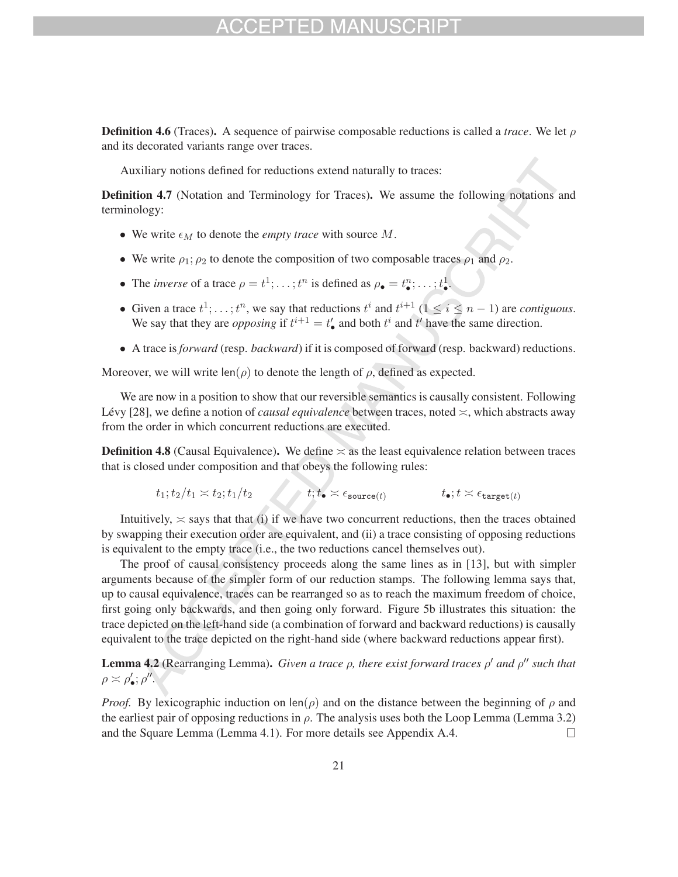## FPTED MA

**Definition 4.6** (Traces). A sequence of pairwise composable reductions is called a *trace*. We let  $\rho$ and its decorated variants range over traces.

Auxiliary notions defined for reductions extend naturally to traces:

Definition 4.7 (Notation and Terminology for Traces). We assume the following notations and terminology:

- We write  $\epsilon_M$  to denote the *empty trace* with source M.
- We write  $\rho_1$ ;  $\rho_2$  to denote the composition of two composable traces  $\rho_1$  and  $\rho_2$ .
- The *inverse* of a trace  $\rho = t^1; \ldots; t^n$  is defined as  $\rho_{\bullet} = t^n_{\bullet}; \ldots; t^1_{\bullet}$ .
- Given a trace  $t^1; \ldots; t^n$ , we say that reductions  $t^i$  and  $t^{i+1}$   $(1 \le i \le n-1)$  are *contiguous*. We say that they are *opposing* if  $t^{i+1} = t'_\bullet$  and both  $t^i$  and  $t'$  have the same direction.
- A trace is *forward* (resp. *backward*) if it is composed of forward (resp. backward) reductions.

Moreover, we will write  $len(\rho)$  to denote the length of  $\rho$ , defined as expected.

We are now in a position to show that our reversible semantics is causally consistent. Following Lévy [28], we define a notion of *causal equivalence* between traces, noted  $\le$ , which abstracts away from the order in which concurrent reductions are executed.

**Definition 4.8** (Causal Equivalence). We define  $\approx$  as the least equivalence relation between traces that is closed under composition and that obeys the following rules:

$$
t_1; t_2/t_1 \approx t_2; t_1/t_2 \qquad \qquad t; t_{\bullet} \approx \epsilon_{\text{source}(t)} \qquad \qquad t_{\bullet}; t \approx \epsilon_{\text{target}(t)}
$$

Intuitively,  $\approx$  says that that (i) if we have two concurrent reductions, then the traces obtained by swapping their execution order are equivalent, and (ii) a trace consisting of opposing reductions is equivalent to the empty trace (i.e., the two reductions cancel themselves out).

The proof of causal consistency proceeds along the same lines as in [13], but with simpler arguments because of the simpler form of our reduction stamps. The following lemma says that, up to causal equivalence, traces can be rearranged so as to reach the maximum freedom of choice, first going only backwards, and then going only forward. Figure 5b illustrates this situation: the trace depicted on the left-hand side (a combination of forward and backward reductions) is causally equivalent to the trace depicted on the right-hand side (where backward reductions appear first).

**Lemma 4.2** (Rearranging Lemma). *Given a trace*  $\rho$ *, there exist forward traces*  $\rho'$  *and*  $\rho''$  *such that*  $\rho \asymp \rho'_{\bullet}; \rho''$ .

*Proof.* By lexicographic induction on len( $\rho$ ) and on the distance between the beginning of  $\rho$  and the earliest pair of opposing reductions in  $\rho$ . The analysis uses both the Loop Lemma (Lemma 3.2) and the Square Lemma (Lemma 4.1). For more details see Appendix A.4.  $\Box$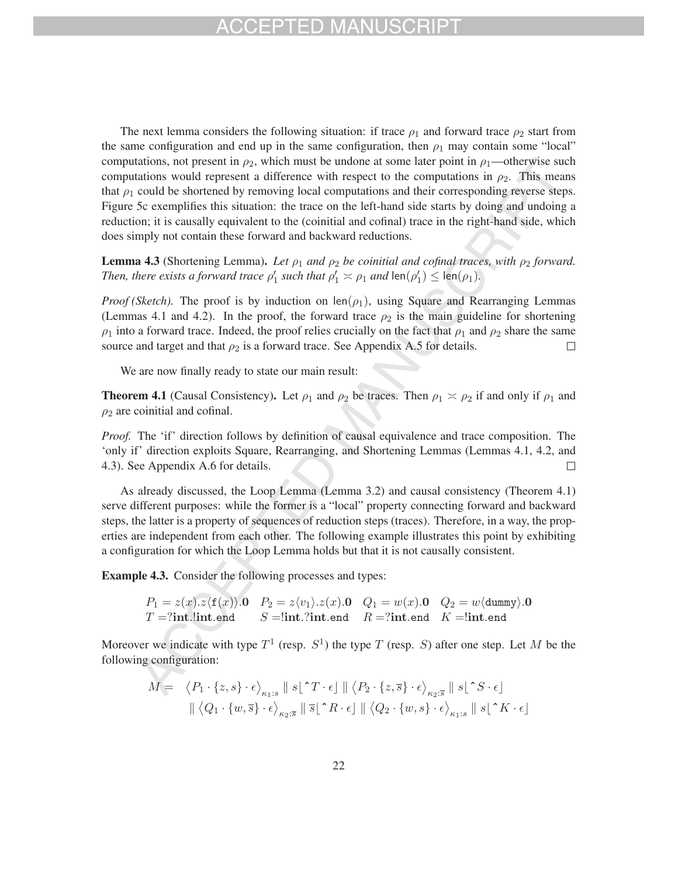The next lemma considers the following situation: if trace  $\rho_1$  and forward trace  $\rho_2$  start from the same configuration and end up in the same configuration, then  $\rho_1$  may contain some "local" computations, not present in  $\rho_2$ , which must be undone at some later point in  $\rho_1$ —otherwise such computations would represent a difference with respect to the computations in  $\rho_2$ . This means that  $\rho_1$  could be shortened by removing local computations and their corresponding reverse steps. Figure 5c exemplifies this situation: the trace on the left-hand side starts by doing and undoing a reduction; it is causally equivalent to the (coinitial and cofinal) trace in the right-hand side, which does simply not contain these forward and backward reductions.

**Lemma 4.3** (Shortening Lemma). *Let*  $\rho_1$  *and*  $\rho_2$  *be coinitial and cofinal traces, with*  $\rho_2$  *forward. Then, there exists a forward trace*  $\rho'_1$  *such that*  $\rho'_1 \asymp \rho_1$  *and*  $\text{len}(\rho'_1) \leq \text{len}(\rho_1)$ *.* 

*Proof (Sketch).* The proof is by induction on len $(\rho_1)$ , using Square and Rearranging Lemmas (Lemmas 4.1 and 4.2). In the proof, the forward trace  $\rho_2$  is the main guideline for shortening  $\rho_1$  into a forward trace. Indeed, the proof relies crucially on the fact that  $\rho_1$  and  $\rho_2$  share the same source and target and that  $\rho_2$  is a forward trace. See Appendix A.5 for details.  $\Box$ 

We are now finally ready to state our main result:

**Theorem 4.1** (Causal Consistency). Let  $\rho_1$  and  $\rho_2$  be traces. Then  $\rho_1 \approx \rho_2$  if and only if  $\rho_1$  and  $\rho_2$  are coinitial and cofinal.

*Proof.* The 'if' direction follows by definition of causal equivalence and trace composition. The 'only if' direction exploits Square, Rearranging, and Shortening Lemmas (Lemmas 4.1, 4.2, and 4.3). See Appendix A.6 for details.  $\Box$ 

As already discussed, the Loop Lemma (Lemma 3.2) and causal consistency (Theorem 4.1) serve different purposes: while the former is a "local" property connecting forward and backward steps, the latter is a property of sequences of reduction steps (traces). Therefore, in a way, the properties are independent from each other. The following example illustrates this point by exhibiting a configuration for which the Loop Lemma holds but that it is not causally consistent.

Example 4.3. Consider the following processes and types:

$$
P_1 = z(x).z \langle f(x) \rangle \text{.0} \quad P_2 = z \langle v_1 \rangle \text{.}z(x) \text{.0} \quad Q_1 = w(x).0 \quad Q_2 = w \langle \text{dummy} \rangle \text{.0}
$$
  

$$
T = ?\text{int.!int.end} \quad S = !\text{int.?int.end} \quad R = ?\text{int.end} \quad K = !\text{int.end}
$$

Moreover we indicate with type  $T^1$  (resp.  $S^1$ ) the type T (resp. S) after one step. Let M be the following configuration:

$$
M = \langle P_1 \cdot \{z, s\} \cdot \epsilon \rangle_{\kappa_1 : s} \parallel s \upharpoonright T \cdot \epsilon \parallel \langle P_2 \cdot \{z, \overline{s}\} \cdot \epsilon \rangle_{\kappa_2 : \overline{s}} \parallel s \upharpoonright S \cdot \epsilon]
$$

$$
\parallel \langle Q_1 \cdot \{w, \overline{s}\} \cdot \epsilon \rangle_{\kappa_2 : \overline{s}} \parallel \overline{s} \upharpoonright T \cdot \epsilon \parallel \langle Q_2 \cdot \{w, s\} \cdot \epsilon \rangle_{\kappa_1 : s} \parallel s \upharpoonright T \cdot \epsilon
$$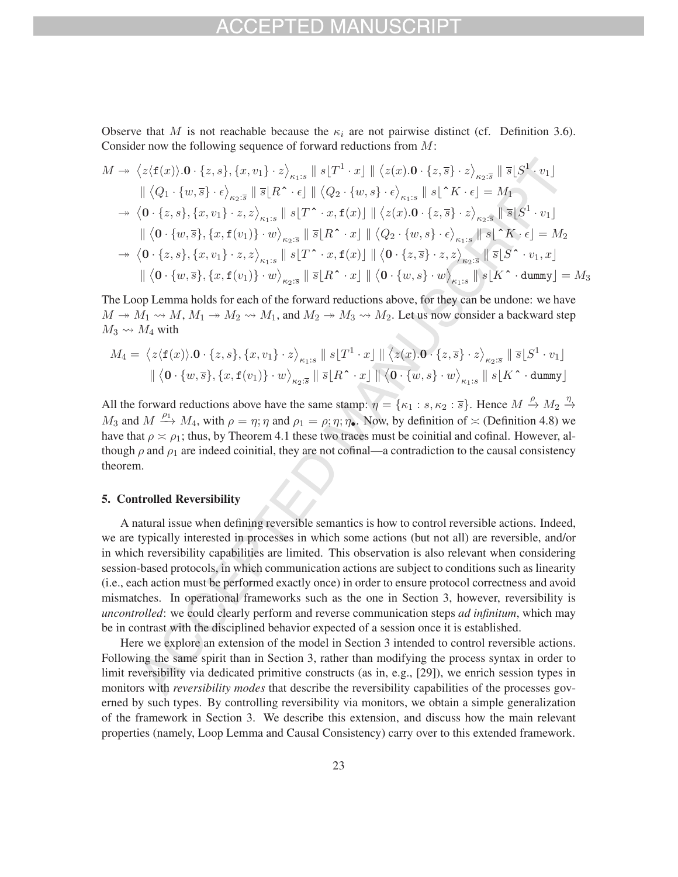Observe that M is not reachable because the  $\kappa_i$  are not pairwise distinct (cf. Definition 3.6). Consider now the following sequence of forward reductions from M:

$$
M \rightarrow \langle z \langle f(x) \rangle \cdot 0 \cdot \{z, s\}, \{x, v_1\} \cdot z \rangle_{\kappa_1:s} \parallel s \lfloor T^1 \cdot x \rfloor \parallel \langle z(x) \cdot 0 \cdot \{z, \overline{s}\} \cdot z \rangle_{\kappa_2:s} \parallel \overline{s} \lfloor S^1 \cdot v_1 \rfloor
$$
  
\n
$$
\parallel \langle Q_1 \cdot \{w, \overline{s}\} \cdot \epsilon \rangle_{\kappa_2:s} \parallel \overline{s} \lfloor R^{\widehat{\bullet}} \cdot \epsilon \rfloor \parallel \langle Q_2 \cdot \{w, s\} \cdot \epsilon \rangle_{\kappa_1:s} \parallel s \lfloor \widehat{\bullet} K \cdot \epsilon \rfloor = M_1
$$
  
\n
$$
\rightarrow \langle 0 \cdot \{z, s\}, \{x, v_1\} \cdot z, z \rangle_{\kappa_1:s} \parallel s \lfloor T^{\widehat{\bullet}} \cdot x, f(x) \rfloor \parallel \langle z(x) \cdot 0 \cdot \{z, \overline{s}\} \cdot z \rangle_{\kappa_2:s} \parallel \overline{s} \lfloor S^1 \cdot v_1 \rfloor
$$
  
\n
$$
\parallel \langle 0 \cdot \{w, \overline{s}\}, \{x, f(v_1)\} \cdot w \rangle_{\kappa_2:s} \parallel \overline{s} \lfloor R^{\widehat{\bullet}} \cdot x \rfloor \parallel \langle Q_2 \cdot \{w, s\} \cdot \epsilon \rangle_{\kappa_1:s} \parallel s \lfloor \widehat{\bullet} K \cdot \epsilon \rfloor = M_2
$$
  
\n
$$
\rightarrow \langle 0 \cdot \{z, s\}, \{x, v_1\} \cdot z, z \rangle_{\kappa_1:s} \parallel s \lfloor T^{\widehat{\bullet}} \cdot x, f(x) \rfloor \parallel \langle 0 \cdot \{z, \overline{s}\} \cdot z, z \rangle_{\kappa_2:s} \parallel \overline{s} \lfloor S^{\widehat{\bullet}} \cdot v_1, x \rfloor
$$
  
\n
$$
\parallel \langle 0 \cdot \{w, \overline{s}\}, \{x, f(v_1)\} \cdot w \rangle_{\kappa_2:s} \parallel \overline{s} \lfloor R^{\widehat{\bullet}} \cdot x \rfloor \parallel \langle 0 \cdot \{w, s\} \cdot w \rangle_{\kappa_1:s} \parallel s \lfloor K^{\widehat{\bullet}} \cdot
$$

The Loop Lemma holds for each of the forward reductions above, for they can be undone: we have  $M \to M_1 \rightsquigarrow M, M_1 \to M_2 \rightsquigarrow M_1$ , and  $M_2 \to M_3 \rightsquigarrow M_2$ . Let us now consider a backward step  $M_3 \rightsquigarrow M_4$  with

$$
M_4 = \langle z \langle \mathbf{f}(x) \rangle \cdot \mathbf{0} \cdot \{z, s\}, \{x, v_1\} \cdot z \rangle_{\kappa_1:s} \parallel s \lfloor T^1 \cdot x \rfloor \parallel \langle z(x) \cdot \mathbf{0} \cdot \{z, \overline{s}\} \cdot z \rangle_{\kappa_2:s} \parallel \overline{s} \lfloor S^1 \cdot v_1 \rfloor
$$

$$
\parallel \langle \mathbf{0} \cdot \{w, \overline{s}\}, \{x, \mathbf{f}(v_1)\} \cdot w \rangle_{\kappa_2:s} \parallel \overline{s} \lfloor R^\frown x \rfloor \parallel \langle \mathbf{0} \cdot \{w, s\} \cdot w \rangle_{\kappa_1:s} \parallel s \lfloor K^\frown \text{dummy} \rfloor
$$

All the forward reductions above have the same stamp:  $\eta = {\kappa_1 : s, \kappa_2 : \overline{s}}$ . Hence  $M \xrightarrow{\rho} M_2 \xrightarrow{\eta} M_1$ −→  $M_3$  and  $M \xrightarrow{\rho_1} M_4$ , with  $\rho = \eta; \eta$  and  $\rho_1 = \rho; \eta; \eta_2$ . Now, by definition of  $\asymp$  (Definition 4.8) we have that  $\rho \approx \rho_1$ ; thus, by Theorem 4.1 these two traces must be coinitial and cofinal. However, although  $\rho$  and  $\rho_1$  are indeed coinitial, they are not cofinal—a contradiction to the causal consistency theorem.

### 5. Controlled Reversibility

A natural issue when defining reversible semantics is how to control reversible actions. Indeed, we are typically interested in processes in which some actions (but not all) are reversible, and/or in which reversibility capabilities are limited. This observation is also relevant when considering session-based protocols, in which communication actions are subject to conditions such as linearity (i.e., each action must be performed exactly once) in order to ensure protocol correctness and avoid mismatches. In operational frameworks such as the one in Section 3, however, reversibility is *uncontrolled*: we could clearly perform and reverse communication steps *ad infinitum*, which may be in contrast with the disciplined behavior expected of a session once it is established.

Here we explore an extension of the model in Section 3 intended to control reversible actions. Following the same spirit than in Section 3, rather than modifying the process syntax in order to limit reversibility via dedicated primitive constructs (as in, e.g., [29]), we enrich session types in monitors with *reversibility modes* that describe the reversibility capabilities of the processes governed by such types. By controlling reversibility via monitors, we obtain a simple generalization of the framework in Section 3. We describe this extension, and discuss how the main relevant properties (namely, Loop Lemma and Causal Consistency) carry over to this extended framework.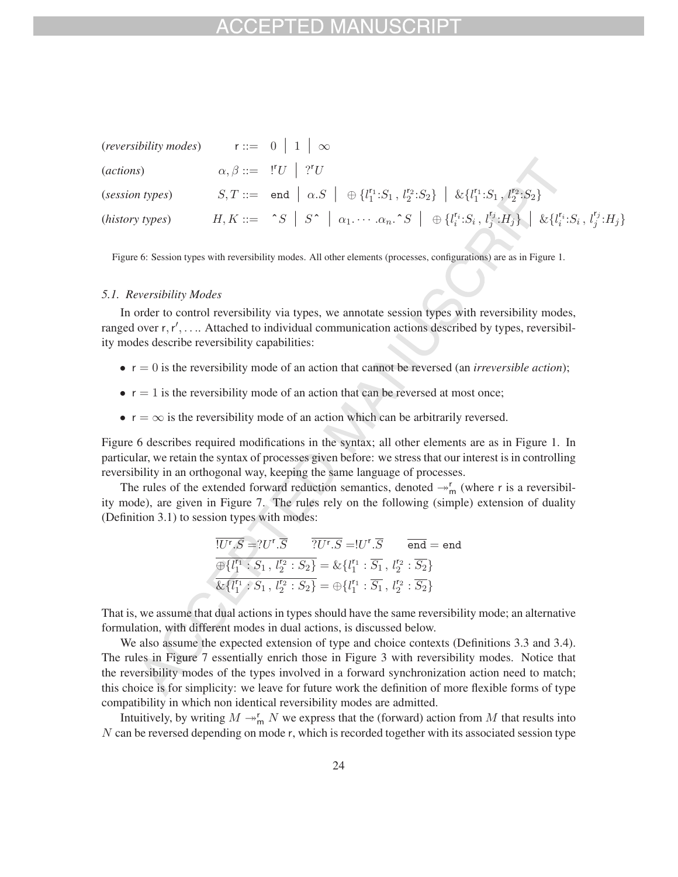| (reversibility modes)    | $r ::= 0   1   \infty$                                                                                                                                                |  |
|--------------------------|-----------------------------------------------------------------------------------------------------------------------------------------------------------------------|--|
| ( <i>actions</i> )       | $\alpha, \beta ::= \vert "U \vert \vert ?^r U$                                                                                                                        |  |
| (session types)          | $S,T ::= \text{ end }   \alpha.S   \oplus \{l_1^{r_1}:S_1, l_2^{r_2}:S_2\}   \& \{l_1^{r_1}:S_1, l_2^{r_2}:S_2\}$                                                     |  |
| ( <i>history types</i> ) | $H, K ::= \hat{S} \mid S \hat{S} \mid \alpha_1 \cdots \alpha_n \hat{S} \mid \oplus \{l_i^{r_i} : S_i, l_j^{r_j} : H_j\} \mid \& \{l_i^{r_i} : S_i, l_j^{r_j} : H_j\}$ |  |

Figure 6: Session types with reversibility modes. All other elements (processes, configurations) are as in Figure 1.

#### *5.1. Reversibility Modes*

In order to control reversibility via types, we annotate session types with reversibility modes, ranged over r, r', .... Attached to individual communication actions described by types, reversibility modes describe reversibility capabilities:

- $\bullet$   $r = 0$  is the reversibility mode of an action that cannot be reversed (an *irreversible action*);
- $\bullet$  r = 1 is the reversibility mode of an action that can be reversed at most once;
- $r = \infty$  is the reversibility mode of an action which can be arbitrarily reversed.

Figure 6 describes required modifications in the syntax; all other elements are as in Figure 1. In particular, we retain the syntax of processes given before: we stress that our interest is in controlling reversibility in an orthogonal way, keeping the same language of processes.

The rules of the extended forward reduction semantics, denoted  $\rightarrow_{m}^{r}$  (where r is a reversibility mode), are given in Figure 7. The rules rely on the following (simple) extension of duality (Definition 3.1) to session types with modes:

$$
\overline{!U^r.S} = ?U^r.\overline{S} \qquad \overline{?U^r.S} = !U^r.\overline{S} \qquad \overline{end} = end
$$
  

$$
\overline{\bigoplus \{l_1^{r_1} : S_1, l_2^{r_2} : S_2\}} = \& \{l_1^{r_1} : \overline{S_1}, l_2^{r_2} : \overline{S_2}\}
$$
  

$$
\overline{\& \{l_1^{r_1} : S_1, l_2^{r_2} : S_2\}} = \bigoplus \{l_1^{r_1} : \overline{S_1}, l_2^{r_2} : \overline{S_2}\}
$$

That is, we assume that dual actions in types should have the same reversibility mode; an alternative formulation, with different modes in dual actions, is discussed below.

We also assume the expected extension of type and choice contexts (Definitions 3.3 and 3.4). The rules in Figure 7 essentially enrich those in Figure 3 with reversibility modes. Notice that the reversibility modes of the types involved in a forward synchronization action need to match; this choice is for simplicity: we leave for future work the definition of more flexible forms of type compatibility in which non identical reversibility modes are admitted.

Intuitively, by writing  $M \rightarrow_m^r N$  we express that the (forward) action from M that results into N can be reversed depending on mode r, which is recorded together with its associated session type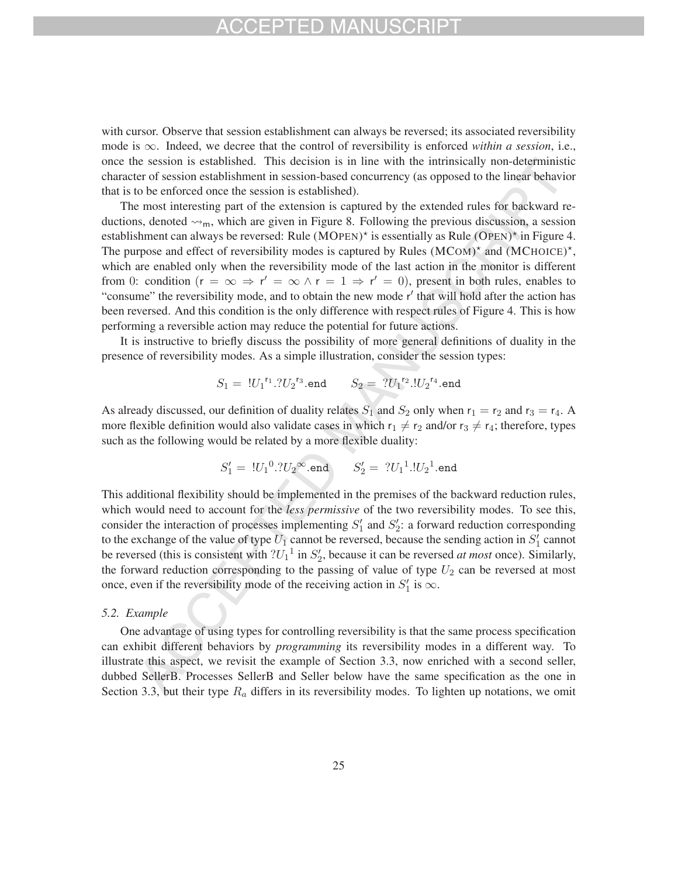## FD MAN

with cursor. Observe that session establishment can always be reversed; its associated reversibility mode is ∞. Indeed, we decree that the control of reversibility is enforced *within a session*, i.e., once the session is established. This decision is in line with the intrinsically non-deterministic character of session establishment in session-based concurrency (as opposed to the linear behavior that is to be enforced once the session is established).

The most interesting part of the extension is captured by the extended rules for backward reductions, denoted  $\rightsquigarrow_m$ , which are given in Figure 8. Following the previous discussion, a session establishment can always be reversed: Rule (MOPEN)<sup>\*</sup> is essentially as Rule (OPEN)<sup>\*</sup> in Figure 4. The purpose and effect of reversibility modes is captured by Rules  $(MCOM)^*$  and  $(MCHOICE)^*$ , which are enabled only when the reversibility mode of the last action in the monitor is different from 0: condition  $(r = \infty \Rightarrow r' = \infty \land r = 1 \Rightarrow r' = 0)$ , present in both rules, enables to "consume" the reversibility mode, and to obtain the new mode r' that will hold after the action has been reversed. And this condition is the only difference with respect rules of Figure 4. This is how performing a reversible action may reduce the potential for future actions.

It is instructive to briefly discuss the possibility of more general definitions of duality in the presence of reversibility modes. As a simple illustration, consider the session types:

$$
S_1 = \, {}^{!}U_1{}^{r_1}.?U_2{}^{r_3}.{\sf end} \qquad S_2 = \, {}^{?}U_1{}^{r_2}.{}^{!}U_2{}^{r_4}.{\sf end}
$$

As already discussed, our definition of duality relates  $S_1$  and  $S_2$  only when  $r_1 = r_2$  and  $r_3 = r_4$ . A more flexible definition would also validate cases in which  $r_1 \neq r_2$  and/or  $r_3 \neq r_4$ ; therefore, types such as the following would be related by a more flexible duality:

$$
S_1' = ~!U_1{}^0. ?U_2{}^{\infty}.\texttt{end} \qquad S_2' = ~?U_1{}^1. !U_2{}^1.\texttt{end}
$$

This additional flexibility should be implemented in the premises of the backward reduction rules, which would need to account for the *less permissive* of the two reversibility modes. To see this, consider the interaction of processes implementing  $S'_1$  and  $S'_2$ : a forward reduction corresponding to the exchange of the value of type  $U_1$  cannot be reversed, because the sending action in  $S_1'$  cannot be reversed (this is consistent with  $?U_1^1$  in  $S'_2$ , because it can be reversed *at most* once). Similarly, the forward reduction corresponding to the passing of value of type  $U_2$  can be reversed at most once, even if the reversibility mode of the receiving action in  $S_1'$  is  $\infty$ .

#### *5.2. Example*

One advantage of using types for controlling reversibility is that the same process specification can exhibit different behaviors by *programming* its reversibility modes in a different way. To illustrate this aspect, we revisit the example of Section 3.3, now enriched with a second seller, dubbed SellerB. Processes SellerB and Seller below have the same specification as the one in Section 3.3, but their type  $R_a$  differs in its reversibility modes. To lighten up notations, we omit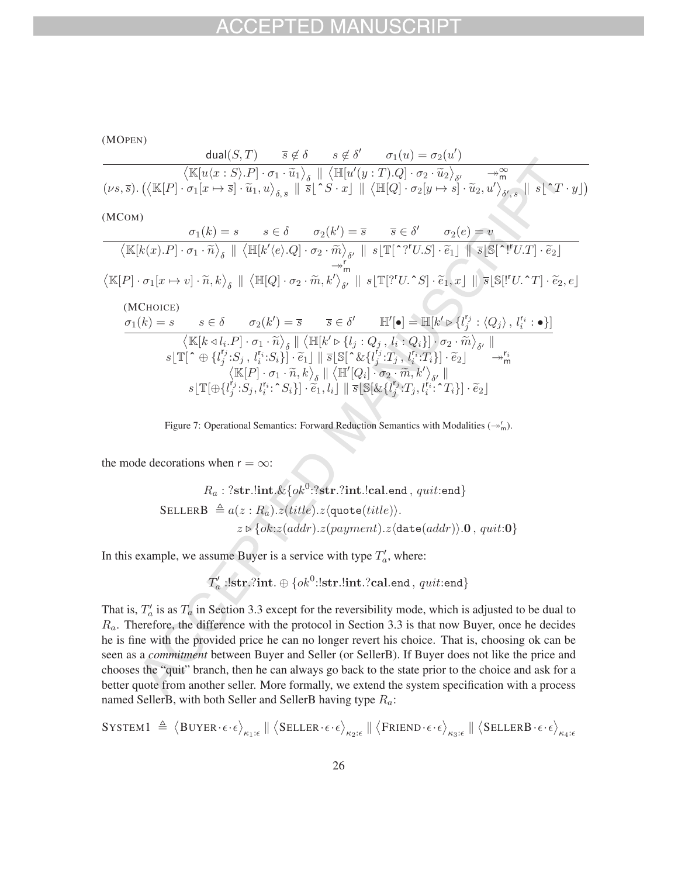(MOPEN)  
\n
$$
\frac{\text{dual}(S,T) \quad \bar{s} \notin \delta \quad s \notin \delta' \quad \sigma_1(u) = \sigma_2(u')}{\langle \mathbb{K}[u\langle x:S \rangle . P] \cdot \sigma_1 \cdot \tilde{u}_1 \rangle_{\delta} \parallel \langle \mathbb{H}[u'(y:T). Q] \cdot \sigma_2 \cdot \tilde{u}_2 \rangle_{\delta'} \quad \underset{\gamma \in \mathbb{N}}{\rightarrow} \mathbb{C}[u \land \gamma \in \mathbb{C}[u \land \gamma \in \mathbb{C}[u \land \gamma \in \mathbb{C}[u \land \gamma \in \mathbb{C}[u \land \gamma \in \mathbb{C}[u \land \gamma \in \mathbb{C}[u \land \gamma \in \mathbb{C}[u \land \gamma \in \mathbb{C}[u \land \gamma \in \mathbb{C}[u \land \gamma \in \mathbb{C}[u \land \gamma \in \mathbb{C}[u \land \gamma \in \mathbb{C}[u \land \gamma \in \mathbb{C}[u \land \gamma \in \mathbb{C}[u \land \gamma \in \mathbb{C}[u \land \gamma \in \mathbb{C}[u \land \gamma \in \mathbb{C}[u \land \gamma \in \mathbb{C}[u \land \gamma \in \mathbb{C}[u \land \gamma \in \mathbb{C}[u \land \gamma \in \mathbb{C}[u \land \gamma \in \mathbb{C}[u \land \gamma \in \mathbb{C}[u \land \gamma \in \mathbb{C}[u \land \gamma \in \mathbb{C}[u \land \gamma \in \mathbb{C}[u \land \gamma \in \mathbb{C}[u \land \gamma \in \mathbb{C}[u \land \gamma \in \mathbb{C}[u \land \gamma \in \mathbb{C}[u \land \gamma \in \mathbb{C}[u \land \gamma \in \mathbb{C}[u \land \gamma \in \mathbb{C}[u \land \gamma \in \mathbb{C}[u \land \gamma \in \mathbb{C}[u \land \gamma \in \mathbb{C}[u \land \gamma \in \mathbb{C}[u \land \gamma \in \mathbb{C}[u \land \gamma \in \mathbb{C}[u \land \gamma \in \mathbb{C}[u \land \gamma \in \mathbb{C}[u \land \gamma \in \mathbb{C}[u \land \gamma \in \mathbb{C}[u \land \gamma \in \mathbb{C}[u \land \gamma \in \mathbb{C}[u \land \gamma \in \mathbb{C}[u \land \gamma \in \
$$

Figure 7: Operational Semantics: Forward Reduction Semantics with Modalities  $(\rightarrow^r_m)$ .

the mode decorations when  $r = \infty$ :

$$
R_a: ?str. \text{int.&{ok^0}: ?str. ?int. !cal.end, quit:end}
$$
\n
$$
\text{SELECT } \triangleq a(z: R_a). z (title). z (\text{quote}(title)).
$$
\n
$$
z \triangleright \{ ok: z (addr). z (payment). z (\text{date}(addr)).0, quit:0 \}
$$

In this example, we assume Buyer is a service with type  $T'_a$ , where:

$$
T'_a: !\mathbf{str}. ?\mathbf{int}.\oplus \{ok^0: !\mathbf{str}. !\mathbf{int}. ?\mathbf{cal}. \mathbf{end}\,,\,quit:\mathbf{end}\}
$$

That is,  $T_a'$  is as  $T_a$  in Section 3.3 except for the reversibility mode, which is adjusted to be dual to  $R_a$ . Therefore, the difference with the protocol in Section 3.3 is that now Buyer, once he decides he is fine with the provided price he can no longer revert his choice. That is, choosing ok can be seen as a *commitment* between Buyer and Seller (or SellerB). If Buyer does not like the price and chooses the "quit" branch, then he can always go back to the state prior to the choice and ask for a better quote from another seller. More formally, we extend the system specification with a process named SellerB, with both Seller and SellerB having type  $R_a$ :

$$
\texttt{System1} \ \triangleq \ \big\langle \texttt{Buyer} \cdot \epsilon \cdot \epsilon \big\rangle_{\kappa_1:\epsilon} \ \| \ \big\langle \texttt{Selleer} \cdot \epsilon \cdot \epsilon \big\rangle_{\kappa_2:\epsilon} \ \| \ \big\langle \texttt{Friend} \cdot \epsilon \cdot \epsilon \big\rangle_{\kappa_3:\epsilon} \ \| \ \big\langle \texttt{SelleRB} \cdot \epsilon \cdot \epsilon \big\rangle_{\kappa_4:\epsilon}
$$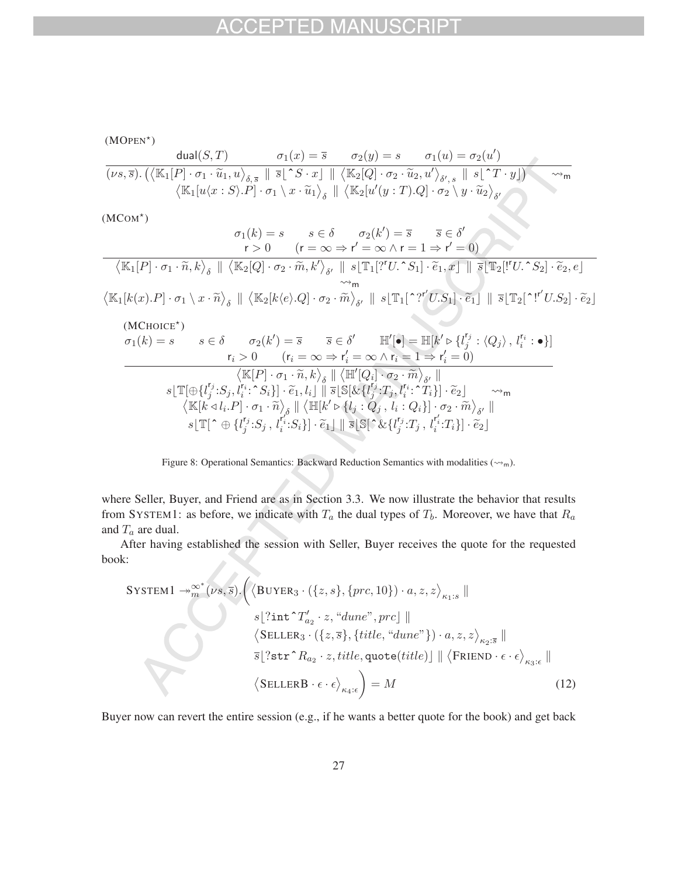(MOPEN<sup>\*</sup>)  
\n
$$
\frac{\text{dual}(S,T)}{(\nu s,\overline{s}).(\langle \mathbb{K}_1[P]\cdot \sigma_1\cdot \widetilde{u}_1, u \rangle_{\delta,\overline{s}} \parallel \overline{s}[\widehat{S}\cdot x] \parallel \langle \mathbb{K}_2[Q]\cdot \sigma_2\cdot \widetilde{u}_2, u' \rangle_{\delta',s} \parallel s[\widehat{S}\cdot T \cdot y])} \longrightarrow_{m} \langle \mathbb{K}_1[u\langle x:S\rangle.P]\cdot \sigma_1 \setminus x \cdot \widetilde{u}_1 \rangle_{\delta} \parallel \langle \mathbb{K}_2[u\langle y:T\rangle.Q]\cdot \sigma_2 \setminus y \cdot \widetilde{u}_2 \rangle_{\delta'} \rangle
$$

 $(MCOM^*)$ 

$$
\sigma_{1}(k) = s \qquad s \in \delta \qquad \sigma_{2}(k') = \overline{s} \qquad \overline{s} \in \delta'
$$
\n
$$
r > 0 \qquad (r = \infty \Rightarrow r' = \infty \land r = 1 \Rightarrow r' = 0)
$$
\n
$$
\langle \mathbb{K}_{1}[P] \cdot \sigma_{1} \cdot \tilde{n}, k \rangle_{\delta} \parallel \langle \mathbb{K}_{2}[Q] \cdot \sigma_{2} \cdot \tilde{m}, k' \rangle_{\delta'} \parallel s[\mathbb{T}_{1}[?U \cdot S_{1}] \cdot \tilde{e}_{1}, x] \parallel \overline{s}[\mathbb{T}_{2}["U \cdot S_{2}] \cdot \tilde{e}_{2}, e]
$$
\n
$$
\langle \mathbb{K}_{1}[k(x).P] \cdot \sigma_{1} \setminus x \cdot \tilde{n} \rangle_{\delta} \parallel \langle \mathbb{K}_{2}[k(e).Q] \cdot \sigma_{2} \cdot \tilde{m} \rangle_{\delta'} \parallel s[\mathbb{T}_{1}[?"U.S_{1}] \cdot \tilde{e}_{1}] \parallel \overline{s}[\mathbb{T}_{2}[?"U.S_{2}] \cdot \tilde{e}_{2}]
$$
\n
$$
\text{(MCHOICE*)}
$$
\n
$$
\sigma_{1}(k) = s \qquad s \in \delta \qquad \sigma_{2}(k') = \overline{s} \qquad \overline{s} \in \delta' \qquad \mathbb{H}'[\bullet] = \mathbb{H}[k' \triangleright \{l_{j}^{r_{j}} : \langle Q_{j} \rangle, l_{i}^{r_{i}} : \bullet\}]
$$
\n
$$
\tau_{i} > 0 \qquad (r_{i} = \infty \Rightarrow r'_{i} = \infty \land r_{i} = 1 \Rightarrow r'_{i} = 0)
$$
\n
$$
\langle \mathbb{K}[P] \cdot \sigma_{1} \cdot \tilde{n}, k \rangle_{\delta} \parallel \langle \mathbb{H}'[Q_{i}] \cdot \sigma_{2} \cdot \tilde{m} \rangle_{\delta'} \parallel
$$
\n
$$
s[\mathbb{T}[\bigoplus \{l_{j}^{r_{j}} : S_{j}, l_{i}^{r_{i}} : S_{i}\}] \cdot \tilde{e}_{1}, l_{i}] \parallel \overline{s}[\mathbb{S}[\& \{l_{j}^{r_{j}} : T_{j}, l_{i}^{r_{i}} : T_{i}\}] \cdot \tilde
$$



where Seller, Buyer, and Friend are as in Section 3.3. We now illustrate the behavior that results from SYSTEM1: as before, we indicate with  $T_a$  the dual types of  $T_b$ . Moreover, we have that  $R_a$ and  $T_a$  are dual.

After having established the session with Seller, Buyer receives the quote for the requested book:

 $\lambda$ 

$$
\begin{aligned}\n\text{SYSTEM1} &\rightarrow^{\infty^*}_{m}(\nu s, \bar{s}) \cdot \left( \left\langle \text{BUYER}_3 \cdot (\{z, s\}, \{prc, 10\}) \cdot a, z, z \right\rangle_{\kappa_1:s} \parallel \\
&s[? \text{int } \Upsilon_{a_2} \cdot z, \text{``dune'', prc]} \parallel \\
&\left\langle \text{SELLER}_3 \cdot (\{z, \bar{s}\}, \{title, \text{``dune''}\}) \cdot a, z, z \right\rangle_{\kappa_2:s} \parallel \\
&\bar{s[? \text{str } \Upsilon_{a_2} \cdot z, title, \text{quote}(title)] \parallel \left\langle \text{FRIEND } \cdot \epsilon \cdot \epsilon \right\rangle_{\kappa_3:s} \parallel \\
&\left\langle \text{SELLERB } \cdot \epsilon \cdot \epsilon \right\rangle_{\kappa_4:s} \right) &= M\n\end{aligned} \tag{12}
$$

Buyer now can revert the entire session (e.g., if he wants a better quote for the book) and get back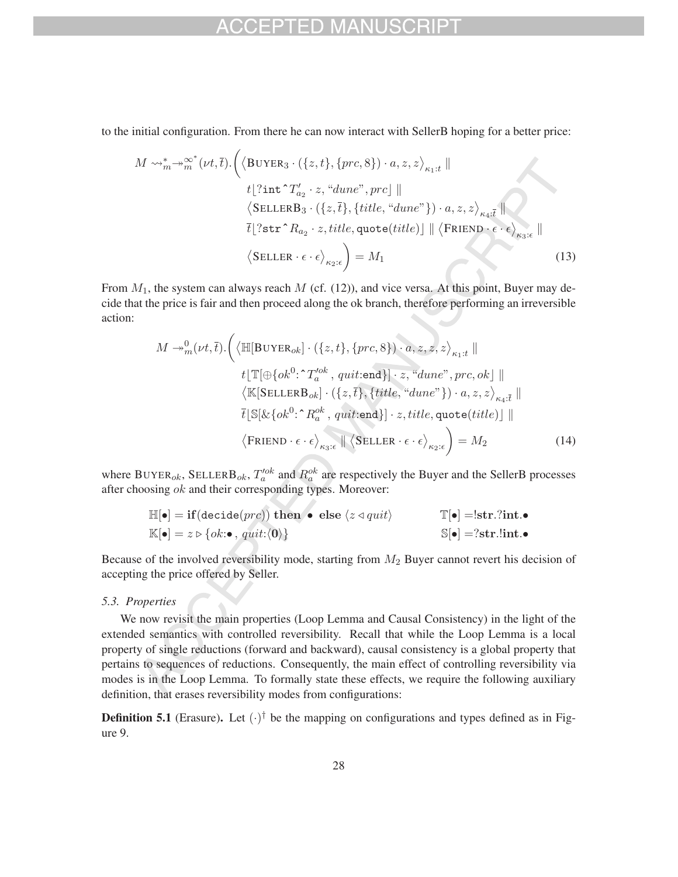## $-1$

to the initial configuration. From there he can now interact with SellerB hoping for a better price:

$$
M \rightsquigarrow_{m}^{*} \rightsquigarrow_{m}^{\infty^{*}} (\nu t, \overline{t}). \left( \langle \text{BUYER}_{3} \cdot (\{z, t\}, \{prc, 8\}) \cdot a, z, z \rangle_{\kappa_{1}:t} \parallel
$$
  
\n
$$
t \left[ ? \text{int}^{\cdot} T'_{a_{2}} \cdot z, \text{``dune''}, prc \right] \parallel
$$
  
\n
$$
\langle \text{SELLERB}_{3} \cdot (\{z, \overline{t}\}, \{title, \text{``dune''}\}) \cdot a, z, z \rangle_{\kappa_{4}:t} \parallel
$$
  
\n
$$
\overline{t} \left[ ? \text{str}^{\cdot} R_{a_{2}} \cdot z, title, \text{quote}(title) \right] \parallel \langle \text{FRIEND} \cdot \epsilon \cdot \epsilon \rangle_{\kappa_{3}: \epsilon} \parallel
$$
  
\n
$$
\langle \text{SELLER} \cdot \epsilon \cdot \epsilon \rangle_{\kappa_{2}: \epsilon} \right) = M_{1}
$$
\n(13)

From  $M_1$ , the system can always reach  $M$  (cf. (12)), and vice versa. At this point, Buyer may decide that the price is fair and then proceed along the ok branch, therefore performing an irreversible action:

$$
M \rightarrow_{m}^{0} (\nu t, \bar{t}). \Big( \langle \mathbb{H}[\text{BUYER}_{ok}] \cdot (\{z, t\}, \{prc, 8\}) \cdot a, z, z, z \rangle_{\kappa_{1}:t} \parallel
$$
  
\n
$$
t \lfloor \mathbb{T}[\bigoplus \{ok^{0}: \Upsilon_{a}^{\prime ob}, quit:\text{end}\}] \cdot z, \text{``dune", prc, ok]} \parallel
$$
  
\n
$$
\langle \mathbb{K}[\text{SELLERB}_{ok}] \cdot (\{z, \bar{t}\}, \{title, \text{``dune"}\}) \cdot a, z, z \rangle_{\kappa_{4}: \bar{t}} \parallel
$$
  
\n
$$
\bar{t} \lfloor \mathbb{S}[\& \{ok^{0}: R_{a}^{\circ k}, quit:\text{end}\}] \cdot z, title, quote(title)] \parallel
$$
  
\n
$$
\langle \text{FRIEND} \cdot \epsilon \cdot \epsilon \rangle_{\kappa_{3}: \epsilon} \parallel \langle \text{SELLER} \cdot \epsilon \cdot \epsilon \rangle_{\kappa_{2}: \epsilon} \Big) = M_{2}
$$
 (14)

where BUYER<sub>ok</sub>, SELLERB<sub>ok</sub>,  $T_a^{lok}$  and  $R_a^{ok}$  are respectively the Buyer and the SellerB processes after choosing ok and their corresponding types. Moreover:

$$
\mathbb{H}[\bullet] = \textbf{if}(\text{decide}(prc)) \textbf{ then } \bullet \textbf{ else } \langle z \triangleleft quit \rangle \qquad \mathbb{T}[\bullet] = !\textbf{str}. ?\textbf{int.} \bullet \n\mathbb{K}[\bullet] = z \triangleright \{ok : \bullet, quit : \langle \mathbf{0} \rangle\} \qquad \mathbb{S}[\bullet] = ?\textbf{str}. !\textbf{int.} \bullet
$$

Because of the involved reversibility mode, starting from  $M_2$  Buyer cannot revert his decision of accepting the price offered by Seller.

### *5.3. Properties*

We now revisit the main properties (Loop Lemma and Causal Consistency) in the light of the extended semantics with controlled reversibility. Recall that while the Loop Lemma is a local property of single reductions (forward and backward), causal consistency is a global property that pertains to sequences of reductions. Consequently, the main effect of controlling reversibility via modes is in the Loop Lemma. To formally state these effects, we require the following auxiliary definition, that erases reversibility modes from configurations:

**Definition 5.1** (Erasure). Let  $(\cdot)^\dagger$  be the mapping on configurations and types defined as in Figure 9.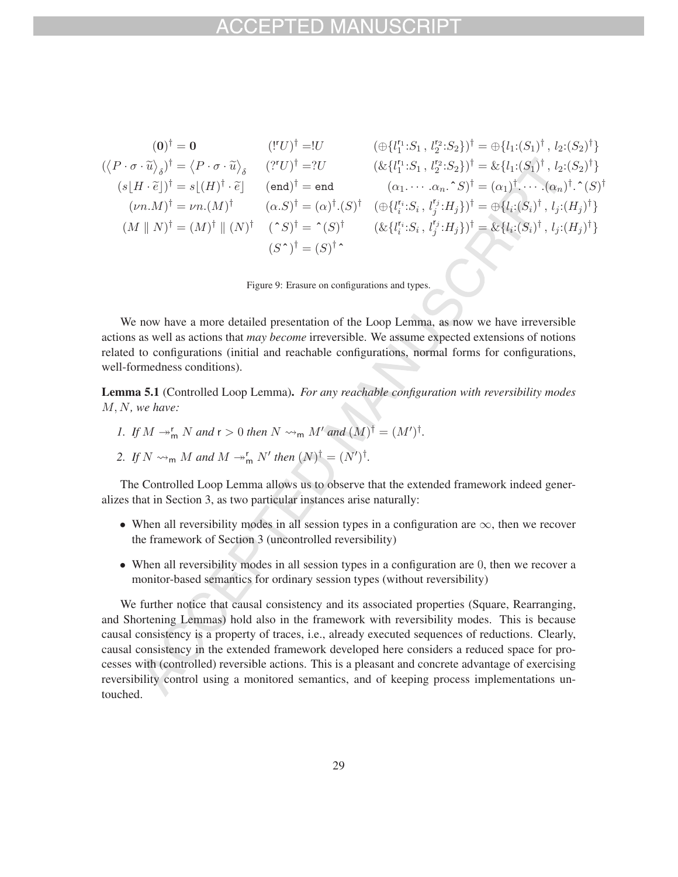$$
(0)^{\dagger} = 0 \qquad (\mathbf{I}^{r} \mathbf{U})^{\dagger} = \mathbf{I}U \qquad (\bigoplus \{l_{1}^{r} \mathbf{I} \cdot S_{1}, l_{2}^{r} \mathbf{I} \cdot S_{2}\}\}^{\dagger} = \bigoplus \{l_{1} \mathbf{I} \cdot (S_{1})^{\dagger}, l_{2} \mathbf{I} \cdot (S_{2})^{\dagger}\}
$$
  
\n
$$
(\langle P \cdot \sigma \cdot \widetilde{u} \rangle_{\delta})^{\dagger} = \langle P \cdot \sigma \cdot \widetilde{u} \rangle_{\delta} \qquad (\mathbf{I}^{r} \mathbf{U})^{\dagger} = \mathbf{I}U \qquad (\& \{l_{1}^{r} \mathbf{I} \cdot S_{1}, l_{2}^{r} \mathbf{I} \cdot S_{2}\}\}^{\dagger} = \& \{l_{1} \mathbf{I} \cdot (S_{1})^{\dagger}, l_{2} \mathbf{I} \cdot (S_{2})^{\dagger}\}
$$
  
\n
$$
(s \mid H \cdot \widetilde{e})^{\dagger} = s \mid (H)^{\dagger} \cdot \widetilde{e}^{\dagger} \qquad (\text{end})^{\dagger} = \text{end} \qquad (\alpha_{1} \cdots \alpha_{n} \cdot S)^{\dagger} = (\alpha_{1})^{\dagger} \cdots (\alpha_{n})^{\dagger} \cdot (\alpha_{n})^{\dagger} \}
$$
  
\n
$$
(M \parallel N)^{\dagger} = (M)^{\dagger} \parallel (N)^{\dagger} \qquad (\gamma S)^{\dagger} = (\gamma S)^{\dagger} \qquad (\& \{l_{i}^{r} \mathbf{I} \cdot S_{i}, l_{j}^{r} \mathbf{I} \cdot H_{j}\})^{\dagger} = \& \{l_{i} \mathbf{I} \cdot (S_{i})^{\dagger}, l_{j} \mathbf{I} \cdot (H_{j})^{\dagger}\}
$$
  
\n
$$
(M \parallel N)^{\dagger} = (M)^{\dagger} \parallel (N)^{\dagger} \qquad (\gamma S)^{\dagger} = (\gamma S)^{\dagger} \qquad (\& \{l_{i}^{r} \mathbf{I} \cdot S_{i}, l_{j}^{r} \mathbf{I} \cdot H_{j}\})^{\dagger} = \& \{l
$$

Figure 9: Erasure on configurations and types.

We now have a more detailed presentation of the Loop Lemma, as now we have irreversible actions as well as actions that *may become* irreversible. We assume expected extensions of notions related to configurations (initial and reachable configurations, normal forms for configurations, well-formedness conditions).

Lemma 5.1 (Controlled Loop Lemma). *For any reachable configuration with reversibility modes* M,N*, we have:*

- *1.* If  $M \rightarrow_{\mathsf{m}}^{\mathsf{r}} N$  and  $\mathsf{r} > 0$  then  $N \rightsquigarrow_{\mathsf{m}} M'$  and  $(M)^{\dagger} = (M')^{\dagger}$ .
- 2. If  $N \rightsquigarrow_m M$  and  $M \rightarrow_m^r N'$  then  $(N)^{\dagger} = (N')^{\dagger}$ .

The Controlled Loop Lemma allows us to observe that the extended framework indeed generalizes that in Section 3, as two particular instances arise naturally:

- When all reversibility modes in all session types in a configuration are  $\infty$ , then we recover the framework of Section 3 (uncontrolled reversibility)
- When all reversibility modes in all session types in a configuration are 0, then we recover a monitor-based semantics for ordinary session types (without reversibility)

We further notice that causal consistency and its associated properties (Square, Rearranging, and Shortening Lemmas) hold also in the framework with reversibility modes. This is because causal consistency is a property of traces, i.e., already executed sequences of reductions. Clearly, causal consistency in the extended framework developed here considers a reduced space for processes with (controlled) reversible actions. This is a pleasant and concrete advantage of exercising reversibility control using a monitored semantics, and of keeping process implementations untouched.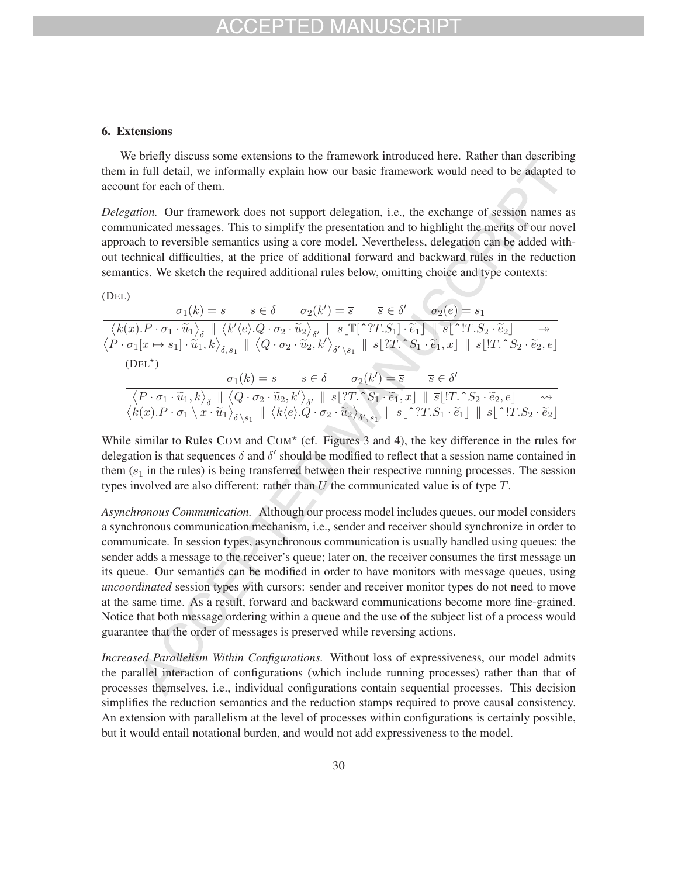## CEPTED MAI

#### 6. Extensions

We briefly discuss some extensions to the framework introduced here. Rather than describing them in full detail, we informally explain how our basic framework would need to be adapted to account for each of them.

*Delegation.* Our framework does not support delegation, i.e., the exchange of session names as communicated messages. This to simplify the presentation and to highlight the merits of our novel approach to reversible semantics using a core model. Nevertheless, delegation can be added without technical difficulties, at the price of additional forward and backward rules in the reduction semantics. We sketch the required additional rules below, omitting choice and type contexts:

| (DEL)     |                                                                                                                                                                                                                                                                                                                                                                                                                                                                                                                                                                             |  |                                                                                           |                                                                                                               |  |
|-----------|-----------------------------------------------------------------------------------------------------------------------------------------------------------------------------------------------------------------------------------------------------------------------------------------------------------------------------------------------------------------------------------------------------------------------------------------------------------------------------------------------------------------------------------------------------------------------------|--|-------------------------------------------------------------------------------------------|---------------------------------------------------------------------------------------------------------------|--|
|           |                                                                                                                                                                                                                                                                                                                                                                                                                                                                                                                                                                             |  |                                                                                           | $\sigma_1(k) = s$ $s \in \delta$ $\sigma_2(k') = \overline{s}$ $\overline{s} \in \delta'$ $\sigma_2(e) = s_1$ |  |
|           | $\begin{array}{c}\left\langle k(x).P\cdot \sigma_1\cdot \widetilde{u}_1\right\rangle_{\delta} \parallel \left\langle k'\langle e\rangle .Q\cdot \sigma_2\cdot \widetilde{u}_2\right\rangle_{\delta'} \parallel s[\mathbb{T}[{\uparrow} ?T.S_1]\cdot \widetilde{e}_1]\parallel \overline{s}[\uparrow !T.S_2\cdot \widetilde{e}_2]\quad \  \  \rightarrow \\ \left\langle P\cdot \sigma_1[x\mapsto s_1]\cdot \widetilde{u}_1,k\right\rangle_{\delta, \ s_1}\parallel \left\langle Q\cdot \sigma_2\cdot \widetilde{u}_2,k'\right\rangle_{\delta' \backslash \ s_1}\parallel s$ |  |                                                                                           |                                                                                                               |  |
|           |                                                                                                                                                                                                                                                                                                                                                                                                                                                                                                                                                                             |  |                                                                                           |                                                                                                               |  |
| $(DEL^*)$ |                                                                                                                                                                                                                                                                                                                                                                                                                                                                                                                                                                             |  |                                                                                           |                                                                                                               |  |
|           |                                                                                                                                                                                                                                                                                                                                                                                                                                                                                                                                                                             |  | $\sigma_1(k) = s$ $s \in \delta$ $\sigma_2(k') = \overline{s}$ $\overline{s} \in \delta'$ |                                                                                                               |  |
|           |                                                                                                                                                                                                                                                                                                                                                                                                                                                                                                                                                                             |  |                                                                                           |                                                                                                               |  |
|           | $\begin{array}{c} \left\langle P \cdot \sigma_1 \cdot \widetilde{u}_1, k \right\rangle_{\delta} \parallel \left\langle Q \cdot \sigma_2 \cdot \widetilde{u}_2, k' \right\rangle_{\delta'} \parallel s \lfloor ?T . \; \hat{S_1} \cdot \widetilde{e}_1, x \rfloor \parallel \overline{s} \lfloor !T . \; \hat{S_2} \cdot \widetilde{e}_2, e \rfloor \quad \leadsto \\ \left\langle k(x). P \cdot \sigma_1 \setminus x \cdot \widetilde{u}_1 \right\rangle_{\delta \setminus s_1} \parallel \left\langle k(e). Q \cdot \sigma_2 \cdot \widetilde{u}_2 \right\rangle$          |  |                                                                                           |                                                                                                               |  |
|           |                                                                                                                                                                                                                                                                                                                                                                                                                                                                                                                                                                             |  |                                                                                           |                                                                                                               |  |

While similar to Rules COM and COM\* (cf. Figures 3 and 4), the key difference in the rules for delegation is that sequences  $\delta$  and  $\delta'$  should be modified to reflect that a session name contained in them  $(s<sub>1</sub>$  in the rules) is being transferred between their respective running processes. The session types involved are also different: rather than  $U$  the communicated value is of type  $T$ .

*Asynchronous Communication.* Although our process model includes queues, our model considers a synchronous communication mechanism, i.e., sender and receiver should synchronize in order to communicate. In session types, asynchronous communication is usually handled using queues: the sender adds a message to the receiver's queue; later on, the receiver consumes the first message un its queue. Our semantics can be modified in order to have monitors with message queues, using *uncoordinated* session types with cursors: sender and receiver monitor types do not need to move at the same time. As a result, forward and backward communications become more fine-grained. Notice that both message ordering within a queue and the use of the subject list of a process would guarantee that the order of messages is preserved while reversing actions.

*Increased Parallelism Within Configurations.* Without loss of expressiveness, our model admits the parallel interaction of configurations (which include running processes) rather than that of processes themselves, i.e., individual configurations contain sequential processes. This decision simplifies the reduction semantics and the reduction stamps required to prove causal consistency. An extension with parallelism at the level of processes within configurations is certainly possible, but it would entail notational burden, and would not add expressiveness to the model.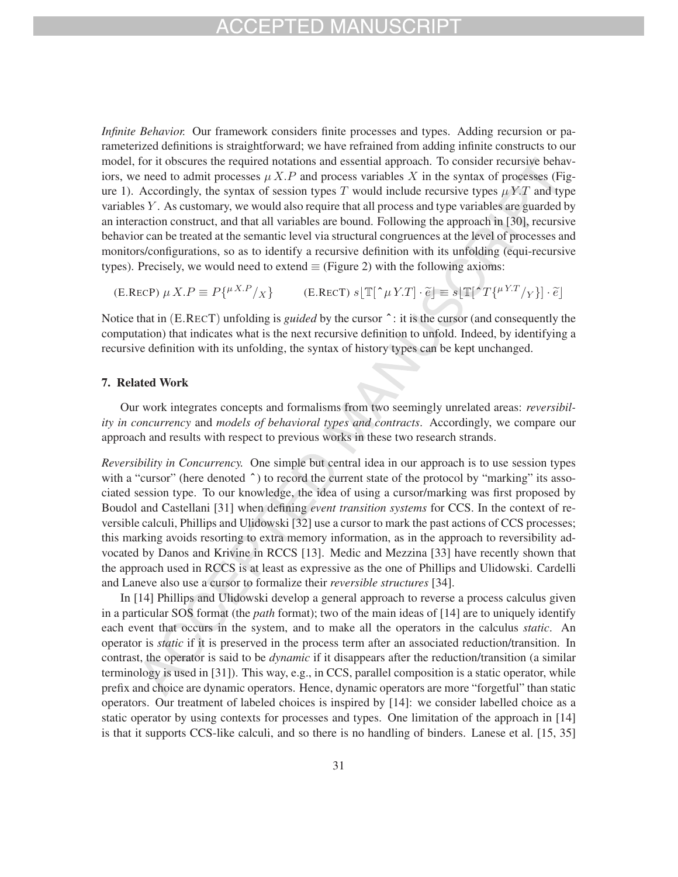*Infinite Behavior.* Our framework considers finite processes and types. Adding recursion or parameterized definitions is straightforward; we have refrained from adding infinite constructs to our model, for it obscures the required notations and essential approach. To consider recursive behaviors, we need to admit processes  $\mu X.P$  and process variables X in the syntax of processes (Figure 1). Accordingly, the syntax of session types T would include recursive types  $\mu Y.T$  and type variables  $Y$ . As customary, we would also require that all process and type variables are guarded by an interaction construct, and that all variables are bound. Following the approach in [30], recursive behavior can be treated at the semantic level via structural congruences at the level of processes and monitors/configurations, so as to identify a recursive definition with its unfolding (equi-recursive types). Precisely, we would need to extend  $\equiv$  (Figure 2) with the following axioms:

$$
\text{(E.RECP) } \mu \, X. P \equiv P\{^{\mu X. P}/X\} \qquad \text{(E.RECT) } s[\mathbb{T}[\uparrow \mu \, Y. T] \cdot \tilde{e}] \equiv s[\mathbb{T}[\uparrow T\{^{\mu Y. T}/Y\}] \cdot \tilde{e}]
$$

Notice that in (E.RECT) unfolding is *guided* by the cursor  $\hat{ }$ : it is the cursor (and consequently the computation) that indicates what is the next recursive definition to unfold. Indeed, by identifying a recursive definition with its unfolding, the syntax of history types can be kept unchanged.

### 7. Related Work

Our work integrates concepts and formalisms from two seemingly unrelated areas: *reversibility in concurrency* and *models of behavioral types and contracts*. Accordingly, we compare our approach and results with respect to previous works in these two research strands.

*Reversibility in Concurrency.* One simple but central idea in our approach is to use session types with a "cursor" (here denoted  $\hat{ }$ ) to record the current state of the protocol by "marking" its associated session type. To our knowledge, the idea of using a cursor/marking was first proposed by Boudol and Castellani [31] when defining *event transition systems* for CCS. In the context of reversible calculi, Phillips and Ulidowski [32] use a cursor to mark the past actions of CCS processes; this marking avoids resorting to extra memory information, as in the approach to reversibility advocated by Danos and Krivine in RCCS [13]. Medic and Mezzina [33] have recently shown that the approach used in RCCS is at least as expressive as the one of Phillips and Ulidowski. Cardelli and Laneve also use a cursor to formalize their *reversible structures* [34].

In [14] Phillips and Ulidowski develop a general approach to reverse a process calculus given in a particular SOS format (the *path* format); two of the main ideas of [14] are to uniquely identify each event that occurs in the system, and to make all the operators in the calculus *static*. An operator is *static* if it is preserved in the process term after an associated reduction/transition. In contrast, the operator is said to be *dynamic* if it disappears after the reduction/transition (a similar terminology is used in [31]). This way, e.g., in CCS, parallel composition is a static operator, while prefix and choice are dynamic operators. Hence, dynamic operators are more "forgetful" than static operators. Our treatment of labeled choices is inspired by [14]: we consider labelled choice as a static operator by using contexts for processes and types. One limitation of the approach in [14] is that it supports CCS-like calculi, and so there is no handling of binders. Lanese et al. [15, 35]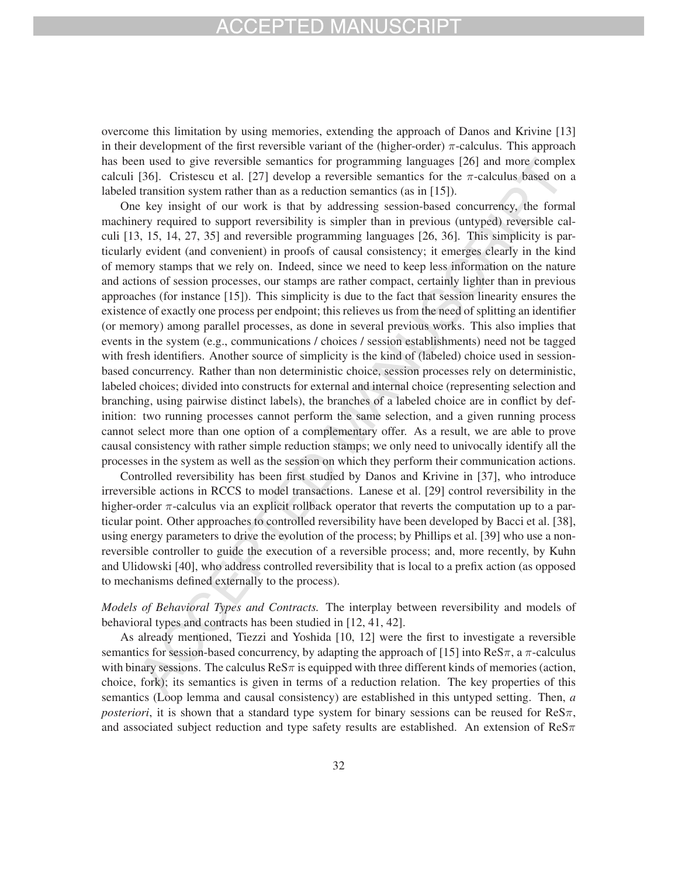overcome this limitation by using memories, extending the approach of Danos and Krivine [13] in their development of the first reversible variant of the (higher-order)  $\pi$ -calculus. This approach has been used to give reversible semantics for programming languages [26] and more complex calculi [36]. Cristescu et al. [27] develop a reversible semantics for the  $\pi$ -calculus based on a labeled transition system rather than as a reduction semantics (as in [15]).

One key insight of our work is that by addressing session-based concurrency, the formal machinery required to support reversibility is simpler than in previous (untyped) reversible calculi [13, 15, 14, 27, 35] and reversible programming languages [26, 36]. This simplicity is particularly evident (and convenient) in proofs of causal consistency; it emerges clearly in the kind of memory stamps that we rely on. Indeed, since we need to keep less information on the nature and actions of session processes, our stamps are rather compact, certainly lighter than in previous approaches (for instance [15]). This simplicity is due to the fact that session linearity ensures the existence of exactly one process per endpoint; this relieves us from the need of splitting an identifier (or memory) among parallel processes, as done in several previous works. This also implies that events in the system (e.g., communications / choices / session establishments) need not be tagged with fresh identifiers. Another source of simplicity is the kind of (labeled) choice used in sessionbased concurrency. Rather than non deterministic choice, session processes rely on deterministic, labeled choices; divided into constructs for external and internal choice (representing selection and branching, using pairwise distinct labels), the branches of a labeled choice are in conflict by definition: two running processes cannot perform the same selection, and a given running process cannot select more than one option of a complementary offer. As a result, we are able to prove causal consistency with rather simple reduction stamps; we only need to univocally identify all the processes in the system as well as the session on which they perform their communication actions.

Controlled reversibility has been first studied by Danos and Krivine in [37], who introduce irreversible actions in RCCS to model transactions. Lanese et al. [29] control reversibility in the higher-order  $\pi$ -calculus via an explicit rollback operator that reverts the computation up to a particular point. Other approaches to controlled reversibility have been developed by Bacci et al. [38], using energy parameters to drive the evolution of the process; by Phillips et al. [39] who use a nonreversible controller to guide the execution of a reversible process; and, more recently, by Kuhn and Ulidowski [40], who address controlled reversibility that is local to a prefix action (as opposed to mechanisms defined externally to the process).

*Models of Behavioral Types and Contracts.* The interplay between reversibility and models of behavioral types and contracts has been studied in [12, 41, 42].

As already mentioned, Tiezzi and Yoshida [10, 12] were the first to investigate a reversible semantics for session-based concurrency, by adapting the approach of [15] into  $\text{ReS}\pi$ , a  $\pi$ -calculus with binary sessions. The calculus  $\text{ReS}\pi$  is equipped with three different kinds of memories (action, choice, fork); its semantics is given in terms of a reduction relation. The key properties of this semantics (Loop lemma and causal consistency) are established in this untyped setting. Then, *a posteriori*, it is shown that a standard type system for binary sessions can be reused for  $\text{ReS}\pi$ , and associated subject reduction and type safety results are established. An extension of  $\text{Re}S\pi$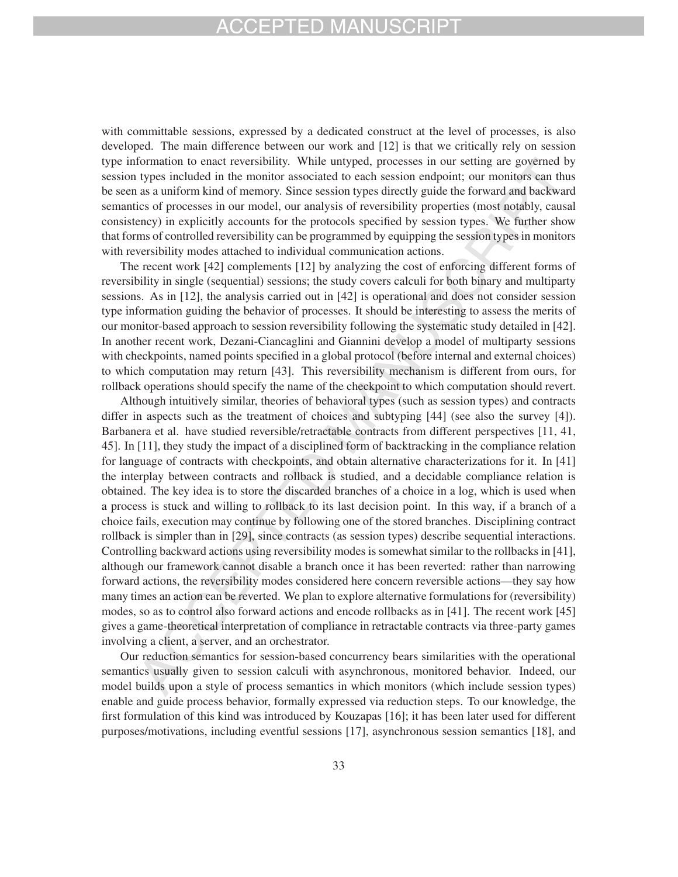with committable sessions, expressed by a dedicated construct at the level of processes, is also developed. The main difference between our work and [12] is that we critically rely on session type information to enact reversibility. While untyped, processes in our setting are governed by session types included in the monitor associated to each session endpoint; our monitors can thus be seen as a uniform kind of memory. Since session types directly guide the forward and backward semantics of processes in our model, our analysis of reversibility properties (most notably, causal consistency) in explicitly accounts for the protocols specified by session types. We further show that forms of controlled reversibility can be programmed by equipping the session types in monitors with reversibility modes attached to individual communication actions.

The recent work [42] complements [12] by analyzing the cost of enforcing different forms of reversibility in single (sequential) sessions; the study covers calculi for both binary and multiparty sessions. As in [12], the analysis carried out in [42] is operational and does not consider session type information guiding the behavior of processes. It should be interesting to assess the merits of our monitor-based approach to session reversibility following the systematic study detailed in [42]. In another recent work, Dezani-Ciancaglini and Giannini develop a model of multiparty sessions with checkpoints, named points specified in a global protocol (before internal and external choices) to which computation may return [43]. This reversibility mechanism is different from ours, for rollback operations should specify the name of the checkpoint to which computation should revert.

Although intuitively similar, theories of behavioral types (such as session types) and contracts differ in aspects such as the treatment of choices and subtyping [44] (see also the survey [4]). Barbanera et al. have studied reversible/retractable contracts from different perspectives [11, 41, 45]. In [11], they study the impact of a disciplined form of backtracking in the compliance relation for language of contracts with checkpoints, and obtain alternative characterizations for it. In [41] the interplay between contracts and rollback is studied, and a decidable compliance relation is obtained. The key idea is to store the discarded branches of a choice in a log, which is used when a process is stuck and willing to rollback to its last decision point. In this way, if a branch of a choice fails, execution may continue by following one of the stored branches. Disciplining contract rollback is simpler than in [29], since contracts (as session types) describe sequential interactions. Controlling backward actions using reversibility modes is somewhat similar to the rollbacks in [41], although our framework cannot disable a branch once it has been reverted: rather than narrowing forward actions, the reversibility modes considered here concern reversible actions—they say how many times an action can be reverted. We plan to explore alternative formulations for (reversibility) modes, so as to control also forward actions and encode rollbacks as in [41]. The recent work [45] gives a game-theoretical interpretation of compliance in retractable contracts via three-party games involving a client, a server, and an orchestrator.

Our reduction semantics for session-based concurrency bears similarities with the operational semantics usually given to session calculi with asynchronous, monitored behavior. Indeed, our model builds upon a style of process semantics in which monitors (which include session types) enable and guide process behavior, formally expressed via reduction steps. To our knowledge, the first formulation of this kind was introduced by Kouzapas [16]; it has been later used for different purposes/motivations, including eventful sessions [17], asynchronous session semantics [18], and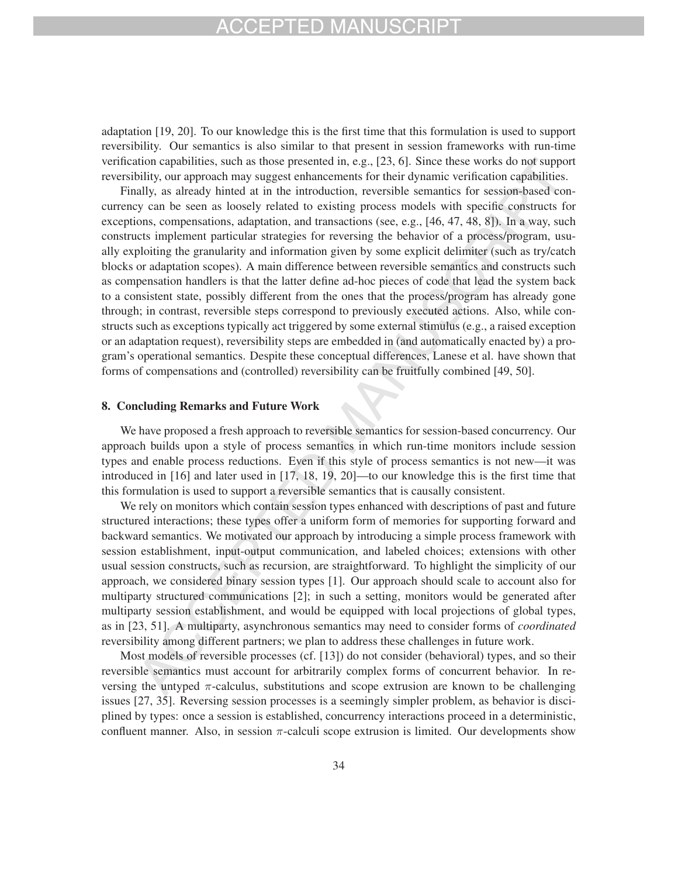adaptation [19, 20]. To our knowledge this is the first time that this formulation is used to support reversibility. Our semantics is also similar to that present in session frameworks with run-time verification capabilities, such as those presented in, e.g., [23, 6]. Since these works do not support reversibility, our approach may suggest enhancements for their dynamic verification capabilities.

Finally, as already hinted at in the introduction, reversible semantics for session-based concurrency can be seen as loosely related to existing process models with specific constructs for exceptions, compensations, adaptation, and transactions (see, e.g., [46, 47, 48, 8]). In a way, such constructs implement particular strategies for reversing the behavior of a process/program, usually exploiting the granularity and information given by some explicit delimiter (such as try/catch blocks or adaptation scopes). A main difference between reversible semantics and constructs such as compensation handlers is that the latter define ad-hoc pieces of code that lead the system back to a consistent state, possibly different from the ones that the process/program has already gone through; in contrast, reversible steps correspond to previously executed actions. Also, while constructs such as exceptions typically act triggered by some external stimulus (e.g., a raised exception or an adaptation request), reversibility steps are embedded in (and automatically enacted by) a program's operational semantics. Despite these conceptual differences, Lanese et al. have shown that forms of compensations and (controlled) reversibility can be fruitfully combined [49, 50].

### 8. Concluding Remarks and Future Work

We have proposed a fresh approach to reversible semantics for session-based concurrency. Our approach builds upon a style of process semantics in which run-time monitors include session types and enable process reductions. Even if this style of process semantics is not new—it was introduced in [16] and later used in [17, 18, 19, 20]—to our knowledge this is the first time that this formulation is used to support a reversible semantics that is causally consistent.

We rely on monitors which contain session types enhanced with descriptions of past and future structured interactions; these types offer a uniform form of memories for supporting forward and backward semantics. We motivated our approach by introducing a simple process framework with session establishment, input-output communication, and labeled choices; extensions with other usual session constructs, such as recursion, are straightforward. To highlight the simplicity of our approach, we considered binary session types [1]. Our approach should scale to account also for multiparty structured communications [2]; in such a setting, monitors would be generated after multiparty session establishment, and would be equipped with local projections of global types, as in [23, 51]. A multiparty, asynchronous semantics may need to consider forms of *coordinated* reversibility among different partners; we plan to address these challenges in future work.

Most models of reversible processes (cf. [13]) do not consider (behavioral) types, and so their reversible semantics must account for arbitrarily complex forms of concurrent behavior. In reversing the untyped  $\pi$ -calculus, substitutions and scope extrusion are known to be challenging issues [27, 35]. Reversing session processes is a seemingly simpler problem, as behavior is disciplined by types: once a session is established, concurrency interactions proceed in a deterministic, confluent manner. Also, in session  $\pi$ -calculi scope extrusion is limited. Our developments show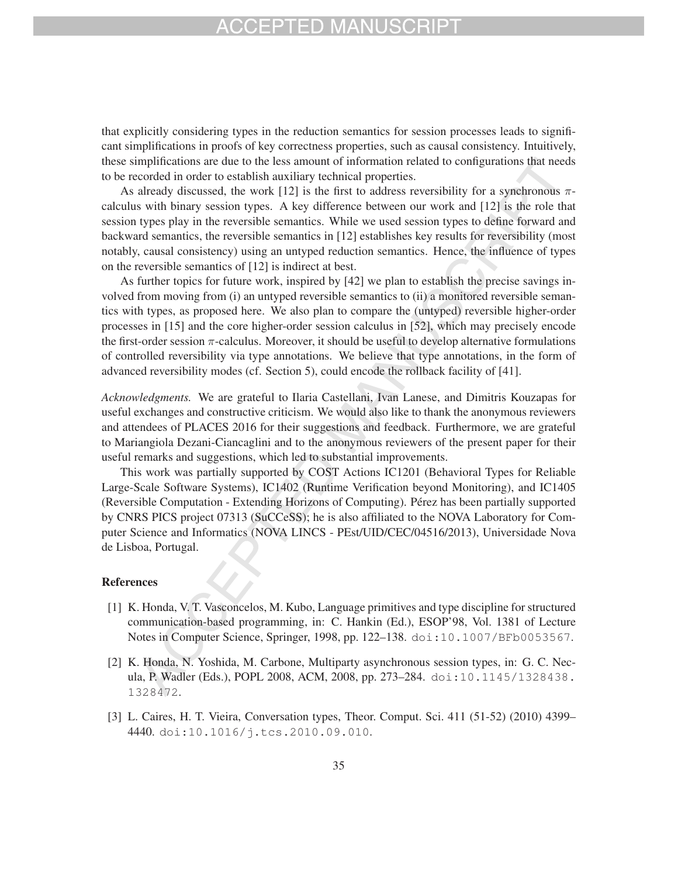that explicitly considering types in the reduction semantics for session processes leads to significant simplifications in proofs of key correctness properties, such as causal consistency. Intuitively, these simplifications are due to the less amount of information related to configurations that needs to be recorded in order to establish auxiliary technical properties.

As already discussed, the work [12] is the first to address reversibility for a synchronous  $\pi$ calculus with binary session types. A key difference between our work and [12] is the role that session types play in the reversible semantics. While we used session types to define forward and backward semantics, the reversible semantics in [12] establishes key results for reversibility (most notably, causal consistency) using an untyped reduction semantics. Hence, the influence of types on the reversible semantics of [12] is indirect at best.

As further topics for future work, inspired by [42] we plan to establish the precise savings involved from moving from (i) an untyped reversible semantics to (ii) a monitored reversible semantics with types, as proposed here. We also plan to compare the (untyped) reversible higher-order processes in [15] and the core higher-order session calculus in [52], which may precisely encode the first-order session  $\pi$ -calculus. Moreover, it should be useful to develop alternative formulations of controlled reversibility via type annotations. We believe that type annotations, in the form of advanced reversibility modes (cf. Section 5), could encode the rollback facility of [41].

*Acknowledgments.* We are grateful to Ilaria Castellani, Ivan Lanese, and Dimitris Kouzapas for useful exchanges and constructive criticism. We would also like to thank the anonymous reviewers and attendees of PLACES 2016 for their suggestions and feedback. Furthermore, we are grateful to Mariangiola Dezani-Ciancaglini and to the anonymous reviewers of the present paper for their useful remarks and suggestions, which led to substantial improvements.

This work was partially supported by COST Actions IC1201 (Behavioral Types for Reliable Large-Scale Software Systems), IC1402 (Runtime Verification beyond Monitoring), and IC1405 (Reversible Computation - Extending Horizons of Computing). Pérez has been partially supported by CNRS PICS project 07313 (SuCCeSS); he is also affiliated to the NOVA Laboratory for Computer Science and Informatics (NOVA LINCS - PEst/UID/CEC/04516/2013), Universidade Nova de Lisboa, Portugal.

### References

- [1] K. Honda, V. T. Vasconcelos, M. Kubo, Language primitives and type discipline for structured communication-based programming, in: C. Hankin (Ed.), ESOP'98, Vol. 1381 of Lecture Notes in Computer Science, Springer, 1998, pp. 122–138. doi:10.1007/BFb0053567.
- [2] K. Honda, N. Yoshida, M. Carbone, Multiparty asynchronous session types, in: G. C. Necula, P. Wadler (Eds.), POPL 2008, ACM, 2008, pp. 273–284. doi:10.1145/1328438. 1328472.
- [3] L. Caires, H. T. Vieira, Conversation types, Theor. Comput. Sci. 411 (51-52) (2010) 4399– 4440. doi:10.1016/j.tcs.2010.09.010.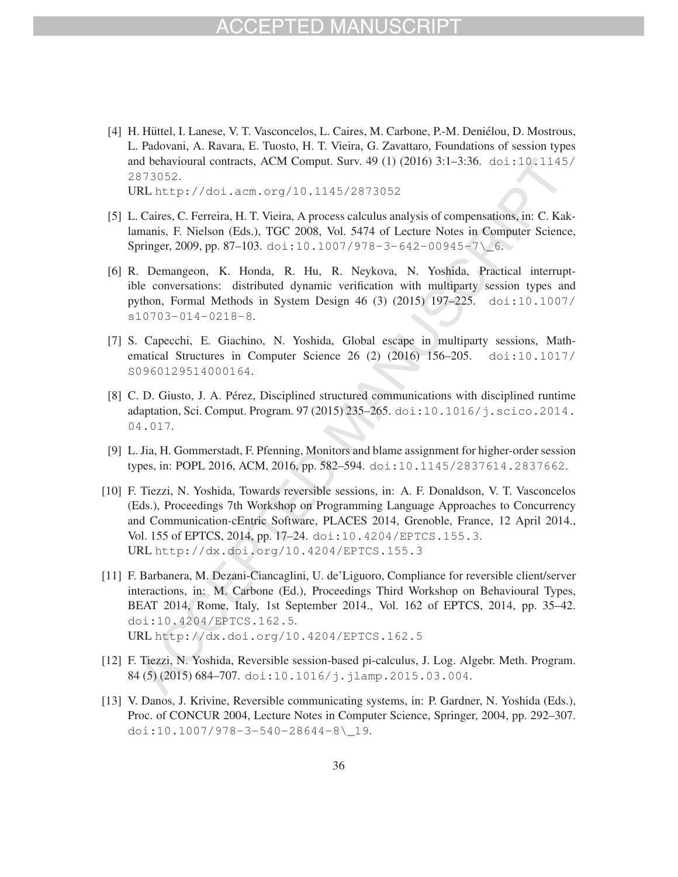## CCEPTED MAI

[4] H. Hüttel, I. Lanese, V. T. Vasconcelos, L. Caires, M. Carbone, P.-M. Deniélou, D. Mostrous, L. Padovani, A. Ravara, E. Tuosto, H. T. Vieira, G. Zavattaro, Foundations of session types and behavioural contracts, ACM Comput. Surv. 49 (1) (2016) 3:1–3:36. doi:10.1145/ 2873052.

URL http://doi.acm.org/10.1145/2873052

- [5] L. Caires, C. Ferreira, H. T. Vieira, A process calculus analysis of compensations, in: C. Kaklamanis, F. Nielson (Eds.), TGC 2008, Vol. 5474 of Lecture Notes in Computer Science, Springer, 2009, pp. 87-103. doi:10.1007/978-3-642-00945-7\\_6.
- [6] R. Demangeon, K. Honda, R. Hu, R. Neykova, N. Yoshida, Practical interruptible conversations: distributed dynamic verification with multiparty session types and python, Formal Methods in System Design 46 (3) (2015) 197–225. doi:10.1007/ s10703-014-0218-8.
- [7] S. Capecchi, E. Giachino, N. Yoshida, Global escape in multiparty sessions, Mathematical Structures in Computer Science 26 (2) (2016) 156–205. doi:10.1017/ S0960129514000164.
- [8] C. D. Giusto, J. A. Pérez, Disciplined structured communications with disciplined runtime adaptation, Sci. Comput. Program. 97 (2015) 235–265. doi:10.1016/j.scico.2014. 04.017.
- [9] L. Jia, H. Gommerstadt, F. Pfenning, Monitors and blame assignment for higher-order session types, in: POPL 2016, ACM, 2016, pp. 582–594. doi:10.1145/2837614.2837662.
- [10] F. Tiezzi, N. Yoshida, Towards reversible sessions, in: A. F. Donaldson, V. T. Vasconcelos (Eds.), Proceedings 7th Workshop on Programming Language Approaches to Concurrency and Communication-cEntric Software, PLACES 2014, Grenoble, France, 12 April 2014., Vol. 155 of EPTCS, 2014, pp. 17–24. doi:10.4204/EPTCS.155.3. URL http://dx.doi.org/10.4204/EPTCS.155.3
- [11] F. Barbanera, M. Dezani-Ciancaglini, U. de'Liguoro, Compliance for reversible client/server interactions, in: M. Carbone (Ed.), Proceedings Third Workshop on Behavioural Types, BEAT 2014, Rome, Italy, 1st September 2014., Vol. 162 of EPTCS, 2014, pp. 35–42. doi:10.4204/EPTCS.162.5. URL http://dx.doi.org/10.4204/EPTCS.162.5
- [12] F. Tiezzi, N. Yoshida, Reversible session-based pi-calculus, J. Log. Algebr. Meth. Program. 84 (5) (2015) 684-707. doi:10.1016/j.jlamp.2015.03.004.
- [13] V. Danos, J. Krivine, Reversible communicating systems, in: P. Gardner, N. Yoshida (Eds.), Proc. of CONCUR 2004, Lecture Notes in Computer Science, Springer, 2004, pp. 292–307. doi:10.1007/978-3-540-28644-8\\_19.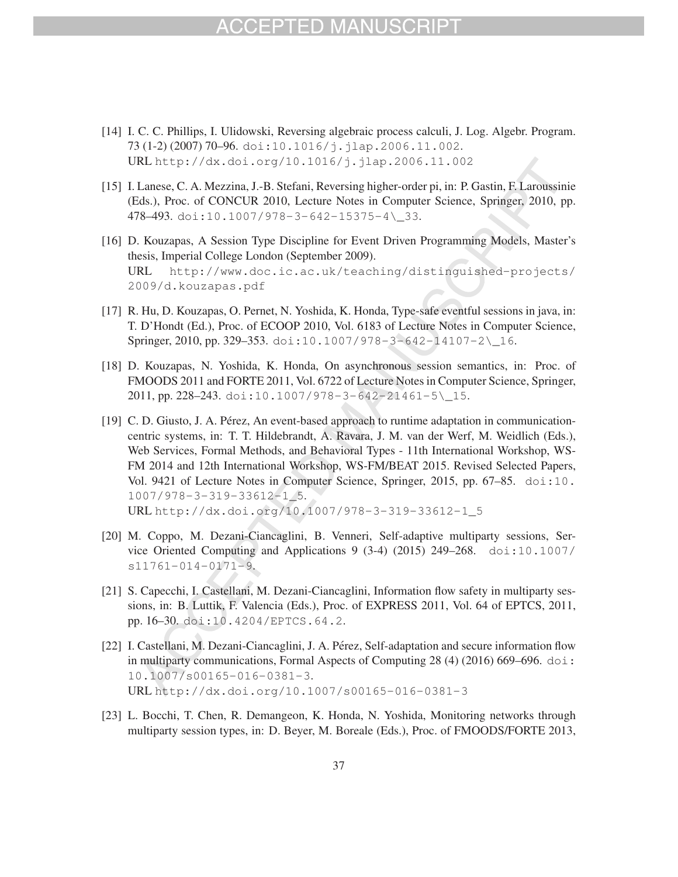- [14] I. C. C. Phillips, I. Ulidowski, Reversing algebraic process calculi, J. Log. Algebr. Program. 73 (1-2) (2007) 70–96. doi:10.1016/j.jlap.2006.11.002. URL http://dx.doi.org/10.1016/j.jlap.2006.11.002
- [15] I. Lanese, C. A. Mezzina, J.-B. Stefani, Reversing higher-order pi, in: P. Gastin, F. Laroussinie (Eds.), Proc. of CONCUR 2010, Lecture Notes in Computer Science, Springer, 2010, pp. 478–493. doi:10.1007/978-3-642-15375-4\\_33.
- [16] D. Kouzapas, A Session Type Discipline for Event Driven Programming Models, Master's thesis, Imperial College London (September 2009). URL http://www.doc.ic.ac.uk/teaching/distinguished-projects/ 2009/d.kouzapas.pdf
- [17] R. Hu, D. Kouzapas, O. Pernet, N. Yoshida, K. Honda, Type-safe eventful sessions in java, in: T. D'Hondt (Ed.), Proc. of ECOOP 2010, Vol. 6183 of Lecture Notes in Computer Science, Springer, 2010, pp. 329-353. doi:10.1007/978-3-642-14107-2\\_16.
- [18] D. Kouzapas, N. Yoshida, K. Honda, On asynchronous session semantics, in: Proc. of FMOODS 2011 and FORTE 2011, Vol. 6722 of Lecture Notes in Computer Science, Springer, 2011, pp. 228–243. doi:10.1007/978-3-642-21461-5\\_15.
- [19] C. D. Giusto, J. A. Pérez, An event-based approach to runtime adaptation in communicationcentric systems, in: T. T. Hildebrandt, A. Ravara, J. M. van der Werf, M. Weidlich (Eds.), Web Services, Formal Methods, and Behavioral Types - 11th International Workshop, WS-FM 2014 and 12th International Workshop, WS-FM/BEAT 2015. Revised Selected Papers, Vol. 9421 of Lecture Notes in Computer Science, Springer, 2015, pp. 67–85. doi:10. 1007/978-3-319-33612-1\_5. URL http://dx.doi.org/10.1007/978-3-319-33612-1\_5
- [20] M. Coppo, M. Dezani-Ciancaglini, B. Venneri, Self-adaptive multiparty sessions, Service Oriented Computing and Applications 9 (3-4) (2015) 249–268. doi:10.1007/ s11761-014-0171-9.
- [21] S. Capecchi, I. Castellani, M. Dezani-Ciancaglini, Information flow safety in multiparty sessions, in: B. Luttik, F. Valencia (Eds.), Proc. of EXPRESS 2011, Vol. 64 of EPTCS, 2011, pp. 16–30. doi:10.4204/EPTCS.64.2.
- [22] I. Castellani, M. Dezani-Ciancaglini, J. A. Pérez, Self-adaptation and secure information flow in multiparty communications, Formal Aspects of Computing  $28(4)$  (2016) 669–696. doi: 10.1007/s00165-016-0381-3. URL http://dx.doi.org/10.1007/s00165-016-0381-3
- [23] L. Bocchi, T. Chen, R. Demangeon, K. Honda, N. Yoshida, Monitoring networks through multiparty session types, in: D. Beyer, M. Boreale (Eds.), Proc. of FMOODS/FORTE 2013,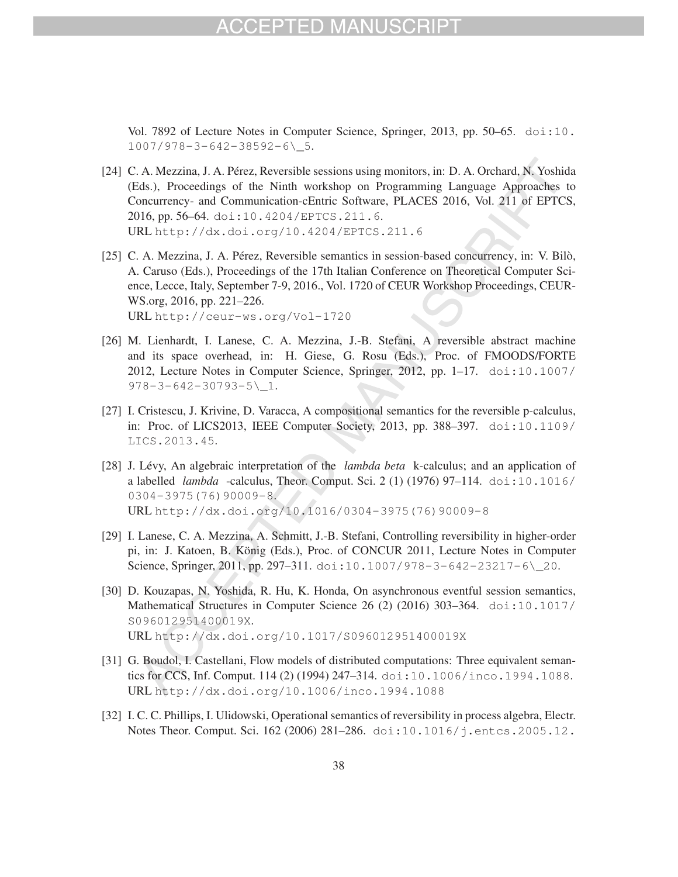## CCEPTED MAN

Vol. 7892 of Lecture Notes in Computer Science, Springer, 2013, pp. 50–65. doi:10. 1007/978-3-642-38592-6\\_5.

- [24] C. A. Mezzina, J. A. Pérez, Reversible sessions using monitors, in: D. A. Orchard, N. Yoshida (Eds.), Proceedings of the Ninth workshop on Programming Language Approaches to Concurrency- and Communication-cEntric Software, PLACES 2016, Vol. 211 of EPTCS, 2016, pp. 56–64. doi:10.4204/EPTCS.211.6. URL http://dx.doi.org/10.4204/EPTCS.211.6
- [25] C. A. Mezzina, J. A. Pérez, Reversible semantics in session-based concurrency, in: V. Bilò, A. Caruso (Eds.), Proceedings of the 17th Italian Conference on Theoretical Computer Science, Lecce, Italy, September 7-9, 2016., Vol. 1720 of CEUR Workshop Proceedings, CEUR-WS.org, 2016, pp. 221–226. URL http://ceur-ws.org/Vol-1720
- [26] M. Lienhardt, I. Lanese, C. A. Mezzina, J.-B. Stefani, A reversible abstract machine and its space overhead, in: H. Giese, G. Rosu (Eds.), Proc. of FMOODS/FORTE 2012, Lecture Notes in Computer Science, Springer, 2012, pp. 1–17. doi:10.1007/ 978-3-642-30793-5\\_1.
- [27] I. Cristescu, J. Krivine, D. Varacca, A compositional semantics for the reversible p-calculus, in: Proc. of LICS2013, IEEE Computer Society, 2013, pp. 388–397. doi:10.1109/ LICS.2013.45.
- [28] J. Lévy, An algebraic interpretation of the *lambda beta* k-calculus; and an application of a labelled *lambda* -calculus, Theor. Comput. Sci. 2 (1) (1976) 97–114. doi:10.1016/ 0304-3975(76)90009-8. URL http://dx.doi.org/10.1016/0304-3975(76)90009-8
- [29] I. Lanese, C. A. Mezzina, A. Schmitt, J.-B. Stefani, Controlling reversibility in higher-order pi, in: J. Katoen, B. König (Eds.), Proc. of CONCUR 2011, Lecture Notes in Computer Science, Springer, 2011, pp. 297–311. doi:10.1007/978-3-642-23217-6\\_20.
- [30] D. Kouzapas, N. Yoshida, R. Hu, K. Honda, On asynchronous eventful session semantics, Mathematical Structures in Computer Science 26 (2) (2016) 303-364. doi:10.1017/ S096012951400019X. URL http://dx.doi.org/10.1017/S096012951400019X
- [31] G. Boudol, I. Castellani, Flow models of distributed computations: Three equivalent semantics for CCS, Inf. Comput. 114 (2) (1994) 247–314. doi:10.1006/inco.1994.1088. URL http://dx.doi.org/10.1006/inco.1994.1088
- [32] I. C. C. Phillips, I. Ulidowski, Operational semantics of reversibility in process algebra, Electr. Notes Theor. Comput. Sci. 162 (2006) 281–286. doi:10.1016/j.entcs.2005.12.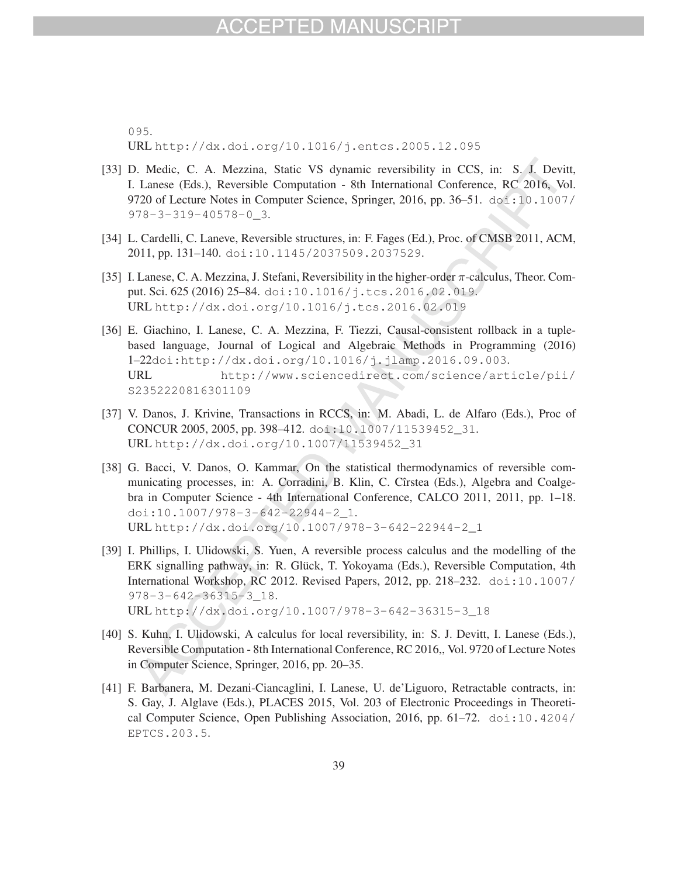095. URL http://dx.doi.org/10.1016/j.entcs.2005.12.095

- [33] D. Medic, C. A. Mezzina, Static VS dynamic reversibility in CCS, in: S. J. Devitt, I. Lanese (Eds.), Reversible Computation - 8th International Conference, RC 2016, Vol. 9720 of Lecture Notes in Computer Science, Springer, 2016, pp. 36–51. doi:10.1007/ 978-3-319-40578-0\_3.
- [34] L. Cardelli, C. Laneve, Reversible structures, in: F. Fages (Ed.), Proc. of CMSB 2011, ACM, 2011, pp. 131–140. doi:10.1145/2037509.2037529.
- [35] I. Lanese, C. A. Mezzina, J. Stefani, Reversibility in the higher-order π-calculus, Theor. Comput. Sci. 625 (2016) 25–84. doi:10.1016/j.tcs.2016.02.019. URL http://dx.doi.org/10.1016/j.tcs.2016.02.019
- [36] E. Giachino, I. Lanese, C. A. Mezzina, F. Tiezzi, Causal-consistent rollback in a tuplebased language, Journal of Logical and Algebraic Methods in Programming (2016) 1–22doi:http://dx.doi.org/10.1016/j.jlamp.2016.09.003. URL http://www.sciencedirect.com/science/article/pii/ S2352220816301109
- [37] V. Danos, J. Krivine, Transactions in RCCS, in: M. Abadi, L. de Alfaro (Eds.), Proc of CONCUR 2005, 2005, pp. 398–412. doi:10.1007/11539452\_31. URL http://dx.doi.org/10.1007/11539452\_31
- [38] G. Bacci, V. Danos, O. Kammar, On the statistical thermodynamics of reversible communicating processes, in: A. Corradini, B. Klin, C. Cîrstea (Eds.), Algebra and Coalgebra in Computer Science - 4th International Conference, CALCO 2011, 2011, pp. 1–18. doi:10.1007/978-3-642-22944-2\_1. URL http://dx.doi.org/10.1007/978-3-642-22944-2\_1
- [39] I. Phillips, I. Ulidowski, S. Yuen, A reversible process calculus and the modelling of the ERK signalling pathway, in: R. Glück, T. Yokoyama (Eds.), Reversible Computation, 4th International Workshop, RC 2012. Revised Papers, 2012, pp. 218–232. doi:10.1007/ 978-3-642-36315-3\_18. URL http://dx.doi.org/10.1007/978-3-642-36315-3\_18
- [40] S. Kuhn, I. Ulidowski, A calculus for local reversibility, in: S. J. Devitt, I. Lanese (Eds.), Reversible Computation - 8th International Conference, RC 2016,, Vol. 9720 of Lecture Notes in Computer Science, Springer, 2016, pp. 20–35.
- [41] F. Barbanera, M. Dezani-Ciancaglini, I. Lanese, U. de'Liguoro, Retractable contracts, in: S. Gay, J. Alglave (Eds.), PLACES 2015, Vol. 203 of Electronic Proceedings in Theoretical Computer Science, Open Publishing Association, 2016, pp. 61–72. doi:10.4204/ EPTCS.203.5.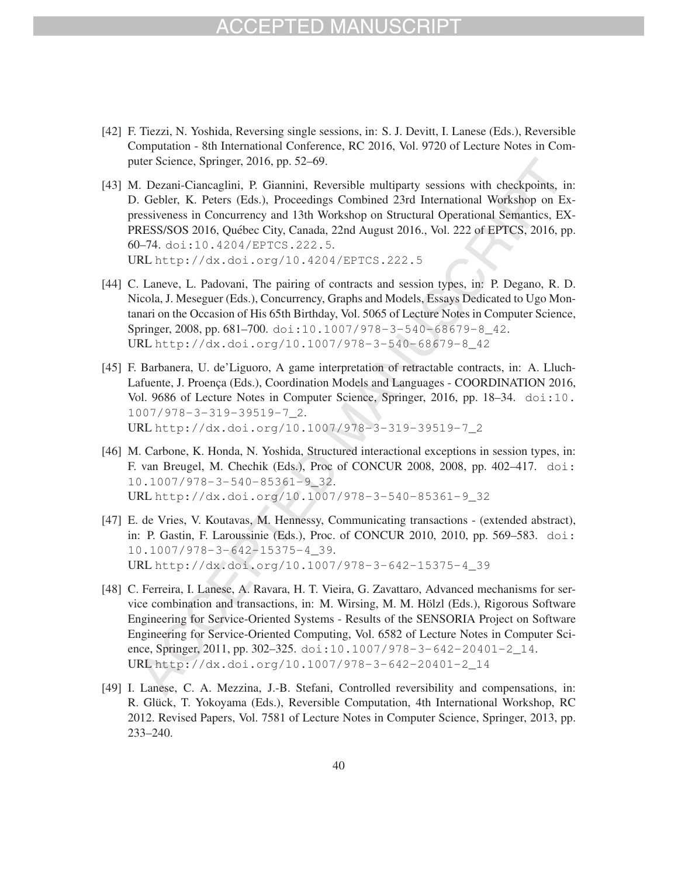- [42] F. Tiezzi, N. Yoshida, Reversing single sessions, in: S. J. Devitt, I. Lanese (Eds.), Reversible Computation - 8th International Conference, RC 2016, Vol. 9720 of Lecture Notes in Computer Science, Springer, 2016, pp. 52–69.
- [43] M. Dezani-Ciancaglini, P. Giannini, Reversible multiparty sessions with checkpoints, in: D. Gebler, K. Peters (Eds.), Proceedings Combined 23rd International Workshop on Expressiveness in Concurrency and 13th Workshop on Structural Operational Semantics, EX-PRESS/SOS 2016, Québec City, Canada, 22nd August 2016., Vol. 222 of EPTCS, 2016, pp. 60–74. doi:10.4204/EPTCS.222.5. URL http://dx.doi.org/10.4204/EPTCS.222.5
- [44] C. Laneve, L. Padovani, The pairing of contracts and session types, in: P. Degano, R. D. Nicola, J. Meseguer (Eds.), Concurrency, Graphs and Models, Essays Dedicated to Ugo Montanari on the Occasion of His 65th Birthday, Vol. 5065 of Lecture Notes in Computer Science, Springer, 2008, pp. 681-700. doi:10.1007/978-3-540-68679-8\_42. URL http://dx.doi.org/10.1007/978-3-540-68679-8\_42
- [45] F. Barbanera, U. de'Liguoro, A game interpretation of retractable contracts, in: A. Lluch-Lafuente, J. Proença (Eds.), Coordination Models and Languages - COORDINATION 2016, Vol. 9686 of Lecture Notes in Computer Science, Springer, 2016, pp. 18–34. doi:10. 1007/978-3-319-39519-7\_2. URL http://dx.doi.org/10.1007/978-3-319-39519-7\_2
- [46] M. Carbone, K. Honda, N. Yoshida, Structured interactional exceptions in session types, in: F. van Breugel, M. Chechik (Eds.), Proc of CONCUR 2008, 2008, pp. 402–417. doi: 10.1007/978-3-540-85361-9\_32. URL http://dx.doi.org/10.1007/978-3-540-85361-9\_32
- [47] E. de Vries, V. Koutavas, M. Hennessy, Communicating transactions (extended abstract), in: P. Gastin, F. Laroussinie (Eds.), Proc. of CONCUR 2010, 2010, pp. 569–583. doi: 10.1007/978-3-642-15375-4\_39. URL http://dx.doi.org/10.1007/978-3-642-15375-4\_39
- [48] C. Ferreira, I. Lanese, A. Ravara, H. T. Vieira, G. Zavattaro, Advanced mechanisms for service combination and transactions, in: M. Wirsing, M. M. Holzl (Eds.), Rigorous Software ¨ Engineering for Service-Oriented Systems - Results of the SENSORIA Project on Software Engineering for Service-Oriented Computing, Vol. 6582 of Lecture Notes in Computer Science, Springer, 2011, pp. 302-325. doi:10.1007/978-3-642-20401-2\_14. URL http://dx.doi.org/10.1007/978-3-642-20401-2\_14
- [49] I. Lanese, C. A. Mezzina, J.-B. Stefani, Controlled reversibility and compensations, in: R. Glück, T. Yokoyama (Eds.), Reversible Computation, 4th International Workshop, RC 2012. Revised Papers, Vol. 7581 of Lecture Notes in Computer Science, Springer, 2013, pp. 233–240.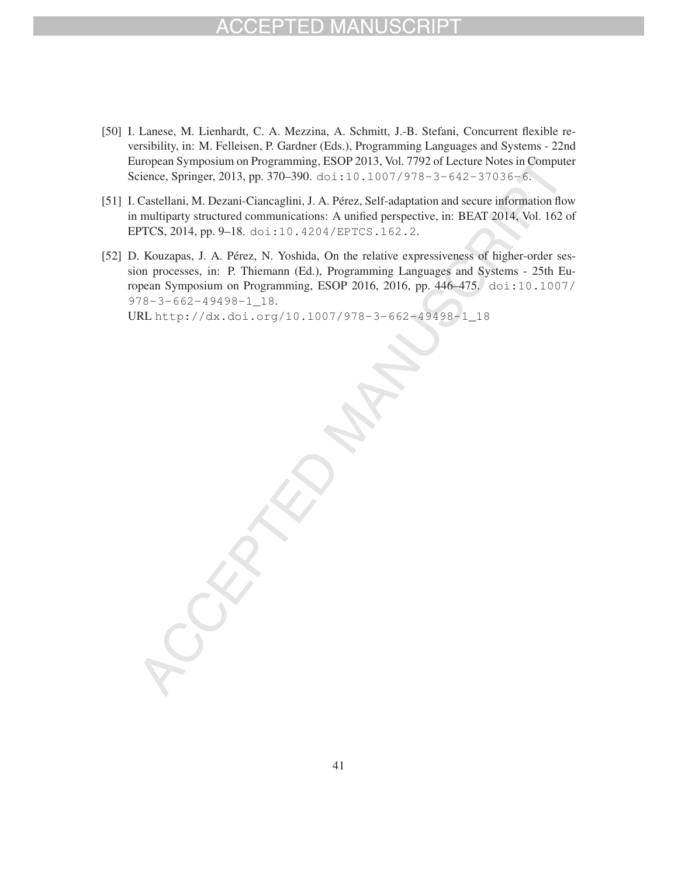## CEPTED MA

- [50] I. Lanese, M. Lienhardt, C. A. Mezzina, A. Schmitt, J.-B. Stefani, Concurrent flexible reversibility, in: M. Felleisen, P. Gardner (Eds.), Programming Languages and Systems - 22nd European Symposium on Programming, ESOP 2013, Vol. 7792 of Lecture Notes in Computer Science, Springer, 2013, pp. 370–390. doi:10.1007/978-3-642-37036-6.
- [51] I. Castellani, M. Dezani-Ciancaglini, J. A. Pérez, Self-adaptation and secure information flow in multiparty structured communications: A unified perspective, in: BEAT 2014, Vol. 162 of EPTCS, 2014, pp. 9–18. doi:10.4204/EPTCS.162.2.
- [52] D. Kouzapas, J. A. Pérez, N. Yoshida, On the relative expressiveness of higher-order session processes, in: P. Thiemann (Ed.), Programming Languages and Systems - 25th European Symposium on Programming, ESOP 2016, 2016, pp. 446–475. doi:10.1007/ 978-3-662-49498-1\_18.

URL http://dx.doi.org/10.1007/978-3-662-49498-1\_18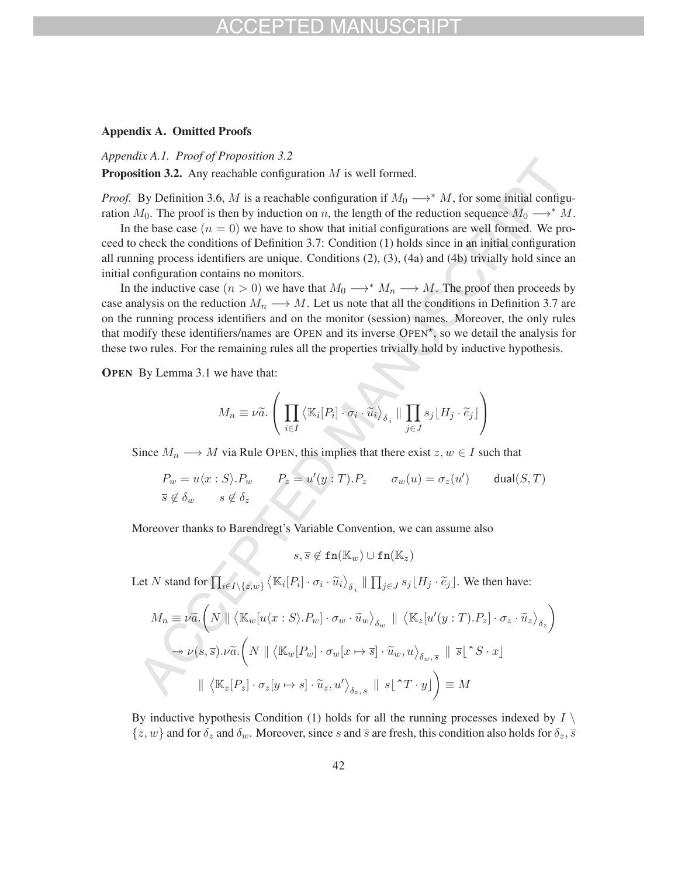#### Appendix A. Omitted Proofs

*Appendix A.1. Proof of Proposition 3.2*

**Proposition 3.2.** Any reachable configuration  $M$  is well formed.

*Proof.* By Definition 3.6, M is a reachable configuration if  $M_0 \rightarrow^* M$ , for some initial configuration  $M_0$ . The proof is then by induction on n, the length of the reduction sequence  $M_0 \longrightarrow^* M$ .

In the base case  $(n = 0)$  we have to show that initial configurations are well formed. We proceed to check the conditions of Definition 3.7: Condition (1) holds since in an initial configuration all running process identifiers are unique. Conditions (2), (3), (4a) and (4b) trivially hold since an initial configuration contains no monitors.

In the inductive case  $(n > 0)$  we have that  $M_0 \longrightarrow^* M_n \longrightarrow M$ . The proof then proceeds by case analysis on the reduction  $M_n \longrightarrow M$ . Let us note that all the conditions in Definition 3.7 are on the running process identifiers and on the monitor (session) names. Moreover, the only rules that modify these identifiers/names are OPEN and its inverse  $\text{OPEN}^*$ , so we detail the analysis for these two rules. For the remaining rules all the properties trivially hold by inductive hypothesis.

OPEN By Lemma 3.1 we have that:

$$
M_n \equiv \nu \tilde{a}.\left(\prod_{i\in I} \left\langle \mathbb{K}_i[P_i] \cdot \sigma_i \cdot \tilde{u}_i \right\rangle_{\delta_i} \parallel \prod_{j\in J} s_j \lfloor H_j \cdot \tilde{e}_j \rfloor \right)
$$

Since  $M_n \longrightarrow M$  via Rule OPEN, this implies that there exist  $z, w \in I$  such that

$$
P_w = u\langle x : S \rangle \cdot P_w \qquad P_z = u'(y : T) \cdot P_z \qquad \sigma_w(u) = \sigma_z(u') \qquad \text{dual}(S, T)
$$
  
 $\overline{s} \notin \delta_w \qquad s \notin \delta_z$ 

Moreover thanks to Barendregt's Variable Convention, we can assume also

 $s, \overline{s} \not\in \mathtt{fn}(\mathbb{K}_w) \cup \mathtt{fn}(\mathbb{K}_z)$ 

Let N stand for  $\prod_{i \in I \setminus \{z,w\}} \langle \mathbb{K}_i[P_i] \cdot \sigma_i \cdot \widetilde{u}_i \rangle_{\delta_i} \parallel \prod_{j \in J} s_j \lfloor H_j \cdot \widetilde{e}_j \rfloor$ . We then have:

$$
M_n \equiv \nu \widetilde{a}.\left(N \parallel \langle \mathbb{K}_w[u \langle x : S \rangle . P_w] \cdot \sigma_w \cdot \widetilde{u}_w \rangle_{\delta_w} \parallel \langle \mathbb{K}_z[u'(y : T) . P_z] \cdot \sigma_z \cdot \widetilde{u}_z \rangle_{\delta_z}\right)
$$
  

$$
\rightarrow \nu(s, \overline{s}) \cdot \nu \widetilde{a}. \left(N \parallel \langle \mathbb{K}_w[P_w] \cdot \sigma_w[x \mapsto \overline{s}] \cdot \widetilde{u}_w, u \rangle_{\delta_w, \overline{s}} \parallel \overline{s} \lfloor \widetilde{S} \cdot x \rfloor
$$
  

$$
\parallel \langle \mathbb{K}_z[P_z] \cdot \sigma_z[y \mapsto s] \cdot \widetilde{u}_z, u' \rangle_{\delta_z, s} \parallel s \lfloor \widetilde{S} \cdot T \cdot y \rfloor\right) \equiv M
$$

By inductive hypothesis Condition (1) holds for all the running processes indexed by  $I \setminus I$  $\{z, w\}$  and for  $\delta_z$  and  $\delta_w$ . Moreover, since s and  $\overline{s}$  are fresh, this condition also holds for  $\delta_z$ ,  $\overline{s}$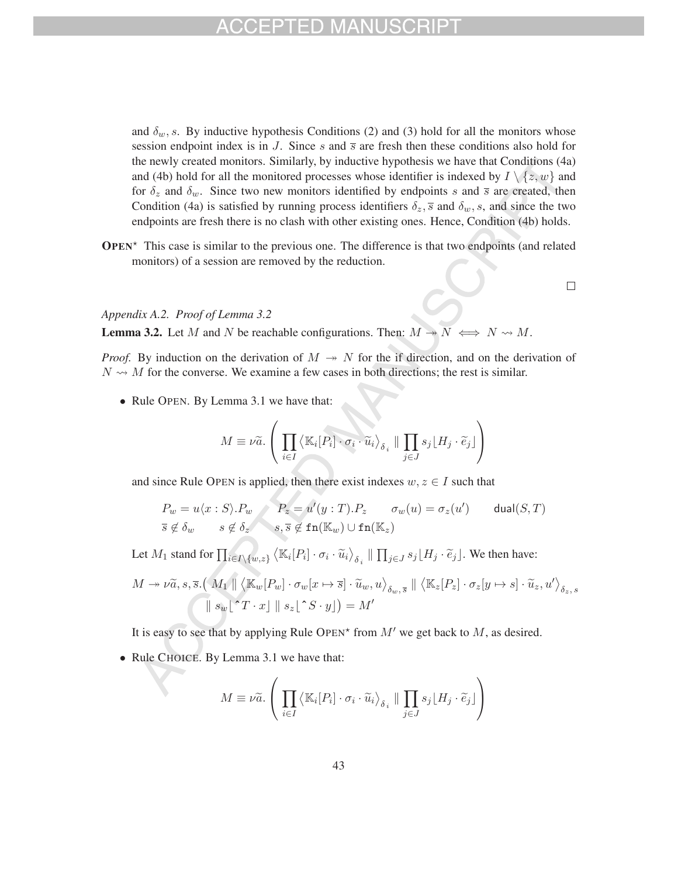and  $\delta_w$ , s. By inductive hypothesis Conditions (2) and (3) hold for all the monitors whose session endpoint index is in J. Since s and  $\overline{s}$  are fresh then these conditions also hold for the newly created monitors. Similarly, by inductive hypothesis we have that Conditions (4a) and (4b) hold for all the monitored processes whose identifier is indexed by  $I \setminus \{z, w\}$  and for  $\delta_z$  and  $\delta_w$ . Since two new monitors identified by endpoints s and  $\overline{s}$  are created, then Condition (4a) is satisfied by running process identifiers  $\delta_z$ ,  $\bar{s}$  and  $\delta_w$ , s, and since the two endpoints are fresh there is no clash with other existing ones. Hence, Condition (4b) holds.

 $OPEN^*$  This case is similar to the previous one. The difference is that two endpoints (and related monitors) of a session are removed by the reduction.

*Appendix A.2. Proof of Lemma 3.2*

**Lemma 3.2.** Let M and N be reachable configurations. Then:  $M \rightarrow N \iff N \iff M$ .

*Proof.* By induction on the derivation of  $M \rightarrow N$  for the if direction, and on the derivation of  $N \rightarrow M$  for the converse. We examine a few cases in both directions; the rest is similar.

• Rule OPEN. By Lemma 3.1 we have that:

$$
M \equiv \nu \widetilde{a}.\left(\prod_{i \in I} \left\langle \mathbb{K}_i[P_i] \cdot \sigma_i \cdot \widetilde{u}_i \right\rangle_{\delta_i} \parallel \prod_{j \in J} s_j \lfloor H_j \cdot \widetilde{e}_j \rfloor \right)
$$

and since Rule OPEN is applied, then there exist indexes  $w, z \in I$  such that

$$
P_w = u\langle x : S \rangle P_w \qquad P_z = u'(y : T) P_z \qquad \sigma_w(u) = \sigma_z(u') \qquad \text{dual}(S, T)
$$
  

$$
\overline{s} \notin \delta_w \qquad s \notin \delta_z \qquad s, \overline{s} \notin \text{fn}(\mathbb{K}_w) \cup \text{fn}(\mathbb{K}_z)
$$

Let  $M_1$  stand for  $\prod_{i \in I \setminus \{w,z\}} \left\langle \mathbb{K}_i[P_i] \cdot \sigma_i \cdot \widetilde{u}_i \right\rangle_{\delta_i} \parallel \prod_{j \in J} s_j \lfloor H_j \cdot \widetilde{e}_j \rfloor$ . We then have:

$$
M \to \nu \widetilde{a}, s, \overline{s}. (M_1 \parallel \langle \mathbb{K}_w[P_w] \cdot \sigma_w[x \mapsto \overline{s}] \cdot \widetilde{u}_w, u \rangle_{\delta_w, \overline{s}} \parallel \langle \mathbb{K}_z[P_z] \cdot \sigma_z[y \mapsto s] \cdot \widetilde{u}_z, u' \rangle_{\delta_z, s}
$$
  

$$
\parallel s_w \lfloor \widetilde{\ }T \cdot x \rfloor \parallel s_z \lfloor \widetilde{\ }S \cdot y \rfloor) = M'
$$

It is easy to see that by applying Rule OPEN<sup>\*</sup> from  $M'$  we get back to  $M$ , as desired.

• Rule CHOICE. By Lemma 3.1 we have that:

$$
M \equiv \nu \widetilde{a}.\left(\prod_{i\in I} \left\langle \mathbb{K}_i[P_i] \cdot \sigma_i \cdot \widetilde{u}_i \right\rangle_{\delta_i} \parallel \prod_{j\in J} s_j \lfloor H_j \cdot \widetilde{e}_j \rfloor \right)
$$

 $\Box$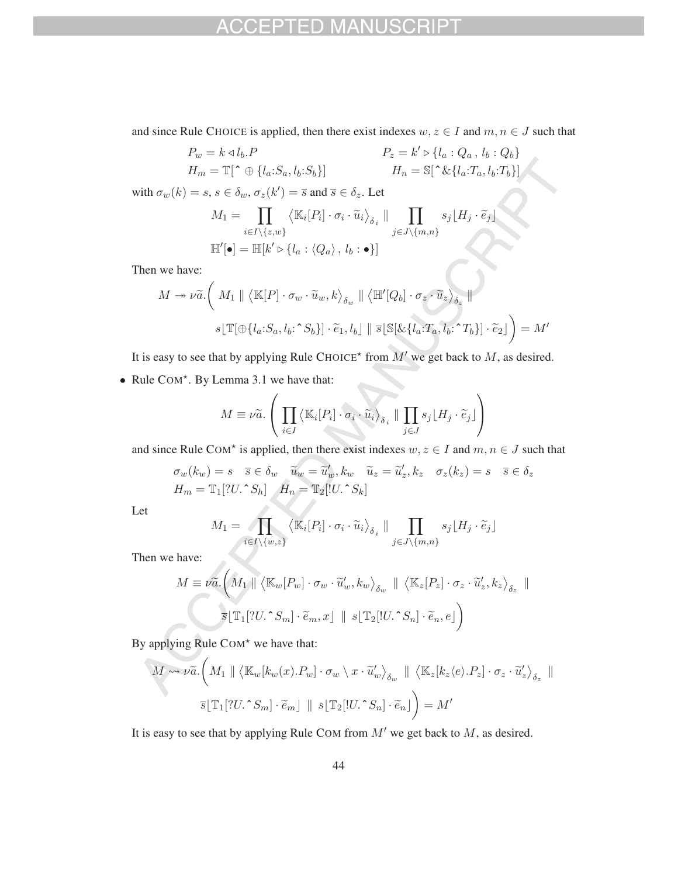## FD

and since Rule CHOICE is applied, then there exist indexes  $w, z \in I$  and  $m, n \in J$  such that

$$
P_w = k \triangleleft l_b.P
$$
  
\n
$$
H_m = \mathbb{T}[\uparrow \oplus \{l_a : S_a, l_b : S_b\}]
$$
  
\n
$$
P_z = k' \triangleright \{l_a : Q_a, l_b : Q_b\}
$$
  
\n
$$
H_n = \mathbb{S}[\uparrow \& \{l_a : T_a, l_b : T_b\}]
$$

with  $\sigma_w(k) = s, s \in \delta_w$ ,  $\sigma_z(k') = \overline{s}$  and  $\overline{s} \in \delta_z$ . Let

$$
M_1 = \prod_{i \in I \setminus \{z,w\}} \langle \mathbb{K}_i[P_i] \cdot \sigma_i \cdot \widetilde{u}_i \rangle_{\delta_i} \parallel \prod_{j \in J \setminus \{m,n\}} s_j \lfloor H_j \cdot \widetilde{e}_j \rfloor
$$
  

$$
\mathbb{H}'[\bullet] = \mathbb{H}[k' \triangleright \{l_a : \langle Q_a \rangle, l_b : \bullet \}]
$$

Then we have:

$$
M \twoheadrightarrow \nu \widetilde{a}.\left(M_1 \parallel \langle \mathbb{K}[P] \cdot \sigma_w \cdot \widetilde{u}_w, k \rangle_{\delta_w} \parallel \langle \mathbb{H}'[Q_b] \cdot \sigma_z \cdot \widetilde{u}_z \rangle_{\delta_z} \parallel
$$

$$
s \lfloor \mathbb{T}[\bigoplus \{l_a : S_a, l_b : \hat{S}_b\}] \cdot \widetilde{e}_1, l_b \rfloor \parallel \overline{s} \lfloor \mathbb{S}[\& \{l_a : T_a, l_b : \hat{C}_b\}] \cdot \widetilde{e}_2 \rfloor \right) = M'
$$

It is easy to see that by applying Rule CHOICE<sup>\*</sup> from  $M'$  we get back to M, as desired.

• Rule COM<sup>\*</sup>. By Lemma 3.1 we have that:

$$
M \equiv \nu \widetilde{a}.\left(\prod_{i\in I} \left\langle \mathbb{K}_i[P_i] \cdot \sigma_i \cdot \widetilde{u}_i \right\rangle_{\delta_i} \parallel \prod_{j\in J} s_j \lfloor H_j \cdot \widetilde{e}_j \rfloor \right)
$$

and since Rule COM<sup>\*</sup> is applied, then there exist indexes  $w, z \in I$  and  $m, n \in J$  such that

$$
\sigma_w(k_w) = s \quad \overline{s} \in \delta_w \quad \widetilde{u}_w = \widetilde{u}'_w, k_w \quad \widetilde{u}_z = \widetilde{u}'_z, k_z \quad \sigma_z(k_z) = s \quad \overline{s} \in \delta_z
$$
  

$$
H_m = \mathbb{T}_1[?U.^{\wedge}S_h] \quad H_n = \mathbb{T}_2[!U.^{\wedge}S_k]
$$

Let

$$
M_1 = \prod_{i \in I \setminus \{w,z\}} \langle \mathbb{K}_i[P_i] \cdot \sigma_i \cdot \widetilde{u}_i \rangle_{\delta_i} \parallel \prod_{j \in J \setminus \{m,n\}} s_j \lfloor H_j \cdot \widetilde{e}_j \rfloor
$$

Then we have:

$$
M \equiv \nu \tilde{a}.\left(M_1 \parallel \langle \mathbb{K}_w[P_w] \cdot \sigma_w \cdot \tilde{u}'_w, k_w \rangle_{\delta_w} \parallel \langle \mathbb{K}_z[P_z] \cdot \sigma_z \cdot \tilde{u}'_z, k_z \rangle_{\delta_z} \parallel
$$
  

$$
\bar{s}[\mathbb{T}_1[?U \cdot S_m] \cdot \tilde{e}_m, x] \parallel s[\mathbb{T}_2[!U \cdot S_n] \cdot \tilde{e}_n, e]\right)
$$

By applying Rule  $COM^*$  we have that:

$$
M \rightsquigarrow \nu \widetilde{a}.\left(M_1 \parallel \langle \mathbb{K}_w[k_w(x).P_w] \cdot \sigma_w \setminus x \cdot \widetilde{u}'_w \rangle_{\delta_w} \parallel \langle \mathbb{K}_z[k_z \langle e \rangle P_z] \cdot \sigma_z \cdot \widetilde{u}'_z \rangle_{\delta_z} \parallel
$$

$$
\overline{s}[\mathbb{T}_1[?U \cdot S_m] \cdot \widetilde{e}_m] \parallel s[\mathbb{T}_2[!U \cdot S_n] \cdot \widetilde{e}_n]\right) = M'
$$

It is easy to see that by applying Rule COM from  $M'$  we get back to  $M$ , as desired.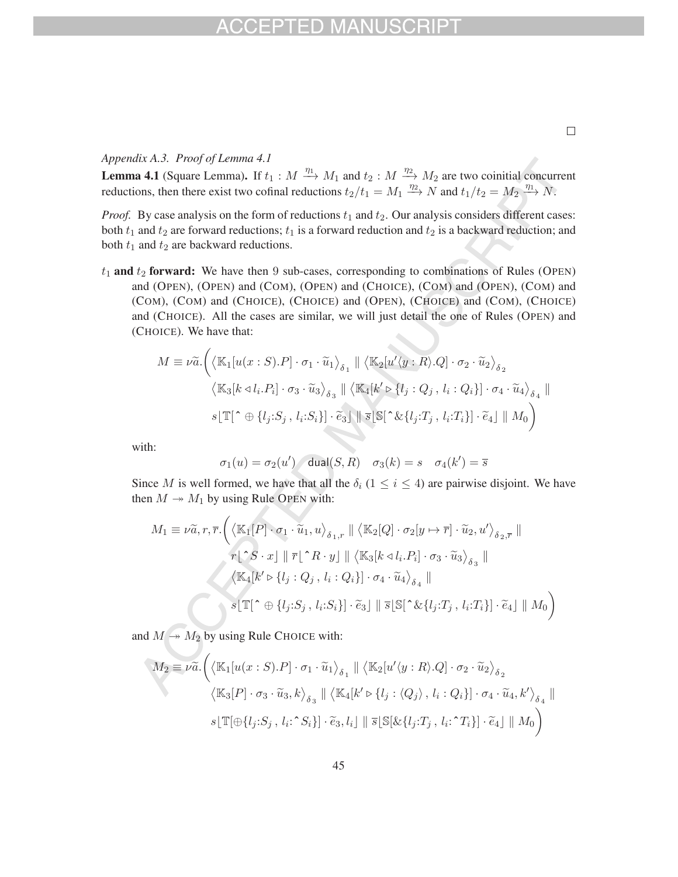### *Appendix A.3. Proof of Lemma 4.1*

**Lemma 4.1** (Square Lemma). If  $t_1 : M \xrightarrow{\eta_1} M_1$  and  $t_2 : M \xrightarrow{\eta_2} M_2$  are two coinitial concurrent reductions, then there exist two cofinal reductions  $t_2/t_1 = M_1 \stackrel{\eta_2}{\longrightarrow} N$  and  $t_1/t_2 = M_2 \stackrel{\eta_1}{\longrightarrow} N$ .

*Proof.* By case analysis on the form of reductions  $t_1$  and  $t_2$ . Our analysis considers different cases: both  $t_1$  and  $t_2$  are forward reductions;  $t_1$  is a forward reduction and  $t_2$  is a backward reduction; and both  $t_1$  and  $t_2$  are backward reductions.

 $t_1$  and  $t_2$  forward: We have then 9 sub-cases, corresponding to combinations of Rules (OPEN) and (OPEN), (OPEN) and (COM), (OPEN) and (CHOICE), (COM) and (OPEN), (COM) and (COM), (COM) and (CHOICE), (CHOICE) and (OPEN), (CHOICE) and (COM), (CHOICE) and (CHOICE). All the cases are similar, we will just detail the one of Rules (OPEN) and (CHOICE). We have that:

$$
M \equiv \nu \tilde{a}.\left(\langle \mathbb{K}_1[u(x:S).P] \cdot \sigma_1 \cdot \tilde{u}_1 \rangle_{\delta_1} \parallel \langle \mathbb{K}_2[u'\langle y:R\rangle.Q] \cdot \sigma_2 \cdot \tilde{u}_2 \rangle_{\delta_2} \right)
$$

$$
\langle \mathbb{K}_3[k \triangleleft l_i.P_i] \cdot \sigma_3 \cdot \tilde{u}_3 \rangle_{\delta_3} \parallel \langle \mathbb{K}_4[k' \triangleright \{l_j:Q_j, l_i:Q_i\}] \cdot \sigma_4 \cdot \tilde{u}_4 \rangle_{\delta_4} \parallel
$$

$$
s[\mathbb{T}[\hat{ } \oplus \{l_j: S_j, l_i: S_i\}] \cdot \tilde{e}_3] \parallel \overline{s}[\mathbb{S}[\hat{ } \& \{l_j: T_j, l_i: T_i\}] \cdot \tilde{e}_4] \parallel M_0\right)
$$

with:

$$
\sigma_1(u)=\sigma_2(u')\quad \text{dual}(S,R)\quad \sigma_3(k)=s\quad \sigma_4(k')=\overline{s}
$$

Since M is well formed, we have that all the  $\delta_i$  ( $1 \le i \le 4$ ) are pairwise disjoint. We have then  $M \rightarrow M_1$  by using Rule OPEN with:

$$
M_1 \equiv \nu \tilde{a}, r, \overline{r}.\left(\langle \mathbb{K}_1[P] \cdot \sigma_1 \cdot \tilde{u}_1, u \rangle_{\delta_1, r} \parallel \langle \mathbb{K}_2[Q] \cdot \sigma_2[y \mapsto \overline{r}] \cdot \tilde{u}_2, u' \rangle_{\delta_2, \overline{r}} \parallel
$$
  

$$
r \lfloor \tilde{r}S \cdot x \rfloor \parallel \overline{r} \lfloor \tilde{r}R \cdot y \rfloor \parallel \langle \mathbb{K}_3[k \triangleleft l_i.P_i] \cdot \sigma_3 \cdot \tilde{u}_3 \rangle_{\delta_3} \parallel
$$
  

$$
\langle \mathbb{K}_4[k' \triangleright \{l_j: Q_j, l_i: Q_i\}] \cdot \sigma_4 \cdot \tilde{u}_4 \rangle_{\delta_4} \parallel
$$
  

$$
s \lfloor \mathbb{T} \lfloor \tilde{r} \oplus \{l_j: S_j, l_i: S_i\} \rfloor \cdot \tilde{e}_3 \rfloor \parallel \overline{s} \lfloor \mathbb{S} \lfloor \tilde{r} \& \{l_j: T_j, l_i: T_i\} \rfloor \cdot \tilde{e}_4 \rfloor \parallel M_0 \right)
$$

and  $M \rightarrow M_2$  by using Rule CHOICE with:

$$
M_2 \equiv \nu \widetilde{a}.\left(\left\langle \mathbb{K}_1[u(x:S).P] \cdot \sigma_1 \cdot \widetilde{u}_1 \right\rangle_{\delta_1} \parallel \left\langle \mathbb{K}_2[u'\langle y:R\rangle.Q] \cdot \sigma_2 \cdot \widetilde{u}_2 \right\rangle_{\delta_2} \right)
$$

$$
\left\langle \mathbb{K}_3[P] \cdot \sigma_3 \cdot \widetilde{u}_3, k \right\rangle_{\delta_3} \parallel \left\langle \mathbb{K}_4[k' \triangleright \{l_j : \langle Q_j \rangle, l_i : Q_i\}] \cdot \sigma_4 \cdot \widetilde{u}_4, k' \right\rangle_{\delta_4} \parallel
$$

$$
s \lfloor \mathbb{T}[\bigoplus \{l_j : S_j, l_i : \hat{S}_i\}] \cdot \widetilde{e}_3, l_i \rfloor \parallel \overline{s} \lfloor \mathbb{S}[\& \{l_j : T_j, l_i : \hat{T}_i\}] \cdot \widetilde{e}_4 \rfloor \parallel M_0 \right)
$$

 $\Box$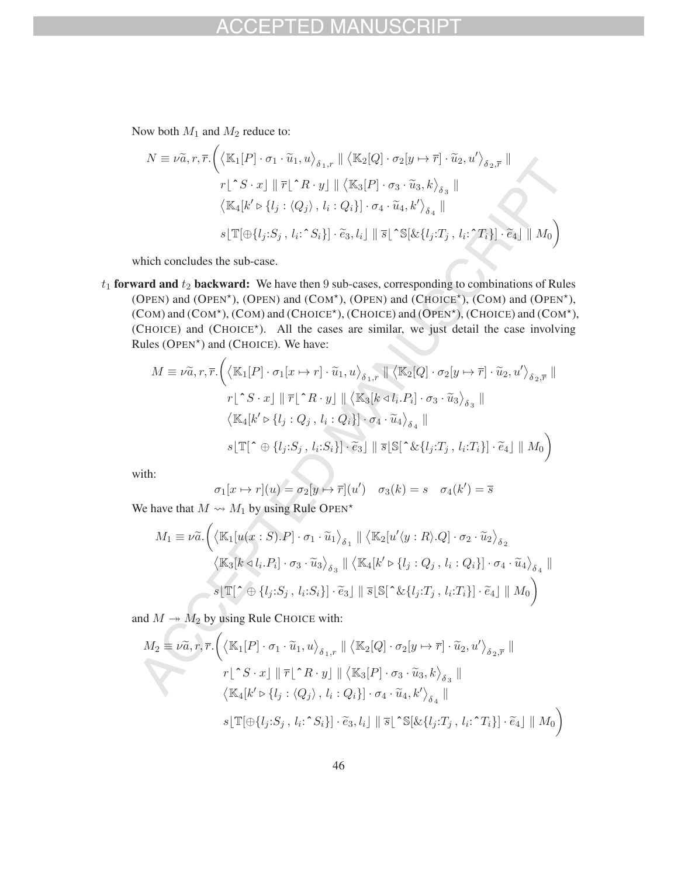#### $=$   $\Box$ **MA**

Now both  $M_1$  and  $M_2$  reduce to:

$$
N \equiv \nu \tilde{a}, r, \overline{r}.\left(\langle \mathbb{K}_1[P] \cdot \sigma_1 \cdot \tilde{u}_1, u \rangle_{\delta_1, r} \mid \langle \mathbb{K}_2[Q] \cdot \sigma_2[y \mapsto \overline{r}] \cdot \tilde{u}_2, u' \rangle_{\delta_2, \overline{r}} \mid\right. \\
\left. r \mid \hat{S} \cdot x \mid \|\overline{r}\| \hat{R} \cdot y \right] \mid \langle \mathbb{K}_3[P] \cdot \sigma_3 \cdot \tilde{u}_3, k \rangle_{\delta_3} \mid \\
\langle \mathbb{K}_4[k' \triangleright \{l_j : \langle Q_j \rangle, l_i : Q_i\}] \cdot \sigma_4 \cdot \tilde{u}_4, k' \rangle_{\delta_4} \mid\right] \\
s \cdot \mathbb{T}[\bigoplus \{l_j : S_j, l_i : \hat{S}_i\}] \cdot \tilde{e}_3, l_i] \mid \|\overline{s}\| \hat{S}[\& \{l_j : T_j, l_i : T_i\}] \cdot \tilde{e}_4] \mid M_0
$$

which concludes the sub-case.

 $t_1$  forward and  $t_2$  backward: We have then 9 sub-cases, corresponding to combinations of Rules (OPEN) and (OPEN<sup>\*</sup>), (OPEN) and (COM<sup>\*</sup>), (OPEN) and (CHOICE<sup>\*</sup>), (COM) and (OPEN<sup>\*</sup>), (COM) and (COM<sup>\*</sup>), (COM) and (CHOICE<sup>\*</sup>), (CHOICE) and (OPEN<sup>\*</sup>), (CHOICE) and (COM<sup>\*</sup>),  $(CHOICE)$  and  $(CHOICE<sup>*</sup>)$ . All the cases are similar, we just detail the case involving Rules (OPEN<sup>\*</sup>) and (CHOICE). We have:

$$
M \equiv \nu \tilde{a}, r, \overline{r}.\left(\langle \mathbb{K}_1[P] \cdot \sigma_1[x \mapsto r] \cdot \tilde{u}_1, u \rangle_{\delta_1, r} \parallel \langle \mathbb{K}_2[Q] \cdot \sigma_2[y \mapsto \overline{r}] \cdot \tilde{u}_2, u' \rangle_{\delta_2, \overline{r}} \parallel
$$
  

$$
r \lfloor \tilde{S} \cdot x \rfloor \parallel \overline{r} \lfloor \tilde{S} \cdot x \rfloor \parallel \langle \mathbb{K}_3[k \triangleleft l_i, P_i] \cdot \sigma_3 \cdot \tilde{u}_3 \rangle_{\delta_3} \parallel
$$
  

$$
\langle \mathbb{K}_4[k' \triangleright \{l_j : Q_j, l_i : Q_i\}] \cdot \sigma_4 \cdot \tilde{u}_4 \rangle_{\delta_4} \parallel
$$
  

$$
s \lfloor \mathbb{T} \lfloor \tilde{S} \oplus \{l_j : S_j, l_i : S_i\} \rfloor \cdot \tilde{e}_3 \rfloor \parallel \overline{s} \lfloor \mathbb{S} \lfloor \tilde{S} \& \{l_j : T_j, l_i : T_i\} \rfloor \cdot \tilde{e}_4 \rfloor \parallel M_0 \right)
$$

with:

$$
\sigma_1[x \mapsto r](u) = \sigma_2[y \mapsto \overline{r}](u') \quad \sigma_3(k) = s \quad \sigma_4(k') = \overline{s}
$$

We have that  $M \rightarrow M_1$  by using Rule OPEN<sup>\*</sup>

$$
M_1 \equiv \nu \tilde{a}.\left(\langle \mathbb{K}_1[u(x:S).P] \cdot \sigma_1 \cdot \tilde{u}_1 \rangle_{\delta_1} \parallel \langle \mathbb{K}_2[u' \langle y:R \rangle .Q] \cdot \sigma_2 \cdot \tilde{u}_2 \rangle_{\delta_2} \right)
$$

$$
\langle \mathbb{K}_3[k \triangleleft l_i.P_i] \cdot \sigma_3 \cdot \tilde{u}_3 \rangle_{\delta_3} \parallel \langle \mathbb{K}_4[k' \triangleright \{l_j:Q_j, l_i:Q_i\}] \cdot \sigma_4 \cdot \tilde{u}_4 \rangle_{\delta_4} \parallel
$$

$$
s[\mathbb{T}[\hat{ } \oplus \{l_j: S_j, l_i: S_i\}] \cdot \tilde{e}_3] \parallel \overline{s}[\mathbb{S}[\hat{ } \& \{l_j: T_j, l_i: T_i\}] \cdot \tilde{e}_4] \parallel M_0\right)
$$

and  $M \rightarrow M_2$  by using Rule CHOICE with:

$$
M_2 \equiv \nu \widetilde{a}, r, \overline{r}. \left( \langle \mathbb{K}_1[P] \cdot \sigma_1 \cdot \widetilde{u}_1, u \rangle_{\delta_1, r} \parallel \langle \mathbb{K}_2[Q] \cdot \sigma_2[y \mapsto \overline{r}] \cdot \widetilde{u}_2, u' \rangle_{\delta_2, \overline{r}} \parallel
$$
  
\n
$$
r \lfloor \widetilde{\ }S \cdot x \rfloor \parallel \overline{r} \lfloor \widetilde{\ }R \cdot y \rfloor \parallel \langle \mathbb{K}_3[P] \cdot \sigma_3 \cdot \widetilde{u}_3, k \rangle_{\delta_3} \parallel
$$
  
\n
$$
\langle \mathbb{K}_4[k' \triangleright \{l_j : \langle Q_j \rangle, l_i : Q_i \}] \cdot \sigma_4 \cdot \widetilde{u}_4, k' \rangle_{\delta_4} \parallel
$$
  
\n
$$
s \lfloor \mathbb{T}[\bigoplus \{l_j : S_j, l_i : \widehat{S}_i \}] \cdot \widetilde{e}_3, l_i \rfloor \parallel \overline{s} \lfloor \widetilde{\ }S[\& \{l_j : T_j, l_i : T_i \}] \cdot \widetilde{e}_4 \rfloor \parallel M_0 \right)
$$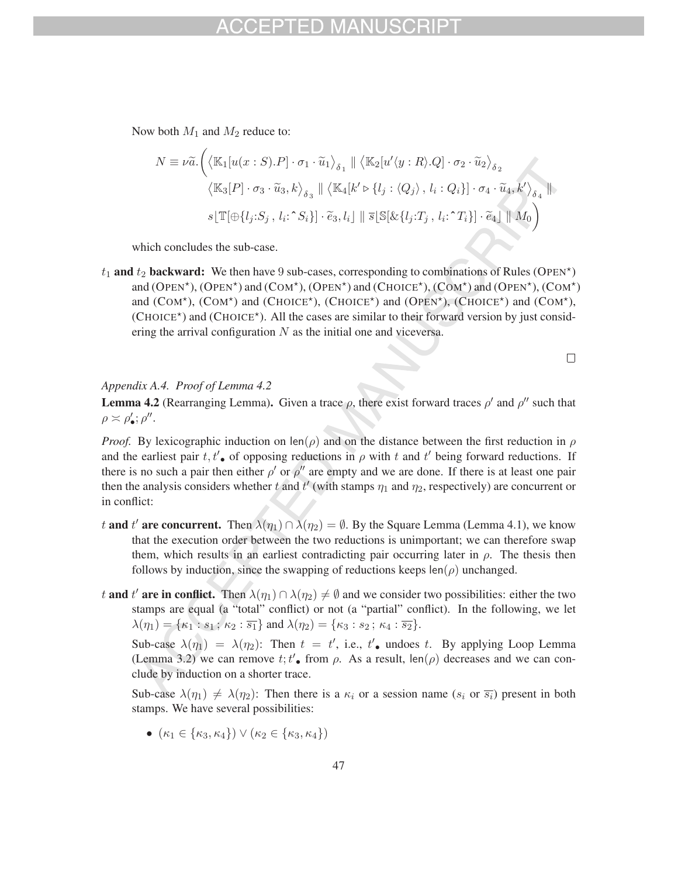## -1) MAN

Now both  $M_1$  and  $M_2$  reduce to:

$$
N \equiv \nu \tilde{a}.\left(\langle \mathbb{K}_1[u(x:S).P] \cdot \sigma_1 \cdot \tilde{u}_1 \rangle_{\delta_1} \parallel \langle \mathbb{K}_2[u'\langle y:R \rangle .Q] \cdot \sigma_2 \cdot \tilde{u}_2 \rangle_{\delta_2} \right)
$$

$$
\langle \mathbb{K}_3[P] \cdot \sigma_3 \cdot \tilde{u}_3, k \rangle_{\delta_3} \parallel \langle \mathbb{K}_4[k' \triangleright \{l_j : \langle Q_j \rangle, l_i : Q_i\}] \cdot \sigma_4 \cdot \tilde{u}_4, k' \rangle_{\delta_4} \parallel
$$

$$
s[\mathbb{T}[\oplus \{l_j : S_j, l_i : \hat{S}_i\}] \cdot \tilde{e}_3, l_i] \parallel \overline{s}[\mathbb{S}[\& \{l_j : T_j, l_i : \hat{T}_i\}] \cdot \tilde{e}_4] \parallel M_0\right)
$$

which concludes the sub-case.

 $t_1$  and  $t_2$  backward: We then have 9 sub-cases, corresponding to combinations of Rules (OPEN<sup>\*</sup>) and (OPEN<sup>\*</sup>), (OPEN<sup>\*</sup>) and (COM<sup>\*</sup>), (OPEN<sup>\*</sup>) and (CHOICE<sup>\*</sup>), (COM<sup>\*</sup>) and (OPEN<sup>\*</sup>), (COM<sup>\*</sup>) and (COM\*), (COM\*) and (CHOICE\*), (CHOICE\*) and (OPEN\*), (CHOICE\*) and (COM\*),  $(CHOICE<sup>*</sup>)$  and  $(CHOICE<sup>*</sup>)$ . All the cases are similar to their forward version by just considering the arrival configuration  $N$  as the initial one and viceversa.

 $\Box$ 

*Appendix A.4. Proof of Lemma 4.2*

**Lemma 4.2** (Rearranging Lemma). Given a trace  $\rho$ , there exist forward traces  $\rho'$  and  $\rho''$  such that  $\rho \asymp \rho'_{\bullet}; \rho''$ .

*Proof.* By lexicographic induction on len( $\rho$ ) and on the distance between the first reduction in  $\rho$ and the earliest pair  $t, t'$  of opposing reductions in  $\rho$  with t and t' being forward reductions. If there is no such a pair then either  $\rho'$  or  $\rho''$  are empty and we are done. If there is at least one pair then the analysis considers whether t and  $t'$  (with stamps  $\eta_1$  and  $\eta_2$ , respectively) are concurrent or in conflict:

- t and t' are concurrent. Then  $\lambda(\eta_1) \cap \lambda(\eta_2) = \emptyset$ . By the Square Lemma (Lemma 4.1), we know that the execution order between the two reductions is unimportant; we can therefore swap them, which results in an earliest contradicting pair occurring later in  $\rho$ . The thesis then follows by induction, since the swapping of reductions keeps  $len(\rho)$  unchanged.
- t and t' are in conflict. Then  $\lambda(\eta_1) \cap \lambda(\eta_2) \neq \emptyset$  and we consider two possibilities: either the two stamps are equal (a "total" conflict) or not (a "partial" conflict). In the following, we let  $\lambda(\eta_1) = {\kappa_1 : s_1; \kappa_2 : \overline{s_1}}$  and  $\lambda(\eta_2) = {\kappa_3 : s_2; \kappa_4 : \overline{s_2}}$ .

Sub-case  $\lambda(\eta_1) = \lambda(\eta_2)$ : Then  $t = t'$ , i.e.,  $t'$  undoes t. By applying Loop Lemma (Lemma 3.2) we can remove  $t; t'$ , from  $\rho$ . As a result,  $\text{len}(\rho)$  decreases and we can conclude by induction on a shorter trace.

Sub-case  $\lambda(\eta_1) \neq \lambda(\eta_2)$ : Then there is a  $\kappa_i$  or a session name  $(s_i \text{ or } \overline{s_i})$  present in both stamps. We have several possibilities:

•  $(\kappa_1 \in {\kappa_3, \kappa_4}) \vee (\kappa_2 \in {\kappa_3, \kappa_4})$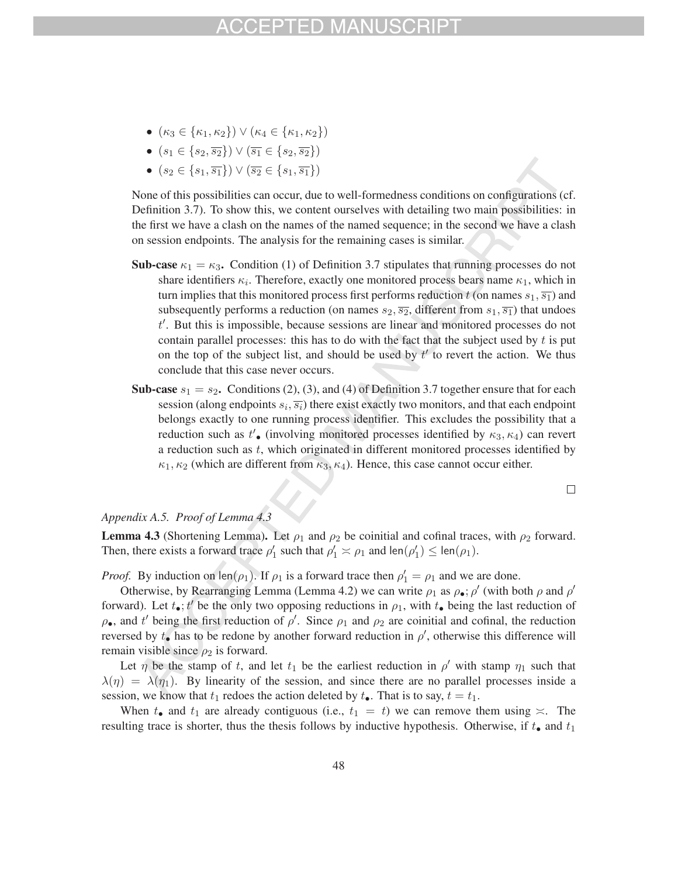- $(\kappa_3 \in {\{\kappa_1,\kappa_2\}}) \vee (\kappa_4 \in {\{\kappa_1,\kappa_2\}})$
- $(s_1 \in \{s_2, \overline{s_2}\}) \vee (\overline{s_1} \in \{s_2, \overline{s_2}\})$
- $(s_2 \in \{s_1, \overline{s_1}\}) \vee (\overline{s_2} \in \{s_1, \overline{s_1}\})$

None of this possibilities can occur, due to well-formedness conditions on configurations (cf. Definition 3.7). To show this, we content ourselves with detailing two main possibilities: in the first we have a clash on the names of the named sequence; in the second we have a clash on session endpoints. The analysis for the remaining cases is similar.

- Sub-case  $\kappa_1 = \kappa_3$ . Condition (1) of Definition 3.7 stipulates that running processes do not share identifiers  $\kappa_i$ . Therefore, exactly one monitored process bears name  $\kappa_1$ , which in turn implies that this monitored process first performs reduction t (on names  $s_1$ ,  $\overline{s_1}$ ) and subsequently performs a reduction (on names  $s_2, \overline{s_2}$ , different from  $s_1, \overline{s_1}$ ) that undoes t'. But this is impossible, because sessions are linear and monitored processes do not contain parallel processes: this has to do with the fact that the subject used by  $t$  is put on the top of the subject list, and should be used by  $t'$  to revert the action. We thus conclude that this case never occurs.
- **Sub-case**  $s_1 = s_2$ . Conditions (2), (3), and (4) of Definition 3.7 together ensure that for each session (along endpoints  $s_i$ ,  $\overline{s_i}$ ) there exist exactly two monitors, and that each endpoint belongs exactly to one running process identifier. This excludes the possibility that a reduction such as  $t'$ , (involving monitored processes identified by  $\kappa_3, \kappa_4$ ) can revert a reduction such as t, which originated in different monitored processes identified by  $\kappa_1, \kappa_2$  (which are different from  $\kappa_3, \kappa_4$ ). Hence, this case cannot occur either.

 $\Box$ 

## *Appendix A.5. Proof of Lemma 4.3*

**Lemma 4.3** (Shortening Lemma). Let  $\rho_1$  and  $\rho_2$  be coinitial and cofinal traces, with  $\rho_2$  forward. Then, there exists a forward trace  $\rho'_1$  such that  $\rho'_1 \asymp \rho_1$  and  $\text{len}(\rho'_1) \le \text{len}(\rho_1)$ .

*Proof.* By induction on  $len(\rho_1)$ . If  $\rho_1$  is a forward trace then  $\rho'_1 = \rho_1$  and we are done.

Otherwise, by Rearranging Lemma (Lemma 4.2) we can write  $\rho_1$  as  $\rho \bullet$ ;  $\rho'$  (with both  $\rho$  and  $\rho'$ forward). Let  $t_{\bullet}$ ;  $t'$  be the only two opposing reductions in  $\rho_1$ , with  $t_{\bullet}$  being the last reduction of  $\rho_{\bullet}$ , and t' being the first reduction of  $\rho'$ . Since  $\rho_1$  and  $\rho_2$  are coinitial and cofinal, the reduction reversed by  $t_{\bullet}$  has to be redone by another forward reduction in  $\rho'$ , otherwise this difference will remain visible since  $\rho_2$  is forward.

Let  $\eta$  be the stamp of t, and let  $t_1$  be the earliest reduction in  $\rho'$  with stamp  $\eta_1$  such that  $\lambda(\eta) = \lambda(\eta_1)$ . By linearity of the session, and since there are no parallel processes inside a session, we know that  $t_1$  redoes the action deleted by  $t_{\bullet}$ . That is to say,  $t = t_1$ .

When  $t_{\bullet}$  and  $t_1$  are already contiguous (i.e.,  $t_1 = t$ ) we can remove them using  $\asymp$ . The resulting trace is shorter, thus the thesis follows by inductive hypothesis. Otherwise, if  $t_{\bullet}$  and  $t_1$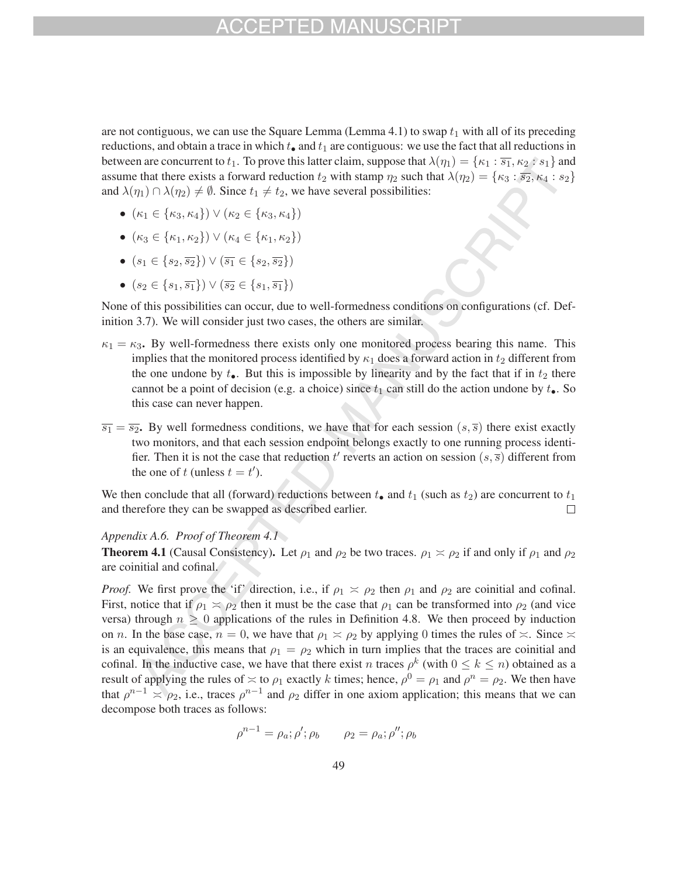are not contiguous, we can use the Square Lemma (Lemma 4.1) to swap  $t_1$  with all of its preceding reductions, and obtain a trace in which  $t_{\bullet}$  and  $t_1$  are contiguous: we use the fact that all reductions in between are concurrent to  $t_1$ . To prove this latter claim, suppose that  $\lambda(\eta_1) = {\kappa_1 : \overline{s_1}, \kappa_2 : s_1}$  and assume that there exists a forward reduction  $t_2$  with stamp  $\eta_2$  such that  $\lambda(\eta_2) = {\kappa_3 : \overline{s_2}, \kappa_4 : s_2}$ and  $\lambda(\eta_1) \cap \lambda(\eta_2) \neq \emptyset$ . Since  $t_1 \neq t_2$ , we have several possibilities:

- $(\kappa_1 \in {\kappa_3, \kappa_4}) \vee (\kappa_2 \in {\kappa_3, \kappa_4})$
- $(\kappa_3 \in {\{\kappa_1,\kappa_2\}}) \vee (\kappa_4 \in {\{\kappa_1,\kappa_2\}})$
- $(s_1 \in \{s_2, \overline{s_2}\}) \vee (\overline{s_1} \in \{s_2, \overline{s_2}\})$
- $(s_2 \in \{s_1, \overline{s_1}\}) \vee (\overline{s_2} \in \{s_1, \overline{s_1}\})$

None of this possibilities can occur, due to well-formedness conditions on configurations (cf. Definition 3.7). We will consider just two cases, the others are similar.

- $\kappa_1 = \kappa_3$ . By well-formedness there exists only one monitored process bearing this name. This implies that the monitored process identified by  $\kappa_1$  does a forward action in  $t_2$  different from the one undone by  $t_{\bullet}$ . But this is impossible by linearity and by the fact that if in  $t_2$  there cannot be a point of decision (e.g. a choice) since  $t_1$  can still do the action undone by  $t_{\bullet}$ . So this case can never happen.
- $\overline{s_1} = \overline{s_2}$ . By well formedness conditions, we have that for each session  $(s, \overline{s})$  there exist exactly two monitors, and that each session endpoint belongs exactly to one running process identifier. Then it is not the case that reduction  $t'$  reverts an action on session  $(s, \overline{s})$  different from the one of t (unless  $t = t'$ ).

We then conclude that all (forward) reductions between  $t_{\bullet}$  and  $t_1$  (such as  $t_2$ ) are concurrent to  $t_1$  and therefore they can be swapped as described earlier. and therefore they can be swapped as described earlier.

### *Appendix A.6. Proof of Theorem 4.1*

**Theorem 4.1** (Causal Consistency). Let  $\rho_1$  and  $\rho_2$  be two traces.  $\rho_1 \approx \rho_2$  if and only if  $\rho_1$  and  $\rho_2$ are coinitial and cofinal.

*Proof.* We first prove the 'if' direction, i.e., if  $\rho_1 \ge \rho_2$  then  $\rho_1$  and  $\rho_2$  are coinitial and cofinal. First, notice that if  $\rho_1 \simeq \rho_2$  then it must be the case that  $\rho_1$  can be transformed into  $\rho_2$  (and vice versa) through  $n \geq 0$  applications of the rules in Definition 4.8. We then proceed by induction on *n*. In the base case,  $n = 0$ , we have that  $\rho_1 \approx \rho_2$  by applying 0 times the rules of  $\approx$ . Since  $\approx$ is an equivalence, this means that  $\rho_1 = \rho_2$  which in turn implies that the traces are coinitial and cofinal. In the inductive case, we have that there exist n traces  $\rho^k$  (with  $0 \leq k \leq n$ ) obtained as a result of applying the rules of  $\approx$  to  $\rho_1$  exactly k times; hence,  $\rho^0 = \rho_1$  and  $\rho^n = \rho_2$ . We then have that  $\rho^{n-1} \simeq \rho_2$ , i.e., traces  $\rho^{n-1}$  and  $\rho_2$  differ in one axiom application; this means that we can decompose both traces as follows:

$$
\rho^{n-1} = \rho_a; \rho'; \rho_b \qquad \rho_2 = \rho_a; \rho''; \rho_b
$$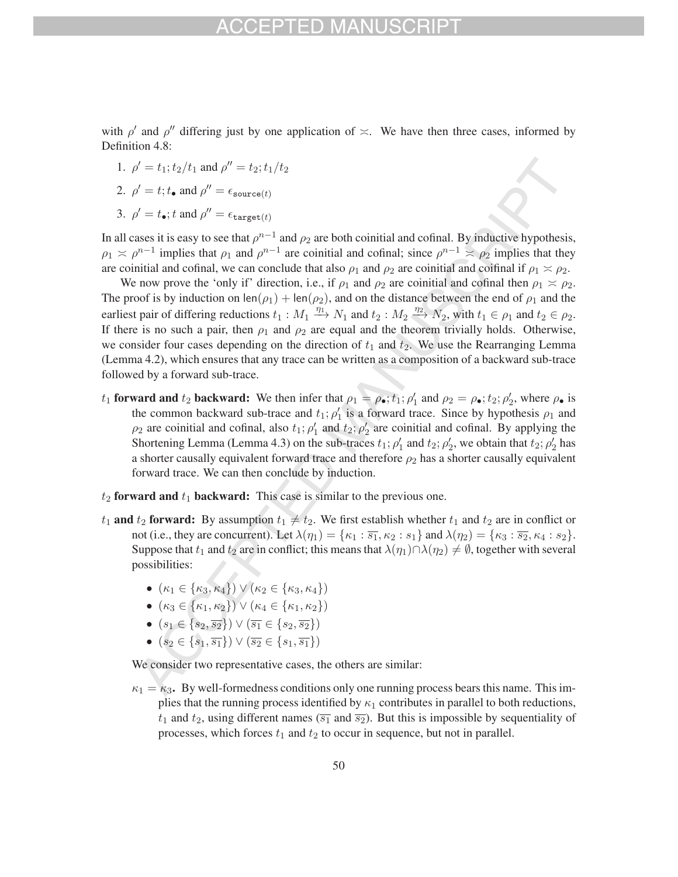with  $\rho'$  and  $\rho''$  differing just by one application of  $\asymp$ . We have then three cases, informed by Definition 4.8:

1.  $\rho' = t_1; t_2/t_1$  and  $\rho'' = t_2; t_1/t_2$ 

2. 
$$
\rho' = t
$$
;  $t_{\bullet}$  and  $\rho'' = \epsilon_{\text{source}(t)}$ 

3.  $\rho' = t_{\bullet}$ ; t and  $\rho'' = \epsilon_{\text{target}(t)}$ 

In all cases it is easy to see that  $\rho^{n-1}$  and  $\rho_2$  are both coinitial and cofinal. By inductive hypothesis,  $\rho_1 \approx \rho^{n-1}$  implies that  $\rho_1$  and  $\rho^{n-1}$  are coinitial and cofinal; since  $\rho^{n-1} \approx \rho_2$  implies that they are coinitial and cofinal, we can conclude that also  $\rho_1$  and  $\rho_2$  are coinitial and coifinal if  $\rho_1 \simeq \rho_2$ .

We now prove the 'only if' direction, i.e., if  $\rho_1$  and  $\rho_2$  are coinitial and cofinal then  $\rho_1 \simeq \rho_2$ . The proof is by induction on len( $\rho_1$ ) + len( $\rho_2$ ), and on the distance between the end of  $\rho_1$  and the earliest pair of differing reductions  $t_1 : M_1 \xrightarrow{\eta_1} N_1$  and  $t_2 : M_2 \xrightarrow{\eta_2} N_2$ , with  $t_1 \in \rho_1$  and  $t_2 \in \rho_2$ . If there is no such a pair, then  $\rho_1$  and  $\rho_2$  are equal and the theorem trivially holds. Otherwise, we consider four cases depending on the direction of  $t_1$  and  $\overline{t_2}$ . We use the Rearranging Lemma (Lemma 4.2), which ensures that any trace can be written as a composition of a backward sub-trace followed by a forward sub-trace.

- $t_1$  forward and  $t_2$  backward: We then infer that  $\rho_1 = \rho_{\bullet}$ ;  $t_1$ ;  $\rho'_1$  and  $\rho_2 = \rho_{\bullet}$ ;  $t_2$ ;  $\rho'_2$ , where  $\rho_{\bullet}$  is the common backward sub-trace and  $t_1$ ;  $\rho'_1$  is a forward trace. Since by hypothesis  $\rho_1$  and  $\rho_2$  are coinitial and cofinal, also  $t_1$ ;  $\rho'_1$  and  $t_2$ ;  $\rho'_2$  are coinitial and cofinal. By applying the Shortening Lemma (Lemma 4.3) on the sub-traces  $t_1$ ;  $\rho'_1$  and  $t_2$ ;  $\rho'_2$ , we obtain that  $t_2$ ;  $\rho'_2$  has a shorter causally equivalent forward trace and therefore  $\rho_2$  has a shorter causally equivalent forward trace. We can then conclude by induction.
- $t_2$  forward and  $t_1$  backward: This case is similar to the previous one.
- $t_1$  and  $t_2$  forward: By assumption  $t_1 \neq t_2$ . We first establish whether  $t_1$  and  $t_2$  are in conflict or not (i.e., they are concurrent). Let  $\lambda(\eta_1) = {\kappa_1 : \overline{s_1}, \kappa_2 : s_1}$  and  $\lambda(\eta_2) = {\kappa_3 : \overline{s_2}, \kappa_4 : s_2}.$ Suppose that  $t_1$  and  $t_2$  are in conflict; this means that  $\lambda(\eta_1)\cap \lambda(\eta_2) \neq \emptyset$ , together with several possibilities:
	- $(\kappa_1 \in {\kappa_3, \kappa_4}) \vee (\kappa_2 \in {\kappa_3, \kappa_4})$
	- $(\kappa_3 \in {\{\kappa_1,\kappa_2\}}) \vee (\kappa_4 \in {\{\kappa_1,\kappa_2\}})$
	- $(s_1 \in \{s_2, \overline{s_2}\}) \vee (\overline{s_1} \in \{s_2, \overline{s_2}\})$
	- $(s_2 \in \{s_1, \overline{s_1}\}) \vee (\overline{s_2} \in \{s_1, \overline{s_1}\})$

We consider two representative cases, the others are similar:

 $\kappa_1 = \kappa_3$ . By well-formedness conditions only one running process bears this name. This implies that the running process identified by  $\kappa_1$  contributes in parallel to both reductions,  $t_1$  and  $t_2$ , using different names ( $\overline{s_1}$  and  $\overline{s_2}$ ). But this is impossible by sequentiality of processes, which forces  $t_1$  and  $t_2$  to occur in sequence, but not in parallel.